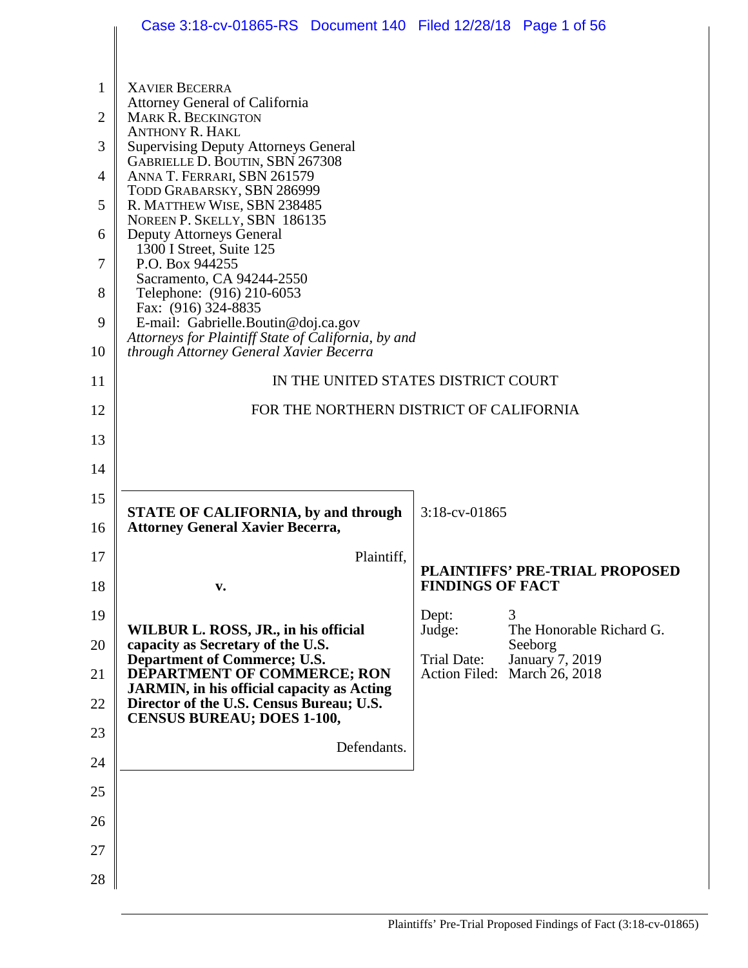|                | Case 3:18-cv-01865-RS Document 140 Filed 12/28/18 Page 1 of 56                                 |                                     |                                          |
|----------------|------------------------------------------------------------------------------------------------|-------------------------------------|------------------------------------------|
|                |                                                                                                |                                     |                                          |
| 1              | <b>XAVIER BECERRA</b>                                                                          |                                     |                                          |
| $\overline{2}$ | Attorney General of California<br><b>MARK R. BECKINGTON</b>                                    |                                     |                                          |
| 3              | <b>ANTHONY R. HAKL</b><br><b>Supervising Deputy Attorneys General</b>                          |                                     |                                          |
| 4              | GABRIELLE D. BOUTIN, SBN 267308<br>ANNA T. FERRARI, SBN 261579                                 |                                     |                                          |
| 5              | TODD GRABARSKY, SBN 286999<br>R. MATTHEW WISE, SBN 238485                                      |                                     |                                          |
| 6              | NOREEN P. SKELLY, SBN 186135<br><b>Deputy Attorneys General</b>                                |                                     |                                          |
| 7              | 1300 I Street, Suite 125<br>P.O. Box 944255                                                    |                                     |                                          |
| 8              | Sacramento, CA 94244-2550<br>Telephone: (916) 210-6053                                         |                                     |                                          |
| 9              | Fax: (916) 324-8835<br>E-mail: Gabrielle.Boutin@doj.ca.gov                                     |                                     |                                          |
| 10             | Attorneys for Plaintiff State of California, by and<br>through Attorney General Xavier Becerra |                                     |                                          |
| 11             | IN THE UNITED STATES DISTRICT COURT                                                            |                                     |                                          |
| 12             | FOR THE NORTHERN DISTRICT OF CALIFORNIA                                                        |                                     |                                          |
| 13             |                                                                                                |                                     |                                          |
|                |                                                                                                |                                     |                                          |
| 14             |                                                                                                |                                     |                                          |
| 15<br>16       | <b>STATE OF CALIFORNIA, by and through</b><br><b>Attorney General Xavier Becerra,</b>          | 3:18-cv-01865                       |                                          |
| 17             | Plaintiff.                                                                                     |                                     |                                          |
| 18             | V.                                                                                             | <b>FINDINGS OF FACT</b>             | <b>PLAINTIFFS' PRE-TRIAL PROPOSED</b>    |
| 19             |                                                                                                | Dept:                               | 3                                        |
| 20             | WILBUR L. ROSS, JR., in his official<br>capacity as Secretary of the U.S.                      | Judge:                              | The Honorable Richard G.<br>Seeborg      |
| 21             | Department of Commerce; U.S.<br>DEPARTMENT OF COMMERCE; RON                                    | Trial Date:<br><b>Action Filed:</b> | <b>January 7, 2019</b><br>March 26, 2018 |
| 22             | <b>JARMIN, in his official capacity as Acting</b><br>Director of the U.S. Census Bureau; U.S.  |                                     |                                          |
| 23             | <b>CENSUS BUREAU; DOES 1-100,</b>                                                              |                                     |                                          |
| 24             | Defendants.                                                                                    |                                     |                                          |
| 25             |                                                                                                |                                     |                                          |
| 26             |                                                                                                |                                     |                                          |
| 27             |                                                                                                |                                     |                                          |
| 28             |                                                                                                |                                     |                                          |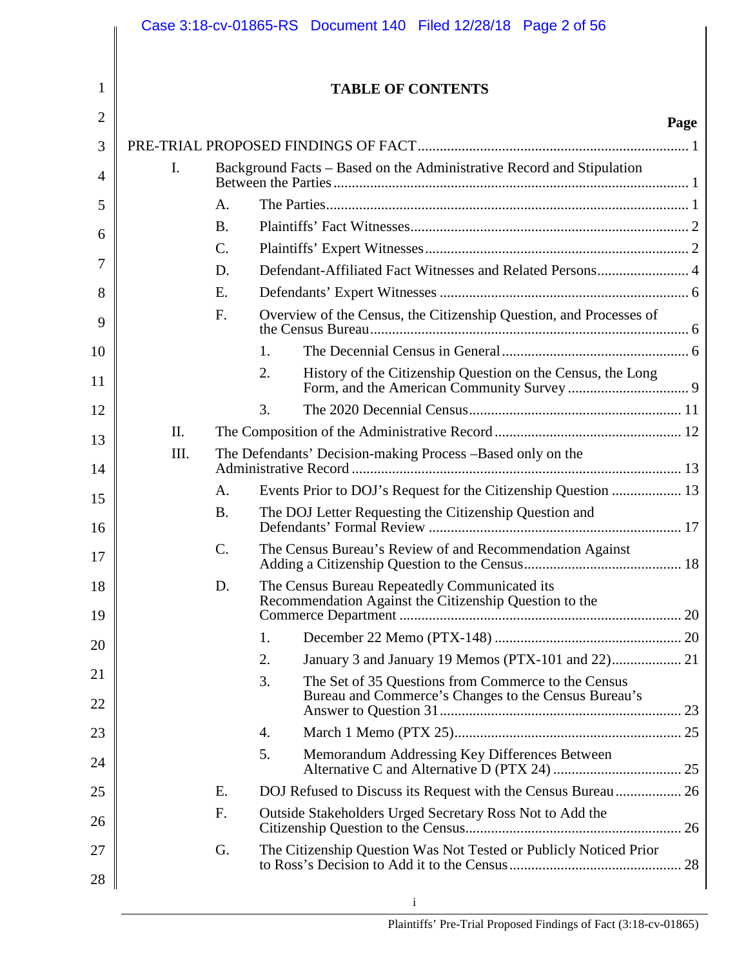|                |                |                 | Case 3:18-cv-01865-RS Document 140 Filed 12/28/18 Page 2 of 56                                                    |      |
|----------------|----------------|-----------------|-------------------------------------------------------------------------------------------------------------------|------|
| 1              |                |                 | <b>TABLE OF CONTENTS</b>                                                                                          |      |
| $\overline{2}$ |                |                 |                                                                                                                   |      |
| 3              |                |                 |                                                                                                                   | Page |
|                | $\mathbf{I}$ . |                 | Background Facts - Based on the Administrative Record and Stipulation                                             |      |
| $\overline{4}$ |                |                 |                                                                                                                   |      |
| 5              |                | A.              |                                                                                                                   |      |
| 6              |                | <b>B.</b>       |                                                                                                                   |      |
| 7              |                | $\mathcal{C}$ . |                                                                                                                   |      |
| 8              |                | D.<br>E.        |                                                                                                                   |      |
|                |                | F.              | Overview of the Census, the Citizenship Question, and Processes of                                                |      |
| 9              |                |                 |                                                                                                                   |      |
| 10             |                |                 | 1.                                                                                                                |      |
| 11             |                |                 | 2.<br>History of the Citizenship Question on the Census, the Long                                                 |      |
| 12             |                |                 | 3.                                                                                                                |      |
| 13             | Π.             |                 |                                                                                                                   |      |
| 14             | III.           |                 | The Defendants' Decision-making Process -Based only on the                                                        |      |
| 15             |                | A.              | Events Prior to DOJ's Request for the Citizenship Question  13                                                    |      |
| 16             |                | <b>B.</b>       | The DOJ Letter Requesting the Citizenship Question and                                                            |      |
| 17             |                | $\mathcal{C}$ . | The Census Bureau's Review of and Recommendation Against                                                          |      |
| 18             |                | D.              | The Census Bureau Repeatedly Communicated its<br>Recommendation Against the Citizenship Question to the           |      |
| 19             |                |                 |                                                                                                                   |      |
| 20             |                |                 | 1.                                                                                                                |      |
| 21             |                |                 | January 3 and January 19 Memos (PTX-101 and 22) 21<br>2.                                                          |      |
| 22             |                |                 | 3.<br>The Set of 35 Questions from Commerce to the Census<br>Bureau and Commerce's Changes to the Census Bureau's |      |
| 23             |                |                 | 4.                                                                                                                |      |
| 24             |                |                 | 5.<br>Memorandum Addressing Key Differences Between                                                               |      |
| 25             |                | E.              | DOJ Refused to Discuss its Request with the Census Bureau  26                                                     |      |
| 26             |                | F.              | Outside Stakeholders Urged Secretary Ross Not to Add the                                                          |      |
| 27             |                | G.              | The Citizenship Question Was Not Tested or Publicly Noticed Prior                                                 |      |
| 28             |                |                 |                                                                                                                   |      |
|                |                |                 | i                                                                                                                 |      |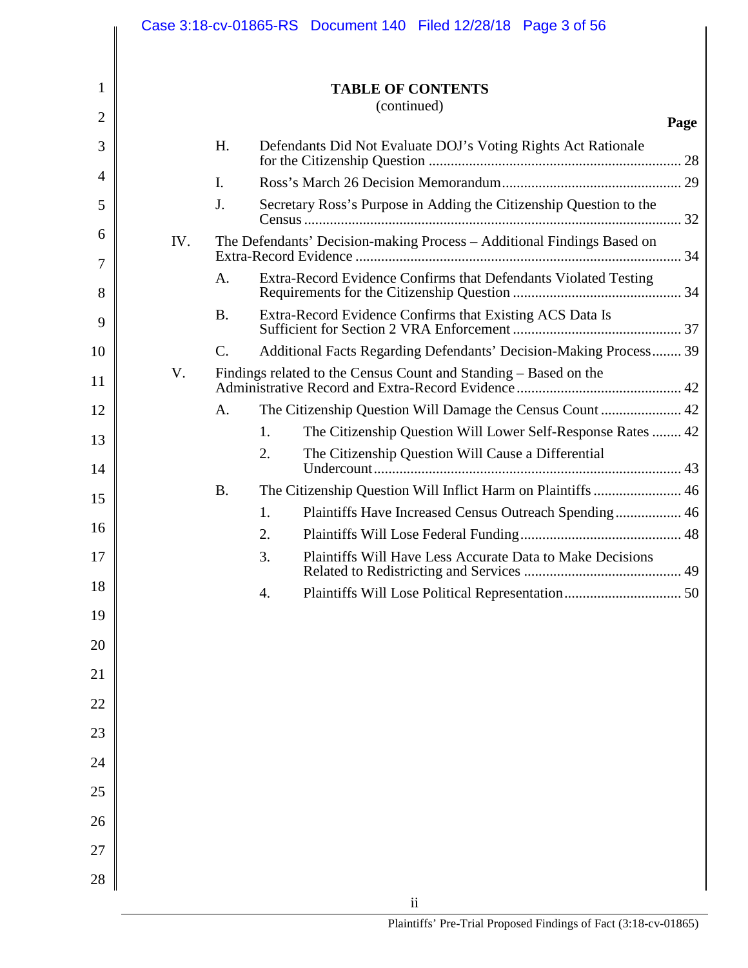|                |     |                | Case 3:18-cv-01865-RS Document 140 Filed 12/28/18 Page 3 of 56         |      |
|----------------|-----|----------------|------------------------------------------------------------------------|------|
| 1              |     |                | <b>TABLE OF CONTENTS</b>                                               |      |
| $\overline{2}$ |     | (continued)    |                                                                        |      |
|                |     |                |                                                                        | Page |
| 3              |     | H.             | Defendants Did Not Evaluate DOJ's Voting Rights Act Rationale          |      |
| 4              |     | $\mathbf{I}$ . |                                                                        |      |
| 5              |     | J.             | Secretary Ross's Purpose in Adding the Citizenship Question to the     |      |
| 6              | IV. |                | The Defendants' Decision-making Process - Additional Findings Based on |      |
| 7<br>8         |     | A.             | Extra-Record Evidence Confirms that Defendants Violated Testing        |      |
| 9              |     | <b>B.</b>      | Extra-Record Evidence Confirms that Existing ACS Data Is               |      |
| 10             |     | $\mathbf{C}$ . | Additional Facts Regarding Defendants' Decision-Making Process 39      |      |
| 11             | V.  |                | Findings related to the Census Count and Standing – Based on the       |      |
| 12             |     | A.             |                                                                        |      |
| 13             |     |                | The Citizenship Question Will Lower Self-Response Rates  42<br>1.      |      |
| 14             |     |                | 2.<br>The Citizenship Question Will Cause a Differential               |      |
| 15             |     | <b>B.</b>      | The Citizenship Question Will Inflict Harm on Plaintiffs  46           |      |
|                |     |                | Plaintiffs Have Increased Census Outreach Spending 46<br>1.            |      |
| 16             |     |                | 2.                                                                     |      |
| 17             |     |                | 3.<br><b>Plaintiffs Will Have Less Accurate Data to Make Decisions</b> |      |
| 18             |     |                | 4.                                                                     |      |
| 19             |     |                |                                                                        |      |
| 20             |     |                |                                                                        |      |
| 21             |     |                |                                                                        |      |
| 22             |     |                |                                                                        |      |
| 23             |     |                |                                                                        |      |
| 24             |     |                |                                                                        |      |
| 25             |     |                |                                                                        |      |
| 26             |     |                |                                                                        |      |
| 27             |     |                |                                                                        |      |
| 28             |     |                |                                                                        |      |
|                |     |                | $\ddot{\mathbf{i}}$                                                    |      |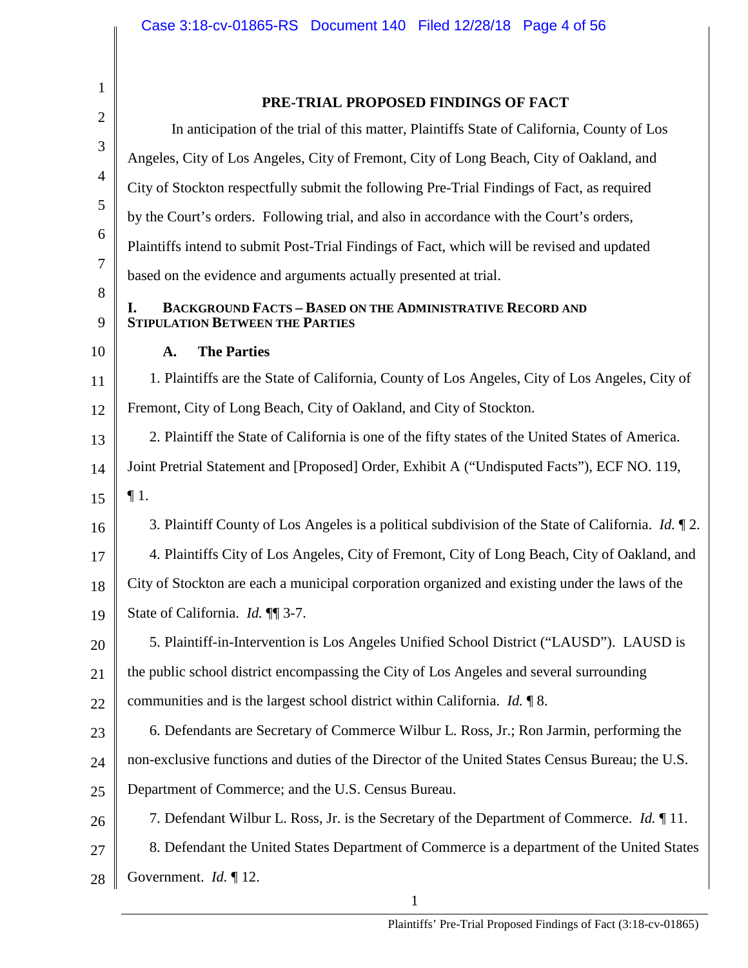| $\mathbf{1}$   | PRE-TRIAL PROPOSED FINDINGS OF FACT                                                                              |
|----------------|------------------------------------------------------------------------------------------------------------------|
| $\mathbf{2}$   | In anticipation of the trial of this matter, Plaintiffs State of California, County of Los                       |
| 3              | Angeles, City of Los Angeles, City of Fremont, City of Long Beach, City of Oakland, and                          |
| $\overline{4}$ | City of Stockton respectfully submit the following Pre-Trial Findings of Fact, as required                       |
| 5              | by the Court's orders. Following trial, and also in accordance with the Court's orders,                          |
| 6              | Plaintiffs intend to submit Post-Trial Findings of Fact, which will be revised and updated                       |
| $\overline{7}$ | based on the evidence and arguments actually presented at trial.                                                 |
| 8<br>9         | <b>BACKGROUND FACTS - BASED ON THE ADMINISTRATIVE RECORD AND</b><br>I.<br><b>STIPULATION BETWEEN THE PARTIES</b> |
| 10             | <b>The Parties</b><br>A.                                                                                         |
| 11             | 1. Plaintiffs are the State of California, County of Los Angeles, City of Los Angeles, City of                   |
| 12             | Fremont, City of Long Beach, City of Oakland, and City of Stockton.                                              |
| 13             | 2. Plaintiff the State of California is one of the fifty states of the United States of America.                 |
| 14             | Joint Pretrial Statement and [Proposed] Order, Exhibit A ("Undisputed Facts"), ECF NO. 119,                      |
| 15             | $\P1.$                                                                                                           |
| 16             | 3. Plaintiff County of Los Angeles is a political subdivision of the State of California. <i>Id.</i> $\P$ 2.     |
| 17             | 4. Plaintiffs City of Los Angeles, City of Fremont, City of Long Beach, City of Oakland, and                     |
| 18             | City of Stockton are each a municipal corporation organized and existing under the laws of the                   |
| 19             | State of California. Id. ¶¶ 3-7.                                                                                 |
| 20             | 5. Plaintiff-in-Intervention is Los Angeles Unified School District ("LAUSD"). LAUSD is                          |
| 21             | the public school district encompassing the City of Los Angeles and several surrounding                          |
| 22             | communities and is the largest school district within California. $Id. \P 8$ .                                   |
| 23             | 6. Defendants are Secretary of Commerce Wilbur L. Ross, Jr.; Ron Jarmin, performing the                          |
| 24             | non-exclusive functions and duties of the Director of the United States Census Bureau; the U.S.                  |
| 25             | Department of Commerce; and the U.S. Census Bureau.                                                              |
| 26             | 7. Defendant Wilbur L. Ross, Jr. is the Secretary of the Department of Commerce. Id. ¶ 11.                       |
| 27             | 8. Defendant the United States Department of Commerce is a department of the United States                       |
| 28             | Government. $Id. \P$ 12.                                                                                         |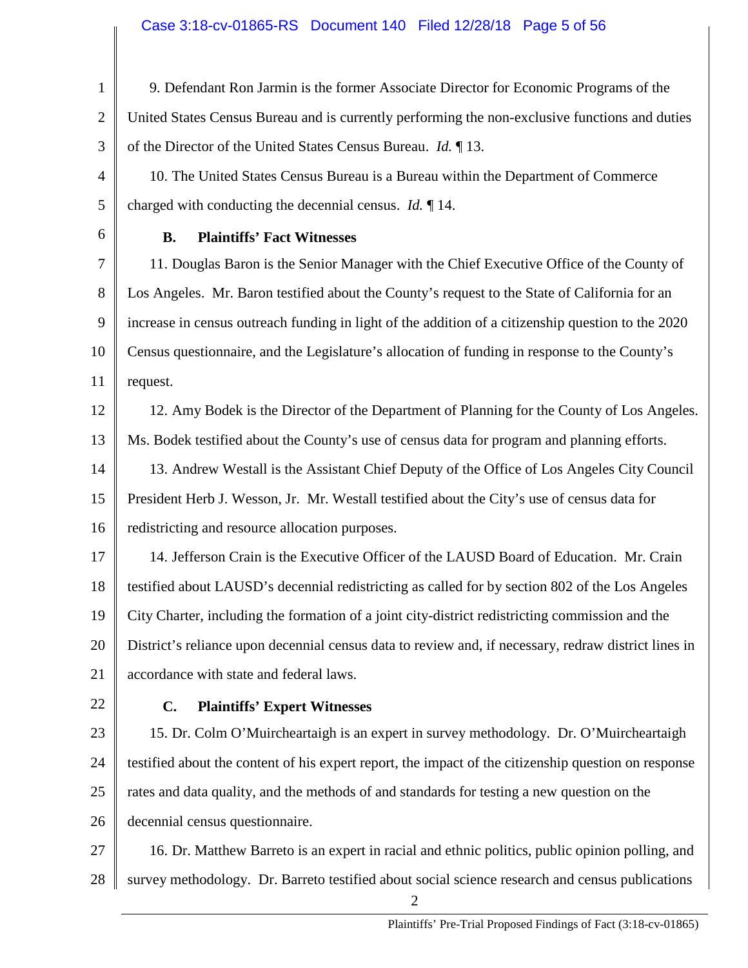### Case 3:18-cv-01865-RS Document 140 Filed 12/28/18 Page 5 of 56

1 2 3 4 5 6 7 8 9 10 11 12 13 14 15 16 17 18 19 20 21 22 23 24 25 26 27 28 2 9. Defendant Ron Jarmin is the former Associate Director for Economic Programs of the United States Census Bureau and is currently performing the non-exclusive functions and duties of the Director of the United States Census Bureau. *Id.* ¶ 13. 10. The United States Census Bureau is a Bureau within the Department of Commerce charged with conducting the decennial census. *Id.* ¶ 14. **B. Plaintiffs' Fact Witnesses** 11. Douglas Baron is the Senior Manager with the Chief Executive Office of the County of Los Angeles. Mr. Baron testified about the County's request to the State of California for an increase in census outreach funding in light of the addition of a citizenship question to the 2020 Census questionnaire, and the Legislature's allocation of funding in response to the County's request. 12. Amy Bodek is the Director of the Department of Planning for the County of Los Angeles. Ms. Bodek testified about the County's use of census data for program and planning efforts. 13. Andrew Westall is the Assistant Chief Deputy of the Office of Los Angeles City Council President Herb J. Wesson, Jr. Mr. Westall testified about the City's use of census data for redistricting and resource allocation purposes. 14. Jefferson Crain is the Executive Officer of the LAUSD Board of Education. Mr. Crain testified about LAUSD's decennial redistricting as called for by section 802 of the Los Angeles City Charter, including the formation of a joint city-district redistricting commission and the District's reliance upon decennial census data to review and, if necessary, redraw district lines in accordance with state and federal laws. **C. Plaintiffs' Expert Witnesses** 15. Dr. Colm O'Muircheartaigh is an expert in survey methodology. Dr. O'Muircheartaigh testified about the content of his expert report, the impact of the citizenship question on response rates and data quality, and the methods of and standards for testing a new question on the decennial census questionnaire. 16. Dr. Matthew Barreto is an expert in racial and ethnic politics, public opinion polling, and survey methodology. Dr. Barreto testified about social science research and census publications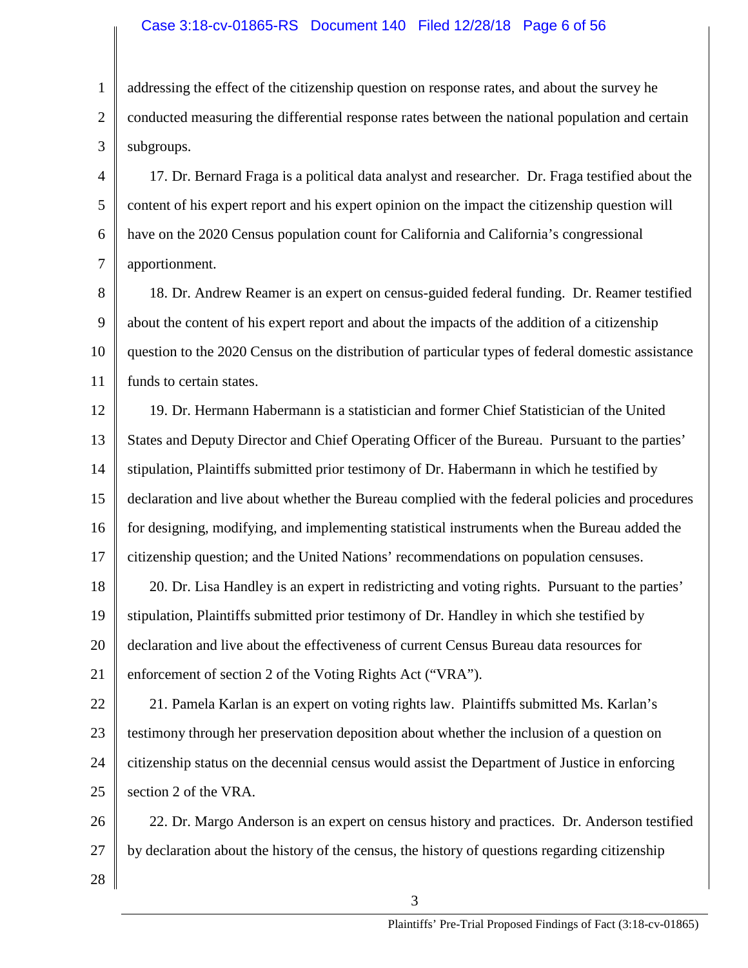### Case 3:18-cv-01865-RS Document 140 Filed 12/28/18 Page 6 of 56

1 2 3 addressing the effect of the citizenship question on response rates, and about the survey he conducted measuring the differential response rates between the national population and certain subgroups.

4 5 6 7 17. Dr. Bernard Fraga is a political data analyst and researcher. Dr. Fraga testified about the content of his expert report and his expert opinion on the impact the citizenship question will have on the 2020 Census population count for California and California's congressional apportionment.

8 9 10 11 18. Dr. Andrew Reamer is an expert on census-guided federal funding. Dr. Reamer testified about the content of his expert report and about the impacts of the addition of a citizenship question to the 2020 Census on the distribution of particular types of federal domestic assistance funds to certain states.

12 13 14 15 16 17 19. Dr. Hermann Habermann is a statistician and former Chief Statistician of the United States and Deputy Director and Chief Operating Officer of the Bureau. Pursuant to the parties' stipulation, Plaintiffs submitted prior testimony of Dr. Habermann in which he testified by declaration and live about whether the Bureau complied with the federal policies and procedures for designing, modifying, and implementing statistical instruments when the Bureau added the citizenship question; and the United Nations' recommendations on population censuses.

18 19 20 21 20. Dr. Lisa Handley is an expert in redistricting and voting rights. Pursuant to the parties' stipulation, Plaintiffs submitted prior testimony of Dr. Handley in which she testified by declaration and live about the effectiveness of current Census Bureau data resources for enforcement of section 2 of the Voting Rights Act ("VRA").

22 23 24 25 21. Pamela Karlan is an expert on voting rights law. Plaintiffs submitted Ms. Karlan's testimony through her preservation deposition about whether the inclusion of a question on citizenship status on the decennial census would assist the Department of Justice in enforcing section 2 of the VRA.

26 27 22. Dr. Margo Anderson is an expert on census history and practices. Dr. Anderson testified by declaration about the history of the census, the history of questions regarding citizenship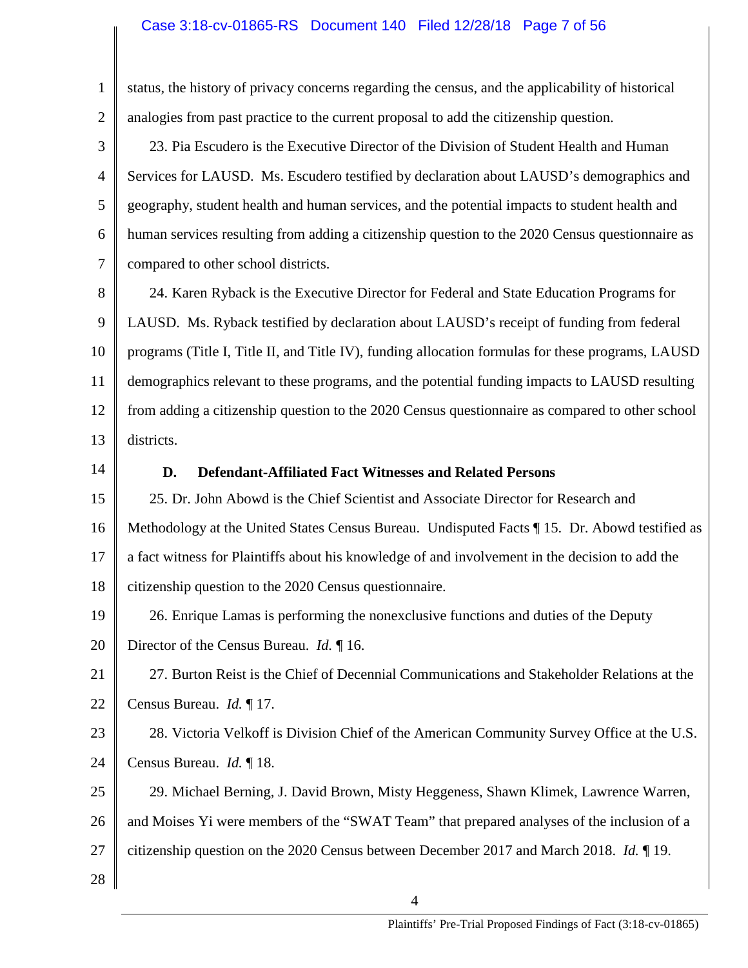### Case 3:18-cv-01865-RS Document 140 Filed 12/28/18 Page 7 of 56

2 3

1

status, the history of privacy concerns regarding the census, and the applicability of historical analogies from past practice to the current proposal to add the citizenship question.

4 5 6 7 23. Pia Escudero is the Executive Director of the Division of Student Health and Human Services for LAUSD. Ms. Escudero testified by declaration about LAUSD's demographics and geography, student health and human services, and the potential impacts to student health and human services resulting from adding a citizenship question to the 2020 Census questionnaire as compared to other school districts.

8 9 10 11 12 13 24. Karen Ryback is the Executive Director for Federal and State Education Programs for LAUSD. Ms. Ryback testified by declaration about LAUSD's receipt of funding from federal programs (Title I, Title II, and Title IV), funding allocation formulas for these programs, LAUSD demographics relevant to these programs, and the potential funding impacts to LAUSD resulting from adding a citizenship question to the 2020 Census questionnaire as compared to other school districts.

14

### **D. Defendant-Affiliated Fact Witnesses and Related Persons**

15 16 17 18 25. Dr. John Abowd is the Chief Scientist and Associate Director for Research and Methodology at the United States Census Bureau. Undisputed Facts ¶ 15. Dr. Abowd testified as a fact witness for Plaintiffs about his knowledge of and involvement in the decision to add the citizenship question to the 2020 Census questionnaire.

19 20 26. Enrique Lamas is performing the nonexclusive functions and duties of the Deputy Director of the Census Bureau. *Id.* ¶ 16.

21 22 27. Burton Reist is the Chief of Decennial Communications and Stakeholder Relations at the Census Bureau. *Id.* ¶ 17.

23 24 28. Victoria Velkoff is Division Chief of the American Community Survey Office at the U.S. Census Bureau. *Id.* ¶ 18.

25 26 27 29. Michael Berning, J. David Brown, Misty Heggeness, Shawn Klimek, Lawrence Warren, and Moises Yi were members of the "SWAT Team" that prepared analyses of the inclusion of a citizenship question on the 2020 Census between December 2017 and March 2018. *Id.* ¶ 19.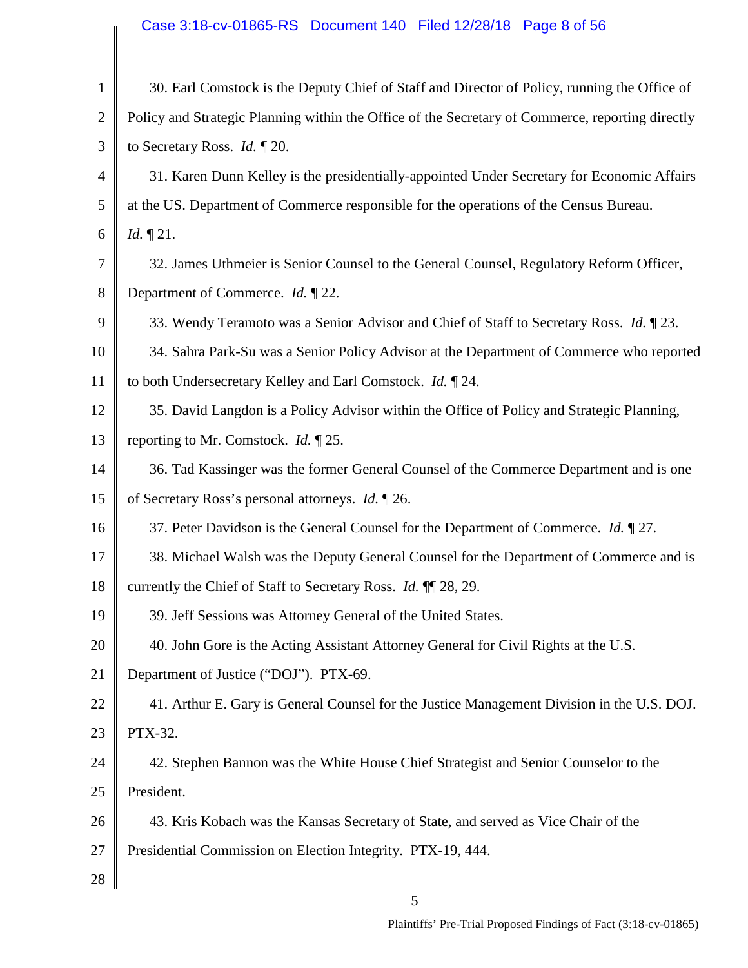# Case 3:18-cv-01865-RS Document 140 Filed 12/28/18 Page 8 of 56

| $\mathbf{1}$   | 30. Earl Comstock is the Deputy Chief of Staff and Director of Policy, running the Office of     |
|----------------|--------------------------------------------------------------------------------------------------|
| $\overline{2}$ | Policy and Strategic Planning within the Office of the Secretary of Commerce, reporting directly |
| 3              | to Secretary Ross. <i>Id.</i> $\P$ 20.                                                           |
| 4              | 31. Karen Dunn Kelley is the presidentially-appointed Under Secretary for Economic Affairs       |
| 5              | at the US. Department of Commerce responsible for the operations of the Census Bureau.           |
| 6              | <i>Id.</i> $\P$ 21.                                                                              |
| 7              | 32. James Uthmeier is Senior Counsel to the General Counsel, Regulatory Reform Officer,          |
| 8              | Department of Commerce. <i>Id.</i> 122.                                                          |
| 9              | 33. Wendy Teramoto was a Senior Advisor and Chief of Staff to Secretary Ross. Id. ¶ 23.          |
| 10             | 34. Sahra Park-Su was a Senior Policy Advisor at the Department of Commerce who reported         |
| 11             | to both Undersecretary Kelley and Earl Comstock. Id. 1 24.                                       |
| 12             | 35. David Langdon is a Policy Advisor within the Office of Policy and Strategic Planning,        |
| 13             | reporting to Mr. Comstock. <i>Id.</i> $\P$ 25.                                                   |
| 14             | 36. Tad Kassinger was the former General Counsel of the Commerce Department and is one           |
| 15             | of Secretary Ross's personal attorneys. <i>Id.</i> $\mathbb{I}$ 26.                              |
| 16             | 37. Peter Davidson is the General Counsel for the Department of Commerce. Id. ¶ 27.              |
| 17             | 38. Michael Walsh was the Deputy General Counsel for the Department of Commerce and is           |
| 18             | currently the Chief of Staff to Secretary Ross. <i>Id.</i> 11 28, 29.                            |
| 19             | 39. Jeff Sessions was Attorney General of the United States.                                     |
| 20             | 40. John Gore is the Acting Assistant Attorney General for Civil Rights at the U.S.              |
| 21             | Department of Justice ("DOJ"). PTX-69.                                                           |
| 22             | 41. Arthur E. Gary is General Counsel for the Justice Management Division in the U.S. DOJ.       |
| 23             | PTX-32.                                                                                          |
| 24             | 42. Stephen Bannon was the White House Chief Strategist and Senior Counselor to the              |
| 25             | President.                                                                                       |
| 26             | 43. Kris Kobach was the Kansas Secretary of State, and served as Vice Chair of the               |
| 27             | Presidential Commission on Election Integrity. PTX-19, 444.                                      |
| 28             |                                                                                                  |
|                |                                                                                                  |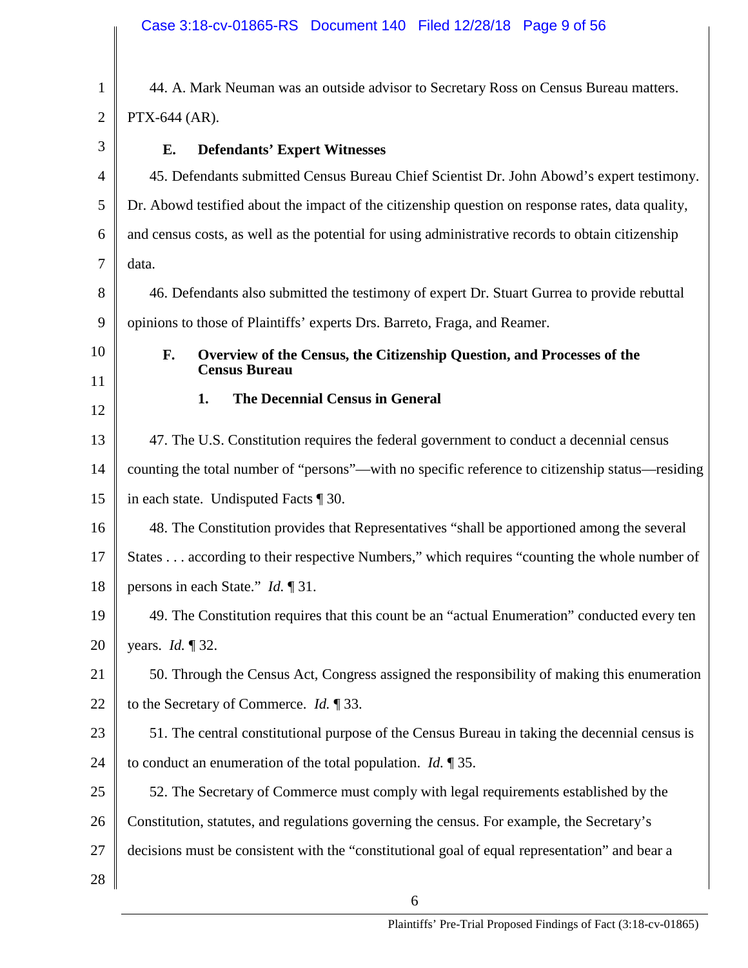| $\mathbf{1}$   | 44. A. Mark Neuman was an outside advisor to Secretary Ross on Census Bureau matters.                |
|----------------|------------------------------------------------------------------------------------------------------|
| $\overline{2}$ | PTX-644 (AR).                                                                                        |
| 3              | Е.<br><b>Defendants' Expert Witnesses</b>                                                            |
| 4              | 45. Defendants submitted Census Bureau Chief Scientist Dr. John Abowd's expert testimony.            |
| 5              | Dr. Abowd testified about the impact of the citizenship question on response rates, data quality,    |
| 6              | and census costs, as well as the potential for using administrative records to obtain citizenship    |
| 7              | data.                                                                                                |
| 8              | 46. Defendants also submitted the testimony of expert Dr. Stuart Gurrea to provide rebuttal          |
| 9              | opinions to those of Plaintiffs' experts Drs. Barreto, Fraga, and Reamer.                            |
| 10             | Overview of the Census, the Citizenship Question, and Processes of the<br>F.<br><b>Census Bureau</b> |
| 11             |                                                                                                      |
| 12             | 1.<br>The Decennial Census in General                                                                |
| 13             | 47. The U.S. Constitution requires the federal government to conduct a decennial census              |
| 14             | counting the total number of "persons"—with no specific reference to citizenship status—residing     |
| 15             | in each state. Undisputed Facts ¶ 30.                                                                |
| 16             | 48. The Constitution provides that Representatives "shall be apportioned among the several           |
| 17             | States according to their respective Numbers," which requires "counting the whole number of          |
| 18             | persons in each State." <i>Id.</i> 131.                                                              |
| 19             | 49. The Constitution requires that this count be an "actual Enumeration" conducted every ten         |
| 20             | years. <i>Id.</i> 132.                                                                               |
| 21             | 50. Through the Census Act, Congress assigned the responsibility of making this enumeration          |
| 22             | to the Secretary of Commerce. $Id. \P 33$ .                                                          |
| 23             | 51. The central constitutional purpose of the Census Bureau in taking the decennial census is        |
| 24             | to conduct an enumeration of the total population. <i>Id.</i> $\sqrt{35}$ .                          |
| 25             | 52. The Secretary of Commerce must comply with legal requirements established by the                 |
| 26             | Constitution, statutes, and regulations governing the census. For example, the Secretary's           |
| 27             | decisions must be consistent with the "constitutional goal of equal representation" and bear a       |
| 28             |                                                                                                      |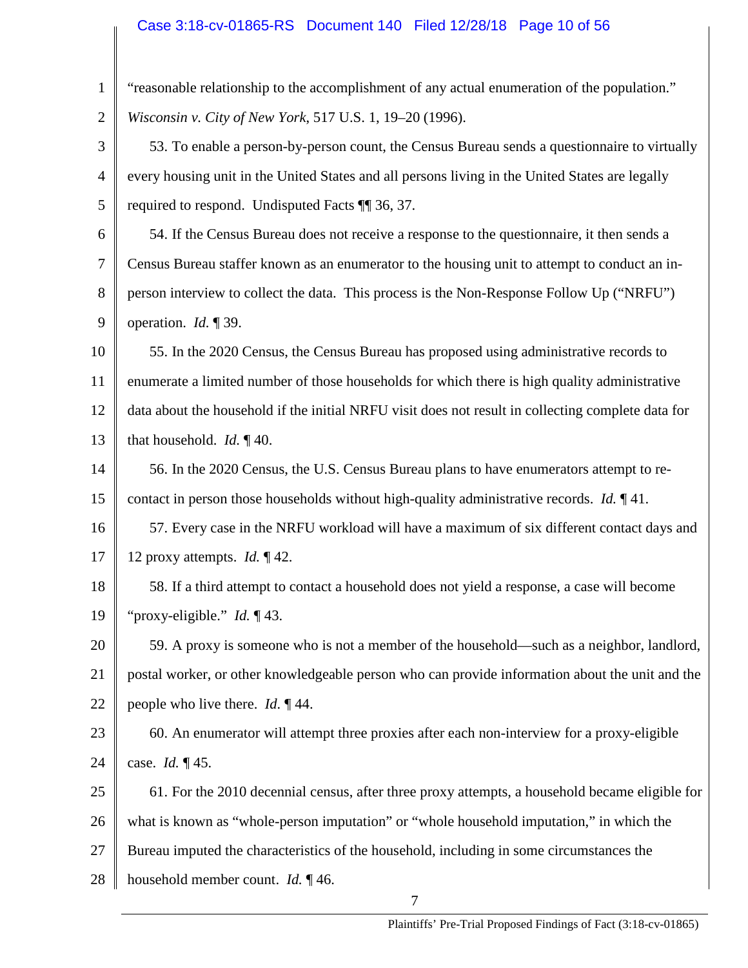| "reasonable relationship to the accomplishment of any actual enumeration of the population."        |
|-----------------------------------------------------------------------------------------------------|
| Wisconsin v. City of New York, 517 U.S. 1, 19-20 (1996).                                            |
| 53. To enable a person-by-person count, the Census Bureau sends a questionnaire to virtually        |
| every housing unit in the United States and all persons living in the United States are legally     |
| required to respond. Undisputed Facts ¶ 36, 37.                                                     |
| 54. If the Census Bureau does not receive a response to the questionnaire, it then sends a          |
| Census Bureau staffer known as an enumerator to the housing unit to attempt to conduct an in-       |
| person interview to collect the data. This process is the Non-Response Follow Up ("NRFU")           |
| operation. $Id. \P 39$ .                                                                            |
| 55. In the 2020 Census, the Census Bureau has proposed using administrative records to              |
| enumerate a limited number of those households for which there is high quality administrative       |
| data about the household if the initial NRFU visit does not result in collecting complete data for  |
| that household. <i>Id.</i> $\P$ 40.                                                                 |
| 56. In the 2020 Census, the U.S. Census Bureau plans to have enumerators attempt to re-             |
| contact in person those households without high-quality administrative records. <i>Id.</i> $\P$ 41. |
| 57. Every case in the NRFU workload will have a maximum of six different contact days and           |
| 12 proxy attempts. <i>Id.</i> $\P$ 42.                                                              |
| 58. If a third attempt to contact a household does not yield a response, a case will become         |
| 19<br>"proxy-eligible." <i>Id.</i> $\P$ 43.                                                         |
| 59. A proxy is someone who is not a member of the household—such as a neighbor, landlord,           |
| postal worker, or other knowledgeable person who can provide information about the unit and the     |
| people who live there. <i>Id.</i> $\P$ 44.                                                          |
| 60. An enumerator will attempt three proxies after each non-interview for a proxy-eligible          |
| case. <i>Id.</i> $\P$ 45.                                                                           |
| 61. For the 2010 decennial census, after three proxy attempts, a household became eligible for      |
| what is known as "whole-person imputation" or "whole household imputation," in which the            |
| Bureau imputed the characteristics of the household, including in some circumstances the            |
| household member count. <i>Id.</i> $\P$ 46.                                                         |
|                                                                                                     |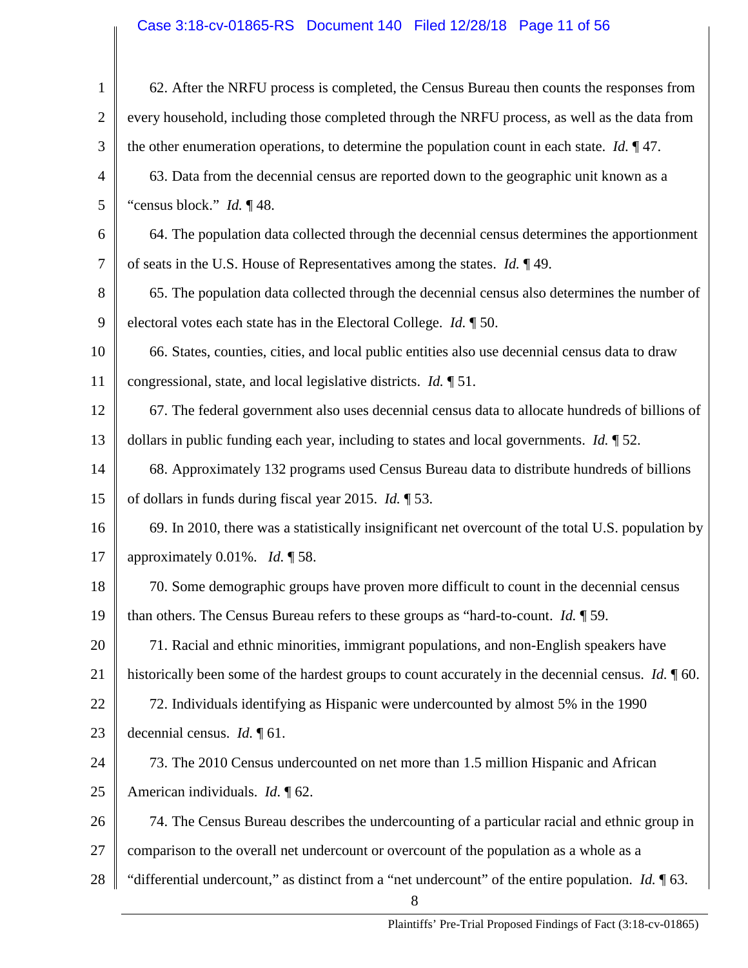# Case 3:18-cv-01865-RS Document 140 Filed 12/28/18 Page 11 of 56

| $\mathbf{1}$   | 62. After the NRFU process is completed, the Census Bureau then counts the responses from                                         |
|----------------|-----------------------------------------------------------------------------------------------------------------------------------|
| $\overline{2}$ | every household, including those completed through the NRFU process, as well as the data from                                     |
| 3              | the other enumeration operations, to determine the population count in each state. <i>Id.</i> $\mathbb{I}$ 47.                    |
| 4              | 63. Data from the decennial census are reported down to the geographic unit known as a                                            |
| 5              | "census block." <i>Id.</i> $\P$ 48.                                                                                               |
| 6              | 64. The population data collected through the decennial census determines the apportionment                                       |
| $\overline{7}$ | of seats in the U.S. House of Representatives among the states. $Id. \P 49$ .                                                     |
| 8              | 65. The population data collected through the decennial census also determines the number of                                      |
| 9              | electoral votes each state has in the Electoral College. <i>Id.</i> $\mathbb{I}$ 50.                                              |
| 10             | 66. States, counties, cities, and local public entities also use decennial census data to draw                                    |
| 11             | congressional, state, and local legislative districts. <i>Id.</i> $\sqrt{151}$ .                                                  |
| 12             | 67. The federal government also uses decennial census data to allocate hundreds of billions of                                    |
| 13             | dollars in public funding each year, including to states and local governments. <i>Id.</i> $\sqrt{ }$ 52.                         |
| 14             | 68. Approximately 132 programs used Census Bureau data to distribute hundreds of billions                                         |
| 15             | of dollars in funds during fiscal year 2015. <i>Id.</i> $\sqrt{53}$ .                                                             |
| 16             | 69. In 2010, there was a statistically insignificant net overcount of the total U.S. population by                                |
| 17             | approximately 0.01%. <i>Id.</i> $\sqrt{58}$ .                                                                                     |
| 18             | 70. Some demographic groups have proven more difficult to count in the decennial census                                           |
| 19             | than others. The Census Bureau refers to these groups as "hard-to-count. $Id. \P$ 59.                                             |
| 20             | 71. Racial and ethnic minorities, immigrant populations, and non-English speakers have                                            |
| 21             | historically been some of the hardest groups to count accurately in the decennial census. <i>Id.</i> $\llbracket 60$ .            |
| 22             | 72. Individuals identifying as Hispanic were undercounted by almost 5% in the 1990                                                |
| 23             | decennial census. <i>Id.</i> $\llbracket 61$ .                                                                                    |
| 24             | 73. The 2010 Census undercounted on net more than 1.5 million Hispanic and African                                                |
| 25             | American individuals. <i>Id.</i> $\oint$ 62.                                                                                      |
| 26             | 74. The Census Bureau describes the undercounting of a particular racial and ethnic group in                                      |
| 27             | comparison to the overall net undercount or overcount of the population as a whole as a                                           |
| 28             | "differential undercount," as distinct from a "net undercount" of the entire population. <i>Id.</i> $\sqrt{\phantom{a}}$ 63.<br>8 |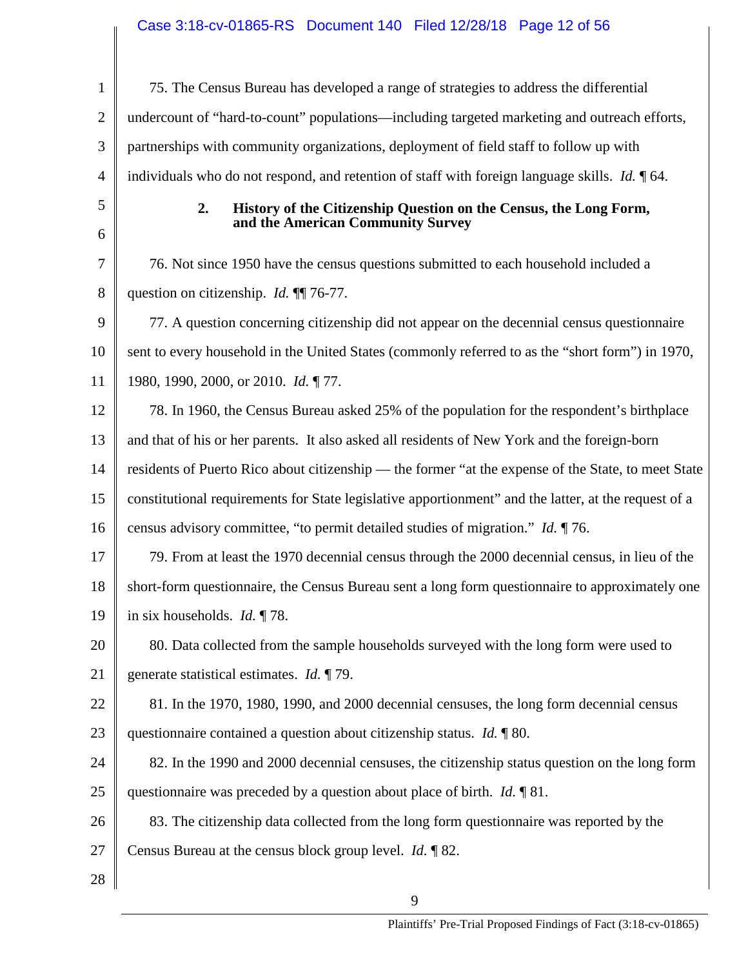| $\mathbf{1}$   | 75. The Census Bureau has developed a range of strategies to address the differential                             |
|----------------|-------------------------------------------------------------------------------------------------------------------|
| $\overline{2}$ | undercount of "hard-to-count" populations—including targeted marketing and outreach efforts,                      |
| 3              | partnerships with community organizations, deployment of field staff to follow up with                            |
| $\overline{4}$ | individuals who do not respond, and retention of staff with foreign language skills. <i>Id.</i> $\llbracket 64$ . |
| 5              | 2.<br>History of the Citizenship Question on the Census, the Long Form,                                           |
| 6              | and the American Community Survey                                                                                 |
| 7              | 76. Not since 1950 have the census questions submitted to each household included a                               |
| 8              | question on citizenship. <i>Id.</i> $\P$ 76-77.                                                                   |
| 9              | 77. A question concerning citizenship did not appear on the decennial census questionnaire                        |
| 10             | sent to every household in the United States (commonly referred to as the "short form") in 1970,                  |
| 11             | 1980, 1990, 2000, or 2010. Id. ¶77.                                                                               |
| 12             | 78. In 1960, the Census Bureau asked 25% of the population for the respondent's birthplace                        |
| 13             | and that of his or her parents. It also asked all residents of New York and the foreign-born                      |
| 14             | residents of Puerto Rico about citizenship — the former "at the expense of the State, to meet State               |
| 15             | constitutional requirements for State legislative apportionment" and the latter, at the request of a              |
| 16             | census advisory committee, "to permit detailed studies of migration." <i>Id.</i> 176.                             |
| 17             | 79. From at least the 1970 decennial census through the 2000 decennial census, in lieu of the                     |
| 18             | short-form questionnaire, the Census Bureau sent a long form questionnaire to approximately one                   |
| 19             | in six households. <i>Id.</i> $\P$ 78.                                                                            |
| 20             | 80. Data collected from the sample households surveyed with the long form were used to                            |
| 21             | generate statistical estimates. $Id. \P$ 79.                                                                      |
| 22             | 81. In the 1970, 1980, 1990, and 2000 decennial censuses, the long form decennial census                          |
| 23             | questionnaire contained a question about citizenship status. $Id. \P 80$ .                                        |
| 24             | 82. In the 1990 and 2000 decennial censuses, the citizenship status question on the long form                     |
| 25             | questionnaire was preceded by a question about place of birth. <i>Id.</i> $\llbracket 81$ .                       |
| 26             | 83. The citizenship data collected from the long form questionnaire was reported by the                           |
| 27             | Census Bureau at the census block group level. <i>Id.</i> 182.                                                    |
| 28             |                                                                                                                   |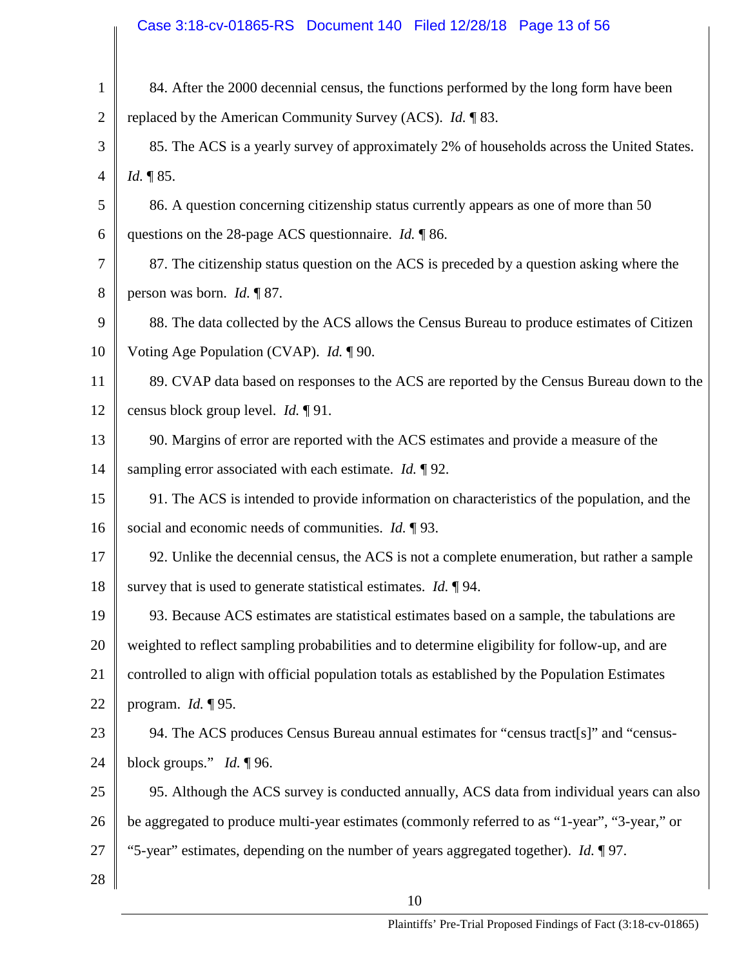# Case 3:18-cv-01865-RS Document 140 Filed 12/28/18 Page 13 of 56

| $\mathbf{1}$   | 84. After the 2000 decennial census, the functions performed by the long form have been        |
|----------------|------------------------------------------------------------------------------------------------|
| $\overline{2}$ | replaced by the American Community Survey (ACS). <i>Id.</i> 183.                               |
| 3              | 85. The ACS is a yearly survey of approximately 2% of households across the United States.     |
| 4              | <i>Id.</i> 185.                                                                                |
| 5              | 86. A question concerning citizenship status currently appears as one of more than 50          |
| 6              | questions on the 28-page ACS questionnaire. <i>Id.</i> $\sqrt{86}$ .                           |
| 7              | 87. The citizenship status question on the ACS is preceded by a question asking where the      |
| 8              | person was born. <i>Id.</i> $\sqrt{\phantom{a}}\!\!\!\!\sqrt{87}$ .                            |
| 9              | 88. The data collected by the ACS allows the Census Bureau to produce estimates of Citizen     |
| 10             | Voting Age Population (CVAP). Id. ¶90.                                                         |
| 11             | 89. CVAP data based on responses to the ACS are reported by the Census Bureau down to the      |
| 12             | census block group level. <i>Id.</i> $\P$ 91.                                                  |
| 13             | 90. Margins of error are reported with the ACS estimates and provide a measure of the          |
| 14             | sampling error associated with each estimate. <i>Id.</i> $\sqrt{92}$ .                         |
| 15             | 91. The ACS is intended to provide information on characteristics of the population, and the   |
| 16             | social and economic needs of communities. $Id. \P$ 93.                                         |
| 17             | 92. Unlike the decennial census, the ACS is not a complete enumeration, but rather a sample    |
| 18             | survey that is used to generate statistical estimates. <i>Id.</i> $\P$ 94.                     |
| 19             | 93. Because ACS estimates are statistical estimates based on a sample, the tabulations are     |
| 20             | weighted to reflect sampling probabilities and to determine eligibility for follow-up, and are |
| 21             | controlled to align with official population totals as established by the Population Estimates |
| 22             | program. $Id. \P$ 95.                                                                          |
| 23             | 94. The ACS produces Census Bureau annual estimates for "census tract[s]" and "census-         |
| 24             | block groups." Id. $\P$ 96.                                                                    |
| 25             | 95. Although the ACS survey is conducted annually, ACS data from individual years can also     |
| 26             | be aggregated to produce multi-year estimates (commonly referred to as "1-year", "3-year," or  |
| 27             | "5-year" estimates, depending on the number of years aggregated together). Id. ¶97.            |
| 28             |                                                                                                |
|                | 10                                                                                             |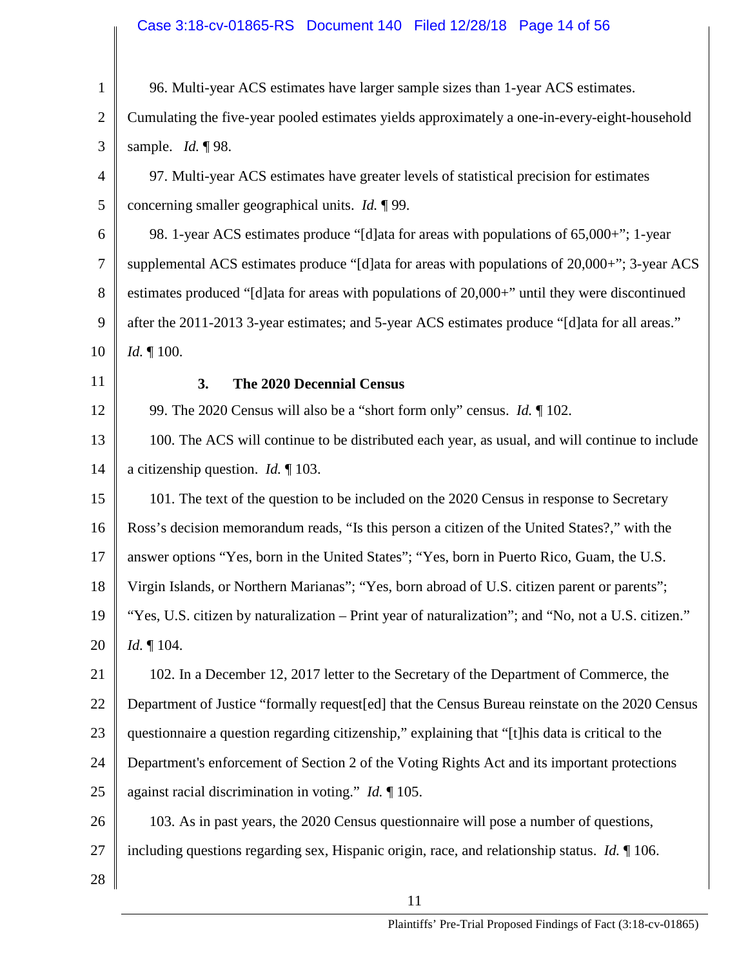# Case 3:18-cv-01865-RS Document 140 Filed 12/28/18 Page 14 of 56

| $\mathbf{1}$   | 96. Multi-year ACS estimates have larger sample sizes than 1-year ACS estimates.                                |
|----------------|-----------------------------------------------------------------------------------------------------------------|
| $\overline{2}$ | Cumulating the five-year pooled estimates yields approximately a one-in-every-eight-household                   |
| 3              | sample. <i>Id.</i> $\sqrt{98}$ .                                                                                |
| $\overline{4}$ | 97. Multi-year ACS estimates have greater levels of statistical precision for estimates                         |
| 5              | concerning smaller geographical units. Id. ¶99.                                                                 |
| 6              | 98. 1-year ACS estimates produce "[d]ata for areas with populations of 65,000+"; 1-year                         |
| 7              | supplemental ACS estimates produce "[d]ata for areas with populations of 20,000+"; 3-year ACS                   |
| 8              | estimates produced "[d]ata for areas with populations of 20,000+" until they were discontinued                  |
| 9              | after the 2011-2013 3-year estimates; and 5-year ACS estimates produce "[d] ata for all areas."                 |
| 10             | <i>Id.</i> $\P$ 100.                                                                                            |
| 11             | 3.<br>The 2020 Decennial Census                                                                                 |
| 12             | 99. The 2020 Census will also be a "short form only" census. <i>Id.</i> 102.                                    |
| 13             | 100. The ACS will continue to be distributed each year, as usual, and will continue to include                  |
| 14             | a citizenship question. <i>Id.</i> $\llbracket 103$ .                                                           |
| 15             | 101. The text of the question to be included on the 2020 Census in response to Secretary                        |
| 16             | Ross's decision memorandum reads, "Is this person a citizen of the United States?," with the                    |
| 17             | answer options "Yes, born in the United States"; "Yes, born in Puerto Rico, Guam, the U.S.                      |
| 18             | Virgin Islands, or Northern Marianas"; "Yes, born abroad of U.S. citizen parent or parents";                    |
| 19             | "Yes, U.S. citizen by naturalization – Print year of naturalization"; and "No, not a U.S. citizen."             |
| 20             | <i>Id.</i> $\P$ 104.                                                                                            |
| 21             | 102. In a December 12, 2017 letter to the Secretary of the Department of Commerce, the                          |
| 22             | Department of Justice "formally request [ed] that the Census Bureau reinstate on the 2020 Census                |
| 23             | questionnaire a question regarding citizenship," explaining that "[t] his data is critical to the               |
| 24             | Department's enforcement of Section 2 of the Voting Rights Act and its important protections                    |
| 25             | against racial discrimination in voting." <i>Id.</i> $\llbracket 105$ .                                         |
| 26             | 103. As in past years, the 2020 Census questionnaire will pose a number of questions,                           |
| 27             | including questions regarding sex, Hispanic origin, race, and relationship status. <i>Id.</i> $\llbracket$ 106. |
| 28             |                                                                                                                 |
|                |                                                                                                                 |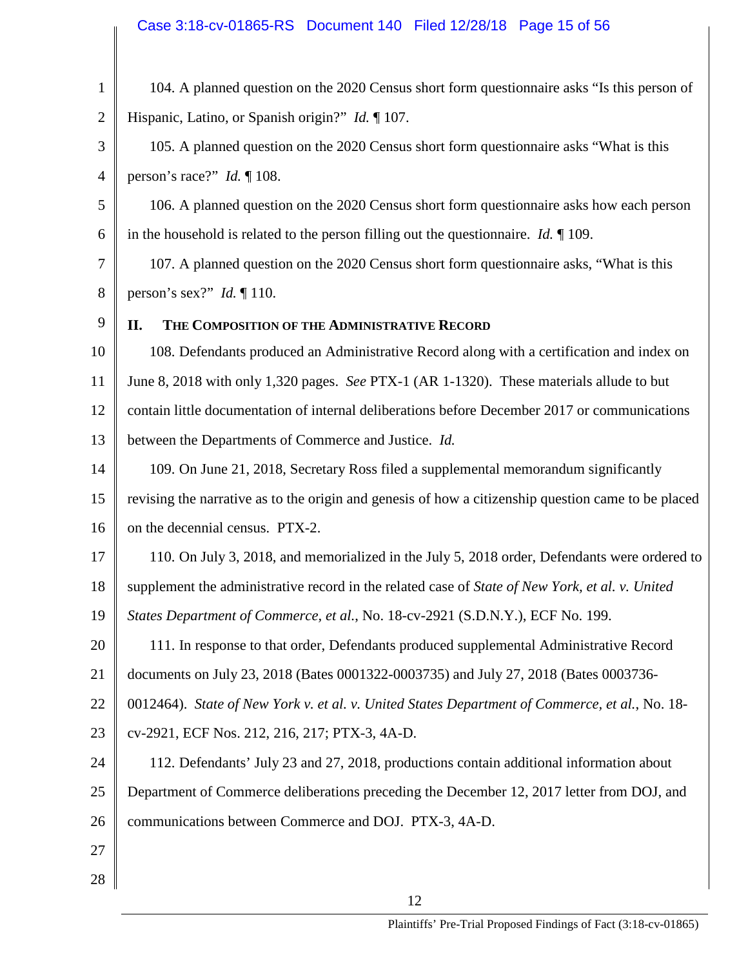# Case 3:18-cv-01865-RS Document 140 Filed 12/28/18 Page 15 of 56

| $\mathbf{1}$   | 104. A planned question on the 2020 Census short form questionnaire asks "Is this person of           |
|----------------|-------------------------------------------------------------------------------------------------------|
| $\overline{2}$ | Hispanic, Latino, or Spanish origin?" <i>Id.</i> 107.                                                 |
| 3              | 105. A planned question on the 2020 Census short form questionnaire asks "What is this                |
| 4              | person's race?" <i>Id.</i> $\P$ 108.                                                                  |
| 5              | 106. A planned question on the 2020 Census short form questionnaire asks how each person              |
| 6              | in the household is related to the person filling out the questionnaire. <i>Id.</i> $\llbracket$ 109. |
| 7              | 107. A planned question on the 2020 Census short form questionnaire asks, "What is this               |
| 8              | person's sex?" Id. $\P$ 110.                                                                          |
| 9              | THE COMPOSITION OF THE ADMINISTRATIVE RECORD<br>II.                                                   |
| 10             | 108. Defendants produced an Administrative Record along with a certification and index on             |
| 11             | June 8, 2018 with only 1,320 pages. See PTX-1 (AR 1-1320). These materials allude to but              |
| 12             | contain little documentation of internal deliberations before December 2017 or communications         |
| 13             | between the Departments of Commerce and Justice. Id.                                                  |
| 14             | 109. On June 21, 2018, Secretary Ross filed a supplemental memorandum significantly                   |
| 15             | revising the narrative as to the origin and genesis of how a citizenship question came to be placed   |
| 16             | on the decennial census. PTX-2.                                                                       |
| 17             | 110. On July 3, 2018, and memorialized in the July 5, 2018 order, Defendants were ordered to          |
| 18             | supplement the administrative record in the related case of State of New York, et al. v. United       |
| 19             | States Department of Commerce, et al., No. 18-cv-2921 (S.D.N.Y.), ECF No. 199.                        |
| 20             | 111. In response to that order, Defendants produced supplemental Administrative Record                |
| 21             | documents on July 23, 2018 (Bates 0001322-0003735) and July 27, 2018 (Bates 0003736-                  |
| 22             | 0012464). State of New York v. et al. v. United States Department of Commerce, et al., No. 18-        |
| 23             | cv-2921, ECF Nos. 212, 216, 217; PTX-3, 4A-D.                                                         |
| 24             | 112. Defendants' July 23 and 27, 2018, productions contain additional information about               |
| 25             | Department of Commerce deliberations preceding the December 12, 2017 letter from DOJ, and             |
| 26             | communications between Commerce and DOJ. PTX-3, 4A-D.                                                 |
| 27             |                                                                                                       |
| 28             |                                                                                                       |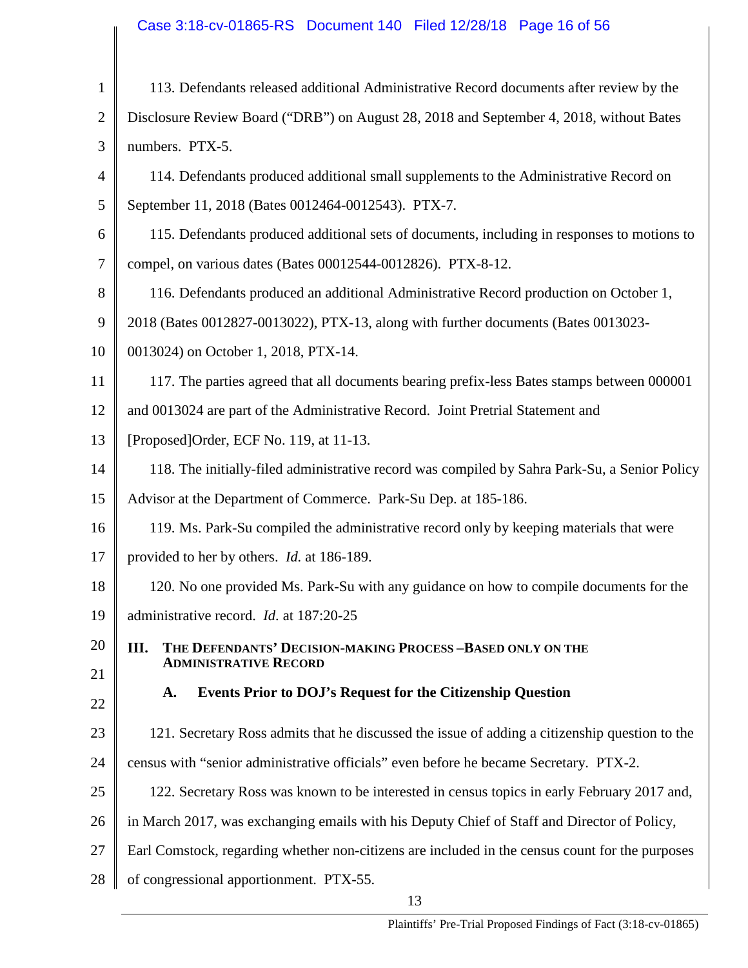# Case 3:18-cv-01865-RS Document 140 Filed 12/28/18 Page 16 of 56

| $\mathbf{1}$   | 113. Defendants released additional Administrative Record documents after review by the         |
|----------------|-------------------------------------------------------------------------------------------------|
| $\overline{2}$ | Disclosure Review Board ("DRB") on August 28, 2018 and September 4, 2018, without Bates         |
| 3              | numbers. PTX-5.                                                                                 |
| 4              | 114. Defendants produced additional small supplements to the Administrative Record on           |
| 5              | September 11, 2018 (Bates 0012464-0012543). PTX-7.                                              |
| 6              | 115. Defendants produced additional sets of documents, including in responses to motions to     |
| 7              | compel, on various dates (Bates 00012544-0012826). PTX-8-12.                                    |
| 8              | 116. Defendants produced an additional Administrative Record production on October 1,           |
| 9              | 2018 (Bates 0012827-0013022), PTX-13, along with further documents (Bates 0013023-              |
| 10             | 0013024) on October 1, 2018, PTX-14.                                                            |
| 11             | 117. The parties agreed that all documents bearing prefix-less Bates stamps between 000001      |
| 12             | and 0013024 are part of the Administrative Record. Joint Pretrial Statement and                 |
| 13             | [Proposed]Order, ECF No. 119, at 11-13.                                                         |
| 14             | 118. The initially-filed administrative record was compiled by Sahra Park-Su, a Senior Policy   |
| 15             | Advisor at the Department of Commerce. Park-Su Dep. at 185-186.                                 |
| 16             | 119. Ms. Park-Su compiled the administrative record only by keeping materials that were         |
| 17             | provided to her by others. <i>Id.</i> at 186-189.                                               |
| 18             | 120. No one provided Ms. Park-Su with any guidance on how to compile documents for the          |
| 19             | administrative record. Id. at 187:20-25                                                         |
| 20             | THE DEFENDANTS' DECISION-MAKING PROCESS-BASED ONLY ON THE<br>III.                               |
| 21             | <b>ADMINISTRATIVE RECORD</b>                                                                    |
| 22             | <b>Events Prior to DOJ's Request for the Citizenship Question</b><br>A.                         |
| 23             | 121. Secretary Ross admits that he discussed the issue of adding a citizenship question to the  |
| 24             | census with "senior administrative officials" even before he became Secretary. PTX-2.           |
| 25             | 122. Secretary Ross was known to be interested in census topics in early February 2017 and,     |
| 26             | in March 2017, was exchanging emails with his Deputy Chief of Staff and Director of Policy,     |
| 27             | Earl Comstock, regarding whether non-citizens are included in the census count for the purposes |
| 28             | of congressional apportionment. PTX-55.                                                         |
|                | 13                                                                                              |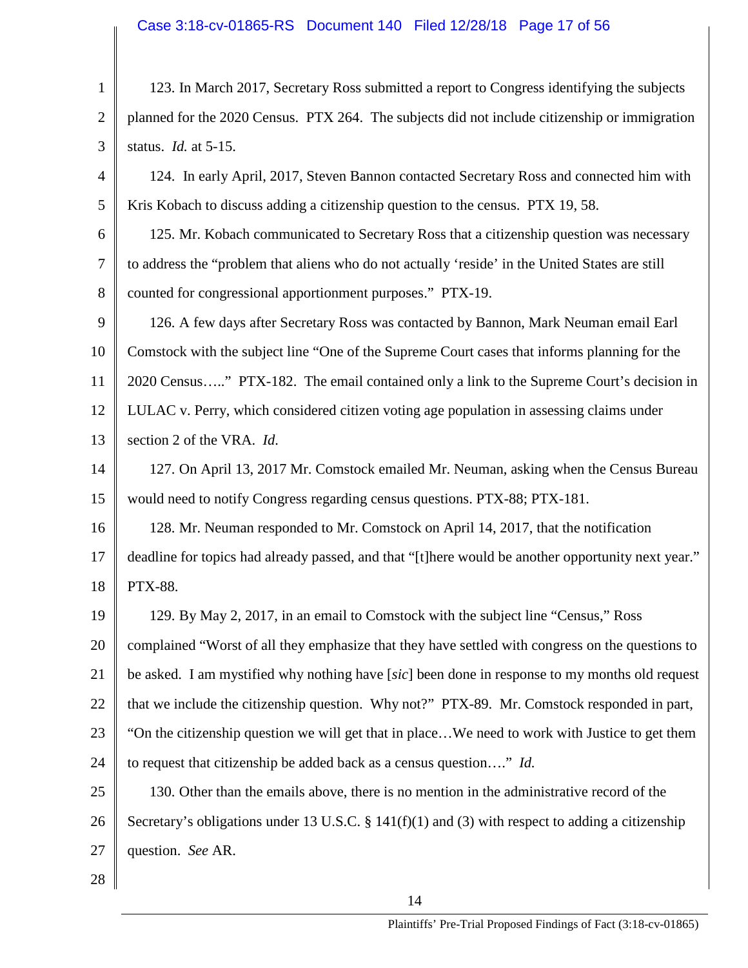### Case 3:18-cv-01865-RS Document 140 Filed 12/28/18 Page 17 of 56

1 2 3 4 5 6 7 123. In March 2017, Secretary Ross submitted a report to Congress identifying the subjects planned for the 2020 Census. PTX 264. The subjects did not include citizenship or immigration status. *Id.* at 5-15. 124. In early April, 2017, Steven Bannon contacted Secretary Ross and connected him with Kris Kobach to discuss adding a citizenship question to the census. PTX 19, 58. 125. Mr. Kobach communicated to Secretary Ross that a citizenship question was necessary to address the "problem that aliens who do not actually 'reside' in the United States are still

8 counted for congressional apportionment purposes." PTX-19.

9 10 11 12 13 126. A few days after Secretary Ross was contacted by Bannon, Mark Neuman email Earl Comstock with the subject line "One of the Supreme Court cases that informs planning for the 2020 Census….." PTX-182. The email contained only a link to the Supreme Court's decision in LULAC v. Perry, which considered citizen voting age population in assessing claims under section 2 of the VRA. *Id.* 

14 15 127. On April 13, 2017 Mr. Comstock emailed Mr. Neuman, asking when the Census Bureau would need to notify Congress regarding census questions. PTX-88; PTX-181.

16 17 18 128. Mr. Neuman responded to Mr. Comstock on April 14, 2017, that the notification deadline for topics had already passed, and that "[t]here would be another opportunity next year." PTX-88.

19 20 21 22 23 24 129. By May 2, 2017, in an email to Comstock with the subject line "Census," Ross complained "Worst of all they emphasize that they have settled with congress on the questions to be asked. I am mystified why nothing have [*sic*] been done in response to my months old request that we include the citizenship question. Why not?" PTX-89. Mr. Comstock responded in part, "On the citizenship question we will get that in place…We need to work with Justice to get them to request that citizenship be added back as a census question…." *Id.*

25 26 27 130. Other than the emails above, there is no mention in the administrative record of the Secretary's obligations under 13 U.S.C. § 141(f)(1) and (3) with respect to adding a citizenship question. *See* AR.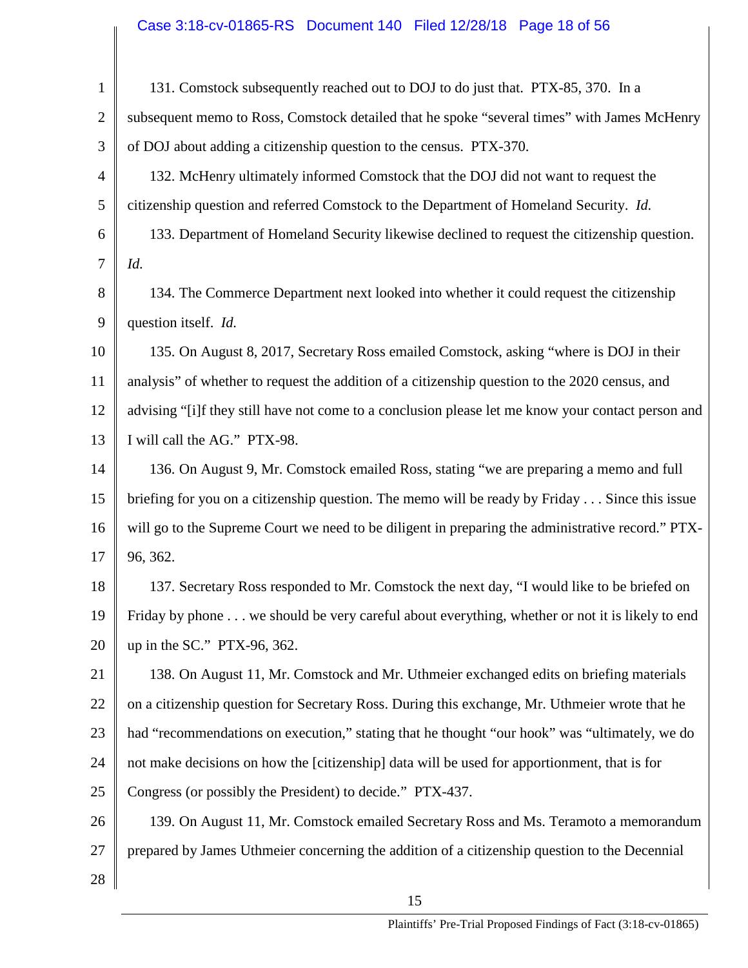# Case 3:18-cv-01865-RS Document 140 Filed 12/28/18 Page 18 of 56

| $\mathbf{1}$   | 131. Comstock subsequently reached out to DOJ to do just that. PTX-85, 370. In a                      |
|----------------|-------------------------------------------------------------------------------------------------------|
| $\overline{2}$ | subsequent memo to Ross, Comstock detailed that he spoke "several times" with James McHenry           |
| 3              | of DOJ about adding a citizenship question to the census. PTX-370.                                    |
| 4              | 132. McHenry ultimately informed Comstock that the DOJ did not want to request the                    |
| 5              | citizenship question and referred Comstock to the Department of Homeland Security. Id.                |
| 6              | 133. Department of Homeland Security likewise declined to request the citizenship question.           |
| $\overline{7}$ | Id.                                                                                                   |
| 8              | 134. The Commerce Department next looked into whether it could request the citizenship                |
| 9              | question itself. Id.                                                                                  |
| 10             | 135. On August 8, 2017, Secretary Ross emailed Comstock, asking "where is DOJ in their                |
| 11             | analysis" of whether to request the addition of a citizenship question to the 2020 census, and        |
| 12             | advising "[i]f they still have not come to a conclusion please let me know your contact person and    |
| 13             | I will call the AG." PTX-98.                                                                          |
| 14             | 136. On August 9, Mr. Comstock emailed Ross, stating "we are preparing a memo and full                |
| 15             | briefing for you on a citizenship question. The memo will be ready by Friday $\dots$ Since this issue |
| 16             | will go to the Supreme Court we need to be diligent in preparing the administrative record." PTX-     |
| 17             | 96, 362.                                                                                              |
| 18             | 137. Secretary Ross responded to Mr. Comstock the next day, "I would like to be briefed on            |
| 19             | Friday by phone we should be very careful about everything, whether or not it is likely to end        |
| 20             | up in the SC." PTX-96, 362.                                                                           |
| 21             | 138. On August 11, Mr. Comstock and Mr. Uthmeier exchanged edits on briefing materials                |
| 22             | on a citizenship question for Secretary Ross. During this exchange, Mr. Uthmeier wrote that he        |
| 23             | had "recommendations on execution," stating that he thought "our hook" was "ultimately, we do         |
| 24             | not make decisions on how the [citizenship] data will be used for apportionment, that is for          |
| 25             | Congress (or possibly the President) to decide." PTX-437.                                             |
| 26             | 139. On August 11, Mr. Comstock emailed Secretary Ross and Ms. Teramoto a memorandum                  |
| 27             | prepared by James Uthmeier concerning the addition of a citizenship question to the Decennial         |
| 28             |                                                                                                       |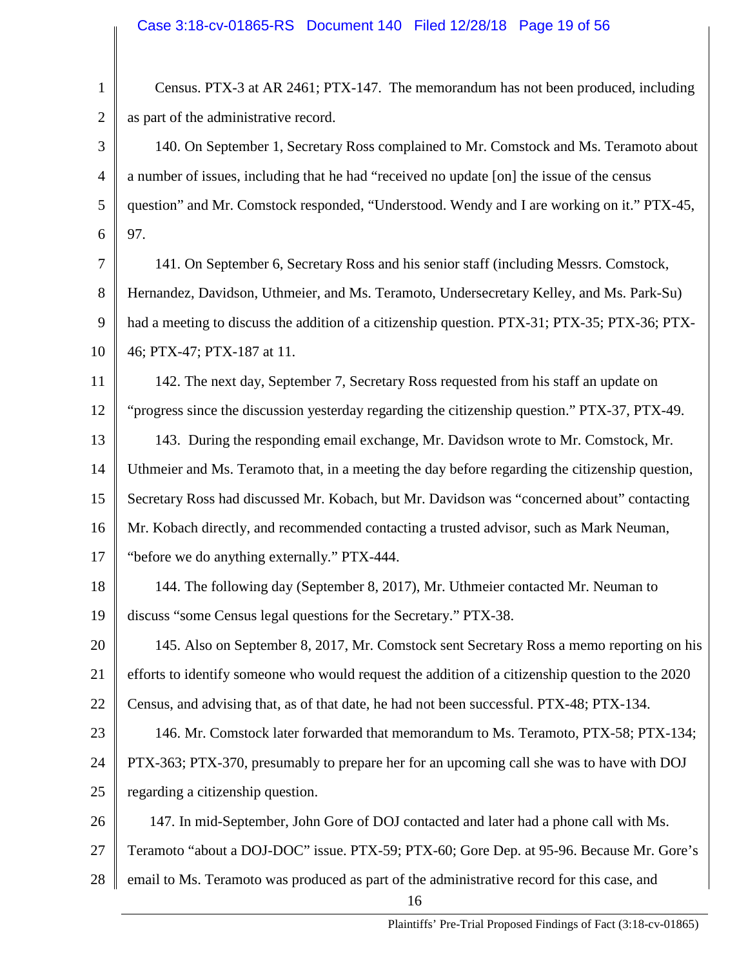1 2 3 4 5 6 7 8 9 10 11 12 13 14 15 16 17 18 19 20 21 22 23 24 25 26 27 28 16 Census. PTX-3 at AR 2461; PTX-147. The memorandum has not been produced, including as part of the administrative record. 140. On September 1, Secretary Ross complained to Mr. Comstock and Ms. Teramoto about a number of issues, including that he had "received no update [on] the issue of the census question" and Mr. Comstock responded, "Understood. Wendy and I are working on it." PTX-45, 97. 141. On September 6, Secretary Ross and his senior staff (including Messrs. Comstock, Hernandez, Davidson, Uthmeier, and Ms. Teramoto, Undersecretary Kelley, and Ms. Park-Su) had a meeting to discuss the addition of a citizenship question. PTX-31; PTX-35; PTX-36; PTX-46; PTX-47; PTX-187 at 11. 142. The next day, September 7, Secretary Ross requested from his staff an update on "progress since the discussion yesterday regarding the citizenship question." PTX-37, PTX-49. 143. During the responding email exchange, Mr. Davidson wrote to Mr. Comstock, Mr. Uthmeier and Ms. Teramoto that, in a meeting the day before regarding the citizenship question, Secretary Ross had discussed Mr. Kobach, but Mr. Davidson was "concerned about" contacting Mr. Kobach directly, and recommended contacting a trusted advisor, such as Mark Neuman, "before we do anything externally." PTX-444. 144. The following day (September 8, 2017), Mr. Uthmeier contacted Mr. Neuman to discuss "some Census legal questions for the Secretary." PTX-38. 145. Also on September 8, 2017, Mr. Comstock sent Secretary Ross a memo reporting on his efforts to identify someone who would request the addition of a citizenship question to the 2020 Census, and advising that, as of that date, he had not been successful. PTX-48; PTX-134. 146. Mr. Comstock later forwarded that memorandum to Ms. Teramoto, PTX-58; PTX-134; PTX-363; PTX-370, presumably to prepare her for an upcoming call she was to have with DOJ regarding a citizenship question. 147. In mid-September, John Gore of DOJ contacted and later had a phone call with Ms. Teramoto "about a DOJ-DOC" issue. PTX-59; PTX-60; Gore Dep. at 95-96. Because Mr. Gore's email to Ms. Teramoto was produced as part of the administrative record for this case, and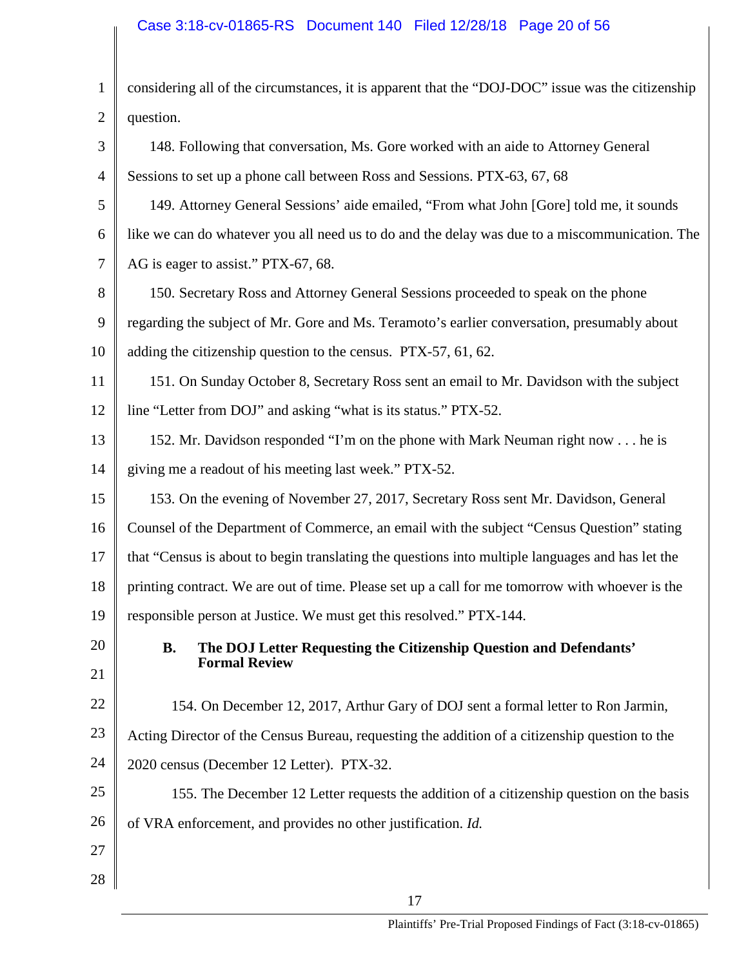# Case 3:18-cv-01865-RS Document 140 Filed 12/28/18 Page 20 of 56

| 1              | considering all of the circumstances, it is apparent that the "DOJ-DOC" issue was the citizenship |
|----------------|---------------------------------------------------------------------------------------------------|
| $\overline{2}$ | question.                                                                                         |
| 3              | 148. Following that conversation, Ms. Gore worked with an aide to Attorney General                |
| $\overline{4}$ | Sessions to set up a phone call between Ross and Sessions. PTX-63, 67, 68                         |
| 5              | 149. Attorney General Sessions' aide emailed, "From what John [Gore] told me, it sounds           |
| 6              | like we can do whatever you all need us to do and the delay was due to a miscommunication. The    |
| $\overline{7}$ | AG is eager to assist." PTX-67, 68.                                                               |
| 8              | 150. Secretary Ross and Attorney General Sessions proceeded to speak on the phone                 |
| 9              | regarding the subject of Mr. Gore and Ms. Teramoto's earlier conversation, presumably about       |
| 10             | adding the citizenship question to the census. PTX-57, 61, 62.                                    |
| 11             | 151. On Sunday October 8, Secretary Ross sent an email to Mr. Davidson with the subject           |
| 12             | line "Letter from DOJ" and asking "what is its status." PTX-52.                                   |
| 13             | 152. Mr. Davidson responded "I'm on the phone with Mark Neuman right now he is                    |
| 14             | giving me a readout of his meeting last week." PTX-52.                                            |
| 15             | 153. On the evening of November 27, 2017, Secretary Ross sent Mr. Davidson, General               |
| 16             | Counsel of the Department of Commerce, an email with the subject "Census Question" stating        |
| 17             | that "Census is about to begin translating the questions into multiple languages and has let the  |
| 18             | printing contract. We are out of time. Please set up a call for me tomorrow with whoever is the   |
| 19             | responsible person at Justice. We must get this resolved." PTX-144.                               |
| 20             | The DOJ Letter Requesting the Citizenship Question and Defendants'<br><b>B.</b>                   |
| 21             | <b>Formal Review</b>                                                                              |
| 22             | 154. On December 12, 2017, Arthur Gary of DOJ sent a formal letter to Ron Jarmin,                 |
| 23             | Acting Director of the Census Bureau, requesting the addition of a citizenship question to the    |
| 24             | 2020 census (December 12 Letter). PTX-32.                                                         |
| 25             | 155. The December 12 Letter requests the addition of a citizenship question on the basis          |
| 26             | of VRA enforcement, and provides no other justification. Id.                                      |
| 27             |                                                                                                   |
| 28             |                                                                                                   |
|                |                                                                                                   |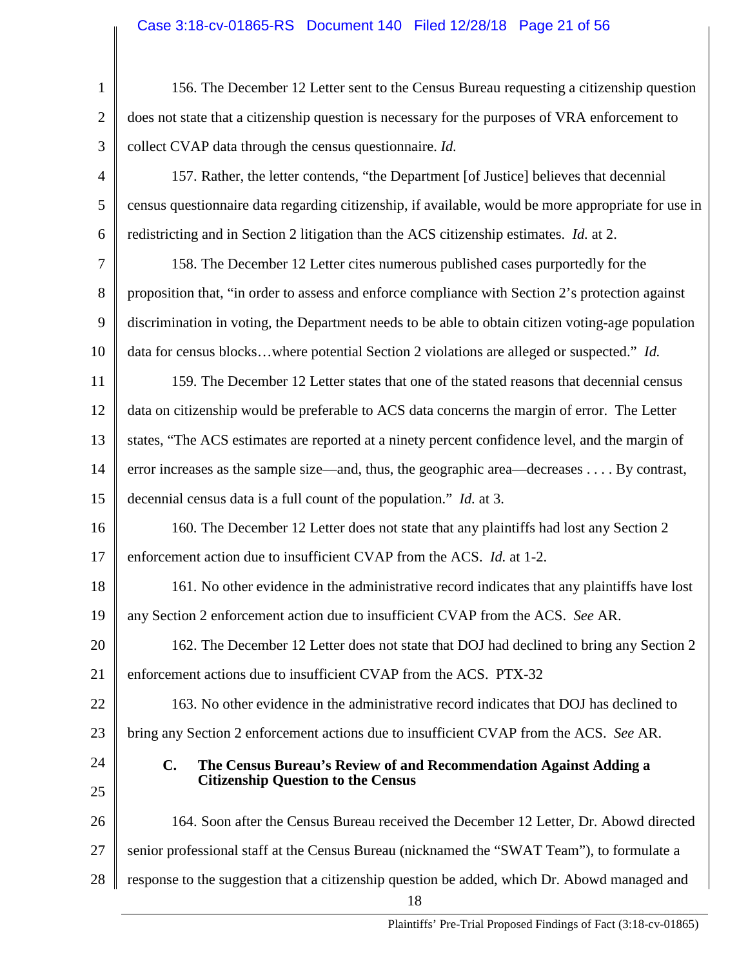| $\mathbf{1}$   | 156. The December 12 Letter sent to the Census Bureau requesting a citizenship question             |
|----------------|-----------------------------------------------------------------------------------------------------|
| $\overline{2}$ | does not state that a citizenship question is necessary for the purposes of VRA enforcement to      |
| 3              | collect CVAP data through the census questionnaire. Id.                                             |
| 4              | 157. Rather, the letter contends, "the Department [of Justice] believes that decennial              |
| 5              | census questionnaire data regarding citizenship, if available, would be more appropriate for use in |
| 6              | redistricting and in Section 2 litigation than the ACS citizenship estimates. Id. at 2.             |
| 7              | 158. The December 12 Letter cites numerous published cases purportedly for the                      |
| 8              | proposition that, "in order to assess and enforce compliance with Section 2's protection against    |
| 9              | discrimination in voting, the Department needs to be able to obtain citizen voting-age population   |
| 10             | data for census blockswhere potential Section 2 violations are alleged or suspected." Id.           |
| 11             | 159. The December 12 Letter states that one of the stated reasons that decennial census             |
| 12             | data on citizenship would be preferable to ACS data concerns the margin of error. The Letter        |
| 13             | states, "The ACS estimates are reported at a ninety percent confidence level, and the margin of     |
| 14             | error increases as the sample size—and, thus, the geographic area—decreases $\dots$ . By contrast,  |
| 15             | decennial census data is a full count of the population." <i>Id.</i> at 3.                          |
| 16             | 160. The December 12 Letter does not state that any plaintiffs had lost any Section 2               |
| 17             | enforcement action due to insufficient CVAP from the ACS. Id. at 1-2.                               |
| 18             | 161. No other evidence in the administrative record indicates that any plaintiffs have lost         |
| 19             | any Section 2 enforcement action due to insufficient CVAP from the ACS. See AR.                     |
| 20             | 162. The December 12 Letter does not state that DOJ had declined to bring any Section 2             |
| 21             | enforcement actions due to insufficient CVAP from the ACS. PTX-32                                   |
| 22             | 163. No other evidence in the administrative record indicates that DOJ has declined to              |
| 23             | bring any Section 2 enforcement actions due to insufficient CVAP from the ACS. See AR.              |
| 24             | $\mathbf{C}$ .<br>The Census Bureau's Review of and Recommendation Against Adding a                 |
| 25             | <b>Citizenship Question to the Census</b>                                                           |
| 26             | 164. Soon after the Census Bureau received the December 12 Letter, Dr. Abowd directed               |
| 27             | senior professional staff at the Census Bureau (nicknamed the "SWAT Team"), to formulate a          |
| 28             | response to the suggestion that a citizenship question be added, which Dr. Abowd managed and        |
|                | 18                                                                                                  |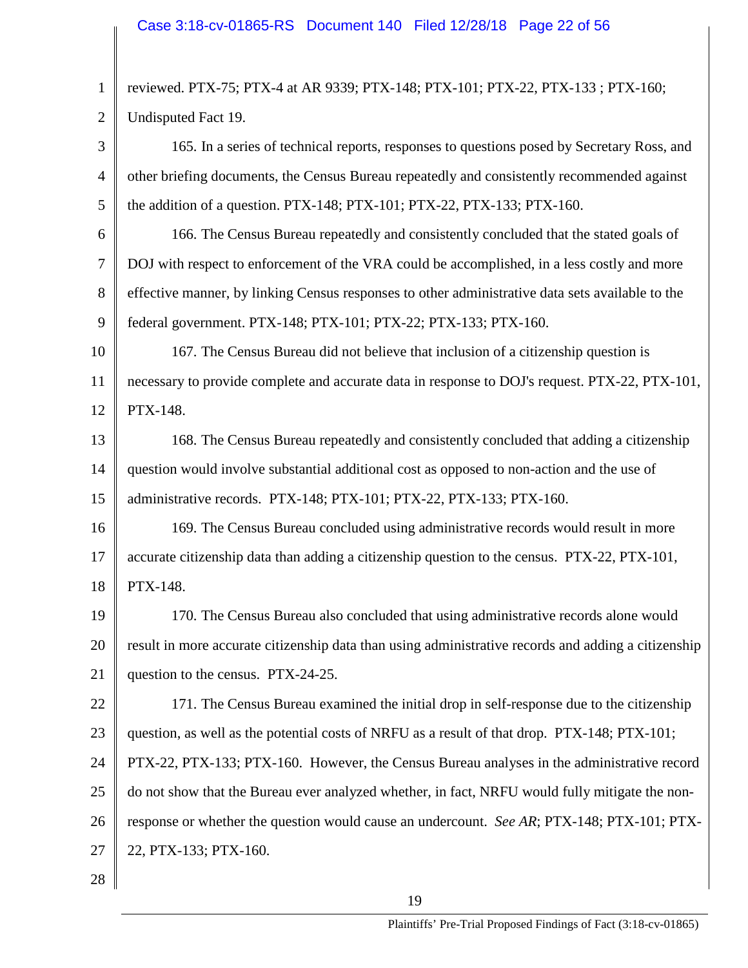1 2 3 4 5 6 7 8 9 10 11 12 13 14 15 16 17 18 19 20 21 22 23 24 25 26 27 28 reviewed. PTX-75; PTX-4 at AR 9339; PTX-148; PTX-101; PTX-22, PTX-133 ; PTX-160; Undisputed Fact 19. 165. In a series of technical reports, responses to questions posed by Secretary Ross, and other briefing documents, the Census Bureau repeatedly and consistently recommended against the addition of a question. PTX-148; PTX-101; PTX-22, PTX-133; PTX-160. 166. The Census Bureau repeatedly and consistently concluded that the stated goals of DOJ with respect to enforcement of the VRA could be accomplished, in a less costly and more effective manner, by linking Census responses to other administrative data sets available to the federal government. PTX-148; PTX-101; PTX-22; PTX-133; PTX-160. 167. The Census Bureau did not believe that inclusion of a citizenship question is necessary to provide complete and accurate data in response to DOJ's request. PTX-22, PTX-101, PTX-148. 168. The Census Bureau repeatedly and consistently concluded that adding a citizenship question would involve substantial additional cost as opposed to non-action and the use of administrative records. PTX-148; PTX-101; PTX-22, PTX-133; PTX-160. 169. The Census Bureau concluded using administrative records would result in more accurate citizenship data than adding a citizenship question to the census. PTX-22, PTX-101, PTX-148. 170. The Census Bureau also concluded that using administrative records alone would result in more accurate citizenship data than using administrative records and adding a citizenship question to the census. PTX-24-25. 171. The Census Bureau examined the initial drop in self-response due to the citizenship question, as well as the potential costs of NRFU as a result of that drop. PTX-148; PTX-101; PTX-22, PTX-133; PTX-160. However, the Census Bureau analyses in the administrative record do not show that the Bureau ever analyzed whether, in fact, NRFU would fully mitigate the nonresponse or whether the question would cause an undercount. *See AR*; PTX-148; PTX-101; PTX-22, PTX-133; PTX-160.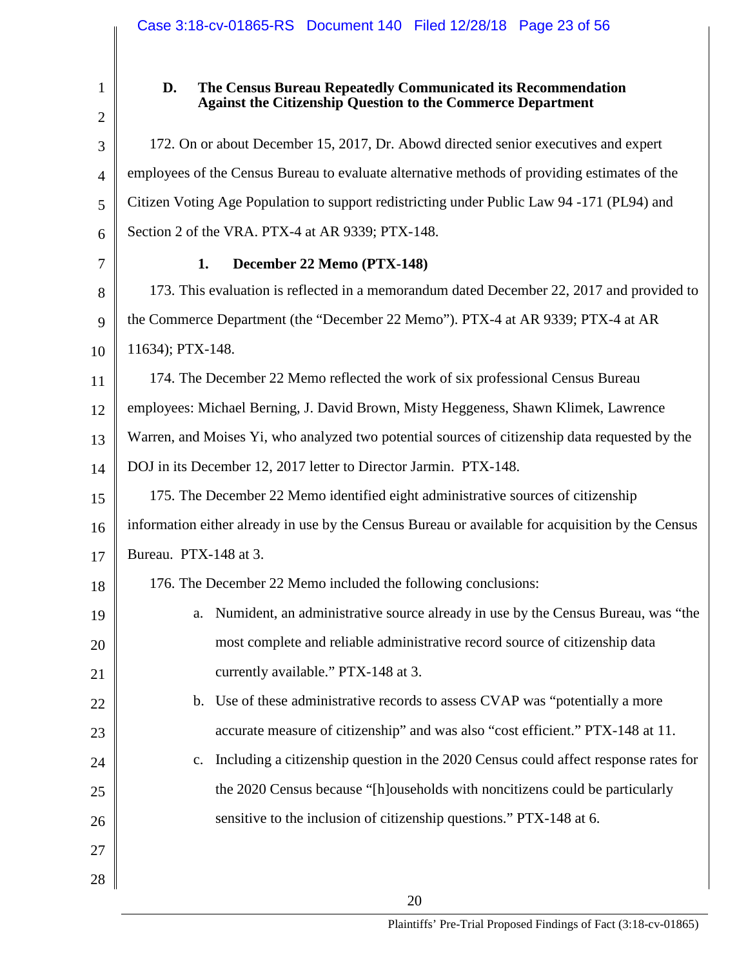2

1

#### **D. The Census Bureau Repeatedly Communicated its Recommendation Against the Citizenship Question to the Commerce Department**

3 4 5 6 7 8 9 10 11 12 13 14 15 16 17 18 19 20 21 22 23 24 25 26 27 28 172. On or about December 15, 2017, Dr. Abowd directed senior executives and expert employees of the Census Bureau to evaluate alternative methods of providing estimates of the Citizen Voting Age Population to support redistricting under Public Law 94 -171 (PL94) and Section 2 of the VRA. PTX-4 at AR 9339; PTX-148. **1. December 22 Memo (PTX-148)** 173. This evaluation is reflected in a memorandum dated December 22, 2017 and provided to the Commerce Department (the "December 22 Memo"). PTX-4 at AR 9339; PTX-4 at AR 11634); PTX-148. 174. The December 22 Memo reflected the work of six professional Census Bureau employees: Michael Berning, J. David Brown, Misty Heggeness, Shawn Klimek, Lawrence Warren, and Moises Yi, who analyzed two potential sources of citizenship data requested by the DOJ in its December 12, 2017 letter to Director Jarmin. PTX-148. 175. The December 22 Memo identified eight administrative sources of citizenship information either already in use by the Census Bureau or available for acquisition by the Census Bureau. PTX-148 at 3. 176. The December 22 Memo included the following conclusions: a. Numident, an administrative source already in use by the Census Bureau, was "the most complete and reliable administrative record source of citizenship data currently available." PTX-148 at 3. b. Use of these administrative records to assess CVAP was "potentially a more accurate measure of citizenship" and was also "cost efficient." PTX-148 at 11. c. Including a citizenship question in the 2020 Census could affect response rates for the 2020 Census because "[h]ouseholds with noncitizens could be particularly sensitive to the inclusion of citizenship questions." PTX-148 at 6.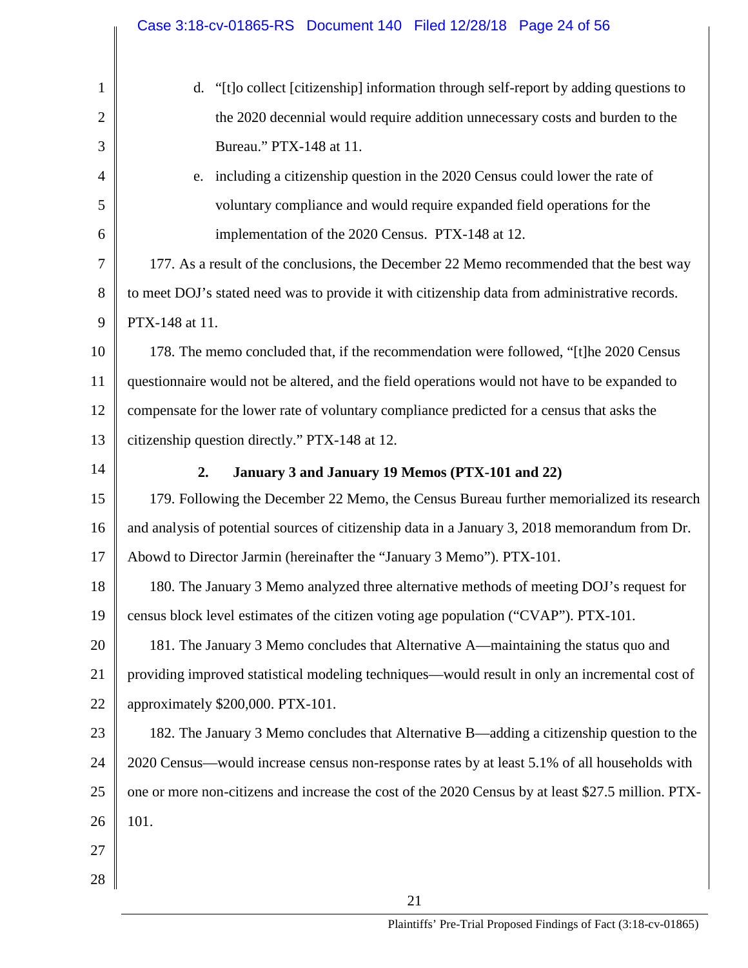|                                        | Case 3:18-cv-01865-RS Document 140 Filed 12/28/18 Page 24 of 56                                    |
|----------------------------------------|----------------------------------------------------------------------------------------------------|
|                                        |                                                                                                    |
| $\mathbf{1}$                           | d. "[t]o collect [citizenship] information through self-report by adding questions to              |
| $\overline{2}$                         | the 2020 decennial would require addition unnecessary costs and burden to the                      |
| 3                                      | Bureau." PTX-148 at 11.                                                                            |
| $\overline{4}$                         | e. including a citizenship question in the 2020 Census could lower the rate of                     |
| 5                                      | voluntary compliance and would require expanded field operations for the                           |
| 6                                      | implementation of the 2020 Census. PTX-148 at 12.                                                  |
| 7                                      | 177. As a result of the conclusions, the December 22 Memo recommended that the best way            |
| 8                                      | to meet DOJ's stated need was to provide it with citizenship data from administrative records.     |
| 9                                      | PTX-148 at 11.                                                                                     |
| 10                                     | 178. The memo concluded that, if the recommendation were followed, "[t]he 2020 Census              |
| 11                                     | questionnaire would not be altered, and the field operations would not have to be expanded to      |
| 12                                     | compensate for the lower rate of voluntary compliance predicted for a census that asks the         |
| 13                                     | citizenship question directly." PTX-148 at 12.                                                     |
|                                        |                                                                                                    |
|                                        | 2.<br>January 3 and January 19 Memos (PTX-101 and 22)                                              |
| 14<br>15                               | 179. Following the December 22 Memo, the Census Bureau further memorialized its research           |
|                                        | and analysis of potential sources of citizenship data in a January 3, 2018 memorandum from Dr.     |
|                                        | Abowd to Director Jarmin (hereinafter the "January 3 Memo"). PTX-101.                              |
| 16<br>17<br>18                         | 180. The January 3 Memo analyzed three alternative methods of meeting DOJ's request for            |
|                                        | census block level estimates of the citizen voting age population ("CVAP"). PTX-101.               |
|                                        | 181. The January 3 Memo concludes that Alternative A—maintaining the status quo and                |
|                                        | providing improved statistical modeling techniques—would result in only an incremental cost of     |
|                                        | approximately \$200,000. PTX-101.                                                                  |
|                                        | 182. The January 3 Memo concludes that Alternative B—adding a citizenship question to the          |
|                                        | 2020 Census—would increase census non-response rates by at least 5.1% of all households with       |
| 19<br>20<br>21<br>22<br>23<br>24<br>25 | one or more non-citizens and increase the cost of the 2020 Census by at least \$27.5 million. PTX- |
| 26                                     | 101.                                                                                               |
| 27                                     |                                                                                                    |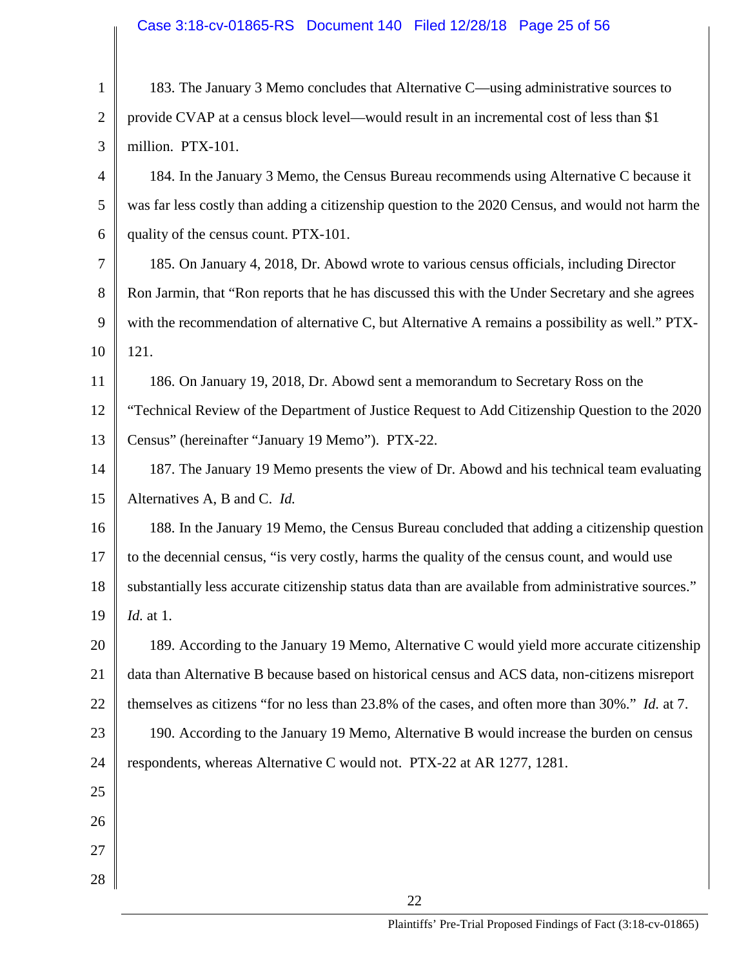# Case 3:18-cv-01865-RS Document 140 Filed 12/28/18 Page 25 of 56

| $\mathbf{1}$   | 183. The January 3 Memo concludes that Alternative C—using administrative sources to                 |
|----------------|------------------------------------------------------------------------------------------------------|
| $\overline{2}$ | provide CVAP at a census block level—would result in an incremental cost of less than \$1            |
| 3              | million. PTX-101.                                                                                    |
| $\overline{4}$ | 184. In the January 3 Memo, the Census Bureau recommends using Alternative C because it              |
| 5              | was far less costly than adding a citizenship question to the 2020 Census, and would not harm the    |
| 6              | quality of the census count. PTX-101.                                                                |
| 7              | 185. On January 4, 2018, Dr. Abowd wrote to various census officials, including Director             |
| 8              | Ron Jarmin, that "Ron reports that he has discussed this with the Under Secretary and she agrees     |
| 9              | with the recommendation of alternative C, but Alternative A remains a possibility as well." PTX-     |
| 10             | 121.                                                                                                 |
| 11             | 186. On January 19, 2018, Dr. Abowd sent a memorandum to Secretary Ross on the                       |
| 12             | "Technical Review of the Department of Justice Request to Add Citizenship Question to the 2020       |
| 13             | Census" (hereinafter "January 19 Memo"). PTX-22.                                                     |
| 14             | 187. The January 19 Memo presents the view of Dr. Abowd and his technical team evaluating            |
| 15             | Alternatives A, B and C. Id.                                                                         |
| 16             | 188. In the January 19 Memo, the Census Bureau concluded that adding a citizenship question          |
| 17             | to the decennial census, "is very costly, harms the quality of the census count, and would use       |
| 18             | substantially less accurate citizenship status data than are available from administrative sources." |
| 19             | <i>Id.</i> at 1.                                                                                     |
| 20             | 189. According to the January 19 Memo, Alternative C would yield more accurate citizenship           |
| 21             | data than Alternative B because based on historical census and ACS data, non-citizens misreport      |
| 22             | themselves as citizens "for no less than 23.8% of the cases, and often more than 30%." Id. at 7.     |
| 23             | 190. According to the January 19 Memo, Alternative B would increase the burden on census             |
| 24             | respondents, whereas Alternative C would not. PTX-22 at AR 1277, 1281.                               |
| 25             |                                                                                                      |
| 26             |                                                                                                      |
| 27             |                                                                                                      |
| 28             |                                                                                                      |
|                | 22                                                                                                   |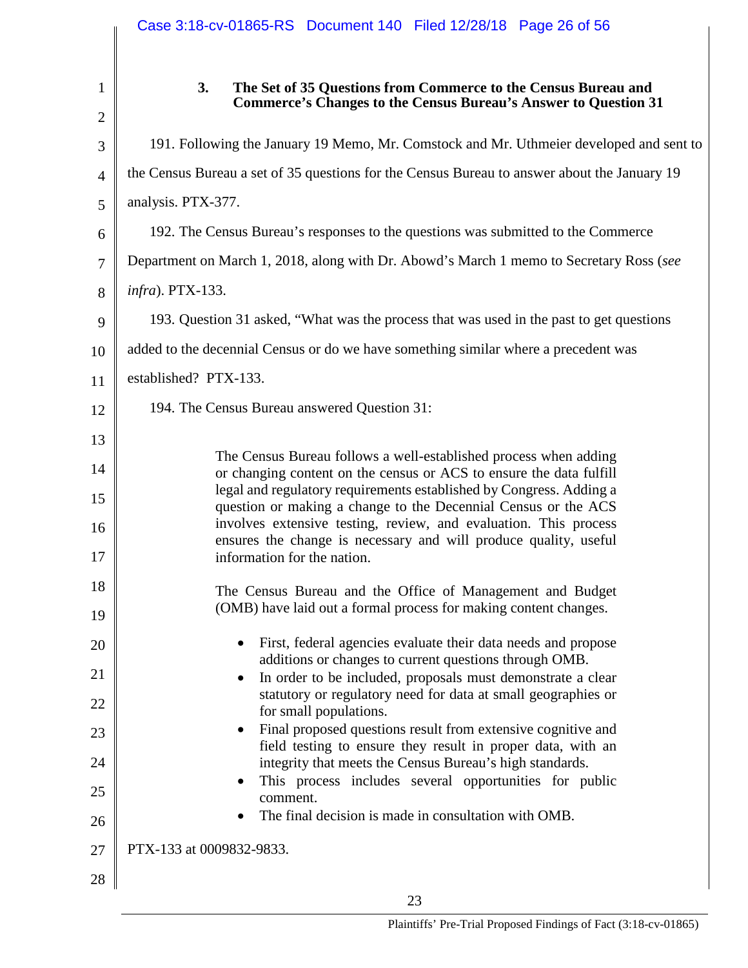|                                | Case 3:18-cv-01865-RS Document 140 Filed 12/28/18 Page 26 of 56                                                                                |
|--------------------------------|------------------------------------------------------------------------------------------------------------------------------------------------|
| $\mathbf{1}$<br>$\overline{2}$ | 3.<br>The Set of 35 Questions from Commerce to the Census Bureau and<br><b>Commerce's Changes to the Census Bureau's Answer to Question 31</b> |
| 3                              | 191. Following the January 19 Memo, Mr. Comstock and Mr. Uthmeier developed and sent to                                                        |
| $\overline{4}$                 | the Census Bureau a set of 35 questions for the Census Bureau to answer about the January 19                                                   |
| 5                              | analysis. PTX-377.                                                                                                                             |
| 6                              | 192. The Census Bureau's responses to the questions was submitted to the Commerce                                                              |
| $\overline{7}$                 | Department on March 1, 2018, along with Dr. Abowd's March 1 memo to Secretary Ross (see                                                        |
| 8                              | <i>infra</i> ). PTX-133.                                                                                                                       |
| 9                              | 193. Question 31 asked, "What was the process that was used in the past to get questions                                                       |
| 10                             | added to the decennial Census or do we have something similar where a precedent was                                                            |
| 11                             | established? PTX-133.                                                                                                                          |
| 12                             | 194. The Census Bureau answered Question 31:                                                                                                   |
| 13                             | The Census Bureau follows a well-established process when adding                                                                               |
| 14                             | or changing content on the census or ACS to ensure the data fulfill                                                                            |
| 15                             | legal and regulatory requirements established by Congress. Adding a<br>question or making a change to the Decennial Census or the ACS          |
| 16                             | involves extensive testing, review, and evaluation. This process<br>ensures the change is necessary and will produce quality, useful           |
| 17                             | information for the nation.                                                                                                                    |
| 18                             | The Census Bureau and the Office of Management and Budget                                                                                      |
| 19                             | (OMB) have laid out a formal process for making content changes.                                                                               |
| 20                             | First, federal agencies evaluate their data needs and propose<br>$\bullet$<br>additions or changes to current questions through OMB.           |
| 21                             | In order to be included, proposals must demonstrate a clear<br>$\bullet$<br>statutory or regulatory need for data at small geographies or      |
| 22                             | for small populations.                                                                                                                         |
| 23                             | Final proposed questions result from extensive cognitive and<br>$\bullet$<br>field testing to ensure they result in proper data, with an       |
| 24                             | integrity that meets the Census Bureau's high standards.<br>This process includes several opportunities for public<br>$\bullet$                |
| 25                             | comment.<br>The final decision is made in consultation with OMB.                                                                               |
| 26                             |                                                                                                                                                |
| 27                             | PTX-133 at 0009832-9833.                                                                                                                       |
| 28                             | 23                                                                                                                                             |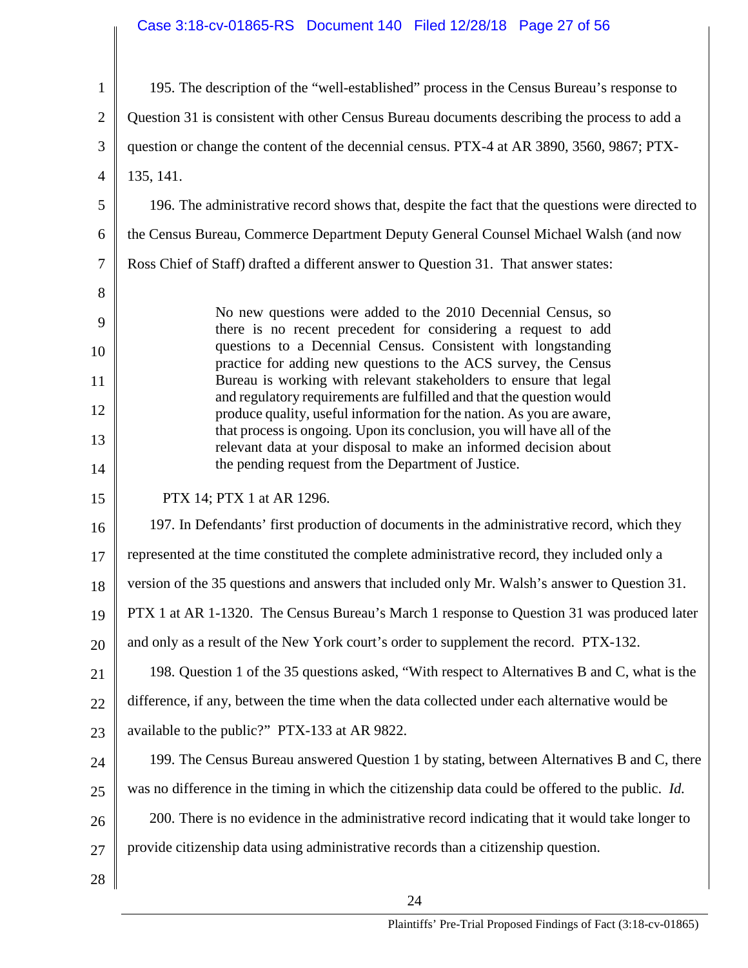# Case 3:18-cv-01865-RS Document 140 Filed 12/28/18 Page 27 of 56

| $\mathbf{1}$                         | 195. The description of the "well-established" process in the Census Bureau's response to                                                                                                                                                                                                                                                                                                                                                                                                                                                                                                                                                                                                      |
|--------------------------------------|------------------------------------------------------------------------------------------------------------------------------------------------------------------------------------------------------------------------------------------------------------------------------------------------------------------------------------------------------------------------------------------------------------------------------------------------------------------------------------------------------------------------------------------------------------------------------------------------------------------------------------------------------------------------------------------------|
| $\mathfrak{2}$                       | Question 31 is consistent with other Census Bureau documents describing the process to add a                                                                                                                                                                                                                                                                                                                                                                                                                                                                                                                                                                                                   |
| 3                                    | question or change the content of the decennial census. PTX-4 at AR 3890, 3560, 9867; PTX-                                                                                                                                                                                                                                                                                                                                                                                                                                                                                                                                                                                                     |
| $\overline{4}$                       | 135, 141.                                                                                                                                                                                                                                                                                                                                                                                                                                                                                                                                                                                                                                                                                      |
| 5                                    | 196. The administrative record shows that, despite the fact that the questions were directed to                                                                                                                                                                                                                                                                                                                                                                                                                                                                                                                                                                                                |
| 6                                    | the Census Bureau, Commerce Department Deputy General Counsel Michael Walsh (and now                                                                                                                                                                                                                                                                                                                                                                                                                                                                                                                                                                                                           |
| $\tau$                               | Ross Chief of Staff) drafted a different answer to Question 31. That answer states:                                                                                                                                                                                                                                                                                                                                                                                                                                                                                                                                                                                                            |
| 8<br>9<br>10<br>11<br>12<br>13<br>14 | No new questions were added to the 2010 Decennial Census, so<br>there is no recent precedent for considering a request to add<br>questions to a Decennial Census. Consistent with longstanding<br>practice for adding new questions to the ACS survey, the Census<br>Bureau is working with relevant stakeholders to ensure that legal<br>and regulatory requirements are fulfilled and that the question would<br>produce quality, useful information for the nation. As you are aware,<br>that process is ongoing. Upon its conclusion, you will have all of the<br>relevant data at your disposal to make an informed decision about<br>the pending request from the Department of Justice. |
|                                      |                                                                                                                                                                                                                                                                                                                                                                                                                                                                                                                                                                                                                                                                                                |
| 15                                   | PTX 14; PTX 1 at AR 1296.                                                                                                                                                                                                                                                                                                                                                                                                                                                                                                                                                                                                                                                                      |
| 16                                   | 197. In Defendants' first production of documents in the administrative record, which they                                                                                                                                                                                                                                                                                                                                                                                                                                                                                                                                                                                                     |
| 17                                   | represented at the time constituted the complete administrative record, they included only a                                                                                                                                                                                                                                                                                                                                                                                                                                                                                                                                                                                                   |
| 18                                   | version of the 35 questions and answers that included only Mr. Walsh's answer to Question 31.                                                                                                                                                                                                                                                                                                                                                                                                                                                                                                                                                                                                  |
|                                      | PTX 1 at AR 1-1320. The Census Bureau's March 1 response to Question 31 was produced later                                                                                                                                                                                                                                                                                                                                                                                                                                                                                                                                                                                                     |
| 19<br>20                             | and only as a result of the New York court's order to supplement the record. PTX-132.                                                                                                                                                                                                                                                                                                                                                                                                                                                                                                                                                                                                          |
| 21                                   | 198. Question 1 of the 35 questions asked, "With respect to Alternatives B and C, what is the                                                                                                                                                                                                                                                                                                                                                                                                                                                                                                                                                                                                  |
| 22                                   | difference, if any, between the time when the data collected under each alternative would be                                                                                                                                                                                                                                                                                                                                                                                                                                                                                                                                                                                                   |
| 23                                   | available to the public?" PTX-133 at AR 9822.                                                                                                                                                                                                                                                                                                                                                                                                                                                                                                                                                                                                                                                  |
| 24                                   | 199. The Census Bureau answered Question 1 by stating, between Alternatives B and C, there                                                                                                                                                                                                                                                                                                                                                                                                                                                                                                                                                                                                     |
| 25                                   | was no difference in the timing in which the citizenship data could be offered to the public. Id.                                                                                                                                                                                                                                                                                                                                                                                                                                                                                                                                                                                              |
| 26                                   | 200. There is no evidence in the administrative record indicating that it would take longer to                                                                                                                                                                                                                                                                                                                                                                                                                                                                                                                                                                                                 |
| 27                                   | provide citizenship data using administrative records than a citizenship question.                                                                                                                                                                                                                                                                                                                                                                                                                                                                                                                                                                                                             |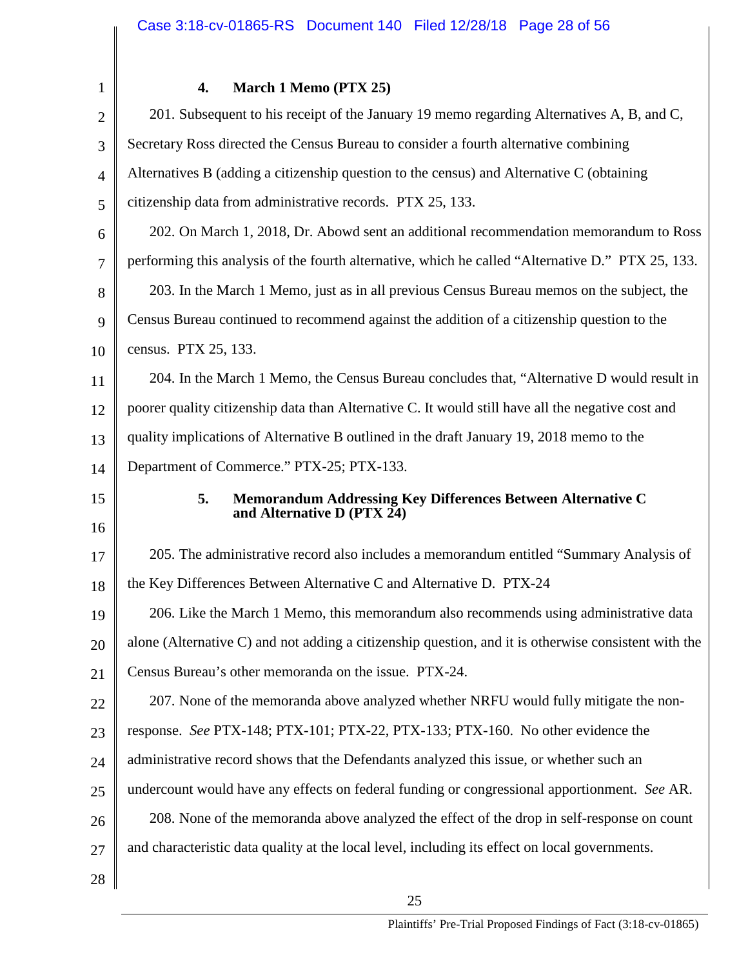| 1              | 4.<br>March 1 Memo (PTX 25)                                                                          |
|----------------|------------------------------------------------------------------------------------------------------|
| $\overline{2}$ | 201. Subsequent to his receipt of the January 19 memo regarding Alternatives A, B, and C,            |
| 3              | Secretary Ross directed the Census Bureau to consider a fourth alternative combining                 |
| $\overline{4}$ | Alternatives B (adding a citizenship question to the census) and Alternative C (obtaining            |
| 5              | citizenship data from administrative records. PTX 25, 133.                                           |
| 6              | 202. On March 1, 2018, Dr. Abowd sent an additional recommendation memorandum to Ross                |
| $\overline{7}$ | performing this analysis of the fourth alternative, which he called "Alternative D." PTX 25, 133.    |
| 8              | 203. In the March 1 Memo, just as in all previous Census Bureau memos on the subject, the            |
| 9              | Census Bureau continued to recommend against the addition of a citizenship question to the           |
| 10             | census. PTX 25, 133.                                                                                 |
| 11             | 204. In the March 1 Memo, the Census Bureau concludes that, "Alternative D would result in           |
| 12             | poorer quality citizenship data than Alternative C. It would still have all the negative cost and    |
| 13             | quality implications of Alternative B outlined in the draft January 19, 2018 memo to the             |
| 14             | Department of Commerce." PTX-25; PTX-133.                                                            |
| 15             | 5.<br>Memorandum Addressing Key Differences Between Alternative C                                    |
| 16             | and Alternative D (PTX 24)                                                                           |
|                | 205. The administrative record also includes a memorandum entitled "Summary Analysis of              |
| 17             |                                                                                                      |
| 18             | the Key Differences Between Alternative C and Alternative D. PTX-24                                  |
| 19             | 206. Like the March 1 Memo, this memorandum also recommends using administrative data                |
| 20             | alone (Alternative C) and not adding a citizenship question, and it is otherwise consistent with the |
| 21             | Census Bureau's other memoranda on the issue. PTX-24.                                                |
| 22             | 207. None of the memoranda above analyzed whether NRFU would fully mitigate the non-                 |
| 23             | response. See PTX-148; PTX-101; PTX-22, PTX-133; PTX-160. No other evidence the                      |
| 24             | administrative record shows that the Defendants analyzed this issue, or whether such an              |
| 25             | undercount would have any effects on federal funding or congressional apportionment. See AR.         |
| 26             | 208. None of the memoranda above analyzed the effect of the drop in self-response on count           |
| 27             | and characteristic data quality at the local level, including its effect on local governments.       |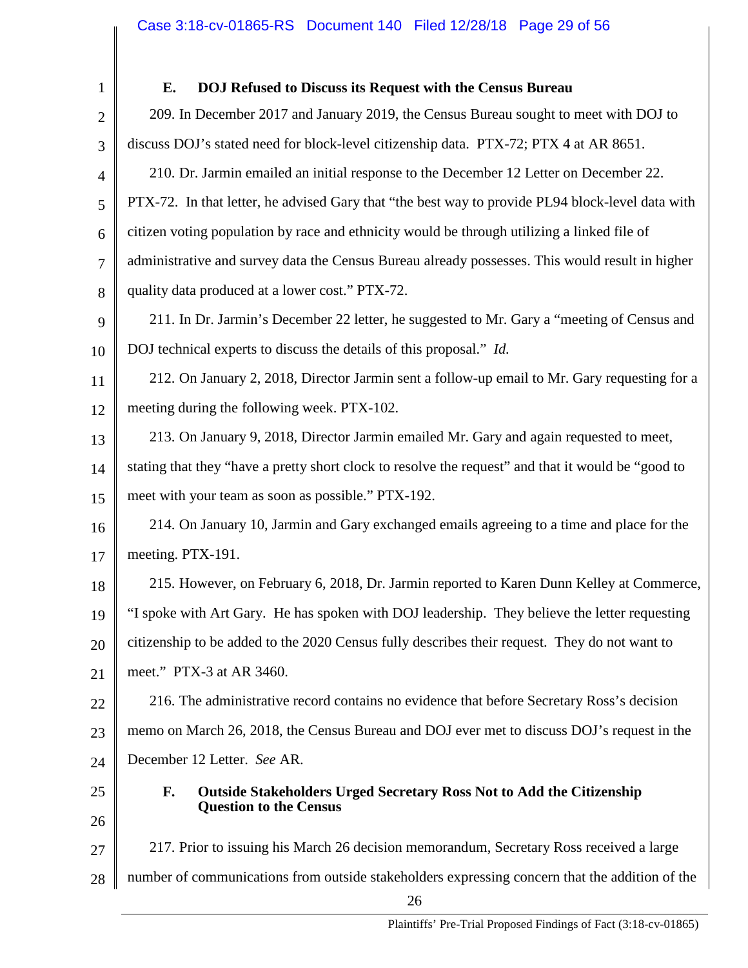1 2 3 4 5 6 7 8 9 10 11 12 13 14 15 16 17 18 19 20 21 22 23 24 25 26 27 28 26 **E. DOJ Refused to Discuss its Request with the Census Bureau** 209. In December 2017 and January 2019, the Census Bureau sought to meet with DOJ to discuss DOJ's stated need for block-level citizenship data. PTX-72; PTX 4 at AR 8651. 210. Dr. Jarmin emailed an initial response to the December 12 Letter on December 22. PTX-72. In that letter, he advised Gary that "the best way to provide PL94 block-level data with citizen voting population by race and ethnicity would be through utilizing a linked file of administrative and survey data the Census Bureau already possesses. This would result in higher quality data produced at a lower cost." PTX-72. 211. In Dr. Jarmin's December 22 letter, he suggested to Mr. Gary a "meeting of Census and DOJ technical experts to discuss the details of this proposal." *Id.* 212. On January 2, 2018, Director Jarmin sent a follow-up email to Mr. Gary requesting for a meeting during the following week. PTX-102. 213. On January 9, 2018, Director Jarmin emailed Mr. Gary and again requested to meet, stating that they "have a pretty short clock to resolve the request" and that it would be "good to meet with your team as soon as possible." PTX-192. 214. On January 10, Jarmin and Gary exchanged emails agreeing to a time and place for the meeting. PTX-191. 215. However, on February 6, 2018, Dr. Jarmin reported to Karen Dunn Kelley at Commerce, "I spoke with Art Gary. He has spoken with DOJ leadership. They believe the letter requesting citizenship to be added to the 2020 Census fully describes their request. They do not want to meet." PTX-3 at AR 3460. 216. The administrative record contains no evidence that before Secretary Ross's decision memo on March 26, 2018, the Census Bureau and DOJ ever met to discuss DOJ's request in the December 12 Letter. *See* AR. **F. Outside Stakeholders Urged Secretary Ross Not to Add the Citizenship Question to the Census**  217. Prior to issuing his March 26 decision memorandum, Secretary Ross received a large number of communications from outside stakeholders expressing concern that the addition of the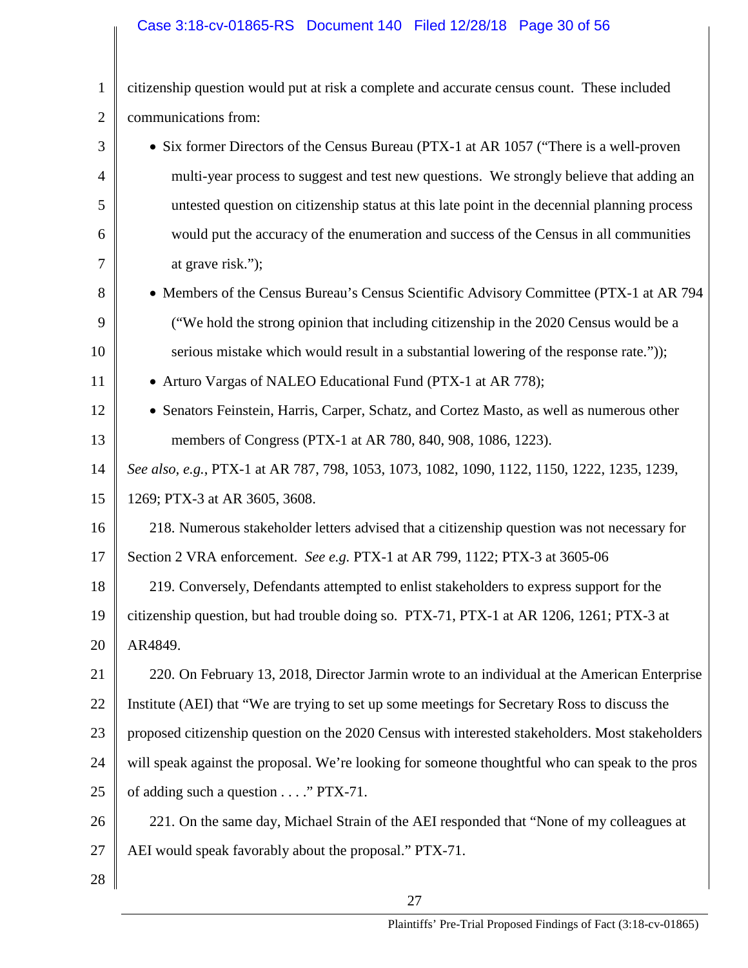# Case 3:18-cv-01865-RS Document 140 Filed 12/28/18 Page 30 of 56

| $\mathbf{1}$   | citizenship question would put at risk a complete and accurate census count. These included      |
|----------------|--------------------------------------------------------------------------------------------------|
| $\overline{2}$ | communications from:                                                                             |
| 3              | • Six former Directors of the Census Bureau (PTX-1 at AR 1057 ("There is a well-proven           |
| 4              | multi-year process to suggest and test new questions. We strongly believe that adding an         |
| 5              | untested question on citizenship status at this late point in the decennial planning process     |
| 6              | would put the accuracy of the enumeration and success of the Census in all communities           |
| 7              | at grave risk.");                                                                                |
| 8              | • Members of the Census Bureau's Census Scientific Advisory Committee (PTX-1 at AR 794           |
| 9              | ("We hold the strong opinion that including citizenship in the 2020 Census would be a            |
| 10             | serious mistake which would result in a substantial lowering of the response rate."));           |
| 11             | • Arturo Vargas of NALEO Educational Fund (PTX-1 at AR 778);                                     |
| 12             | • Senators Feinstein, Harris, Carper, Schatz, and Cortez Masto, as well as numerous other        |
| 13             | members of Congress (PTX-1 at AR 780, 840, 908, 1086, 1223).                                     |
| 14             | See also, e.g., PTX-1 at AR 787, 798, 1053, 1073, 1082, 1090, 1122, 1150, 1222, 1235, 1239,      |
| 15             | 1269; PTX-3 at AR 3605, 3608.                                                                    |
| 16             | 218. Numerous stakeholder letters advised that a citizenship question was not necessary for      |
| 17             | Section 2 VRA enforcement. See e.g. PTX-1 at AR 799, 1122; PTX-3 at 3605-06                      |
| 18             | 219. Conversely, Defendants attempted to enlist stakeholders to express support for the          |
| 19             | citizenship question, but had trouble doing so. PTX-71, PTX-1 at AR 1206, 1261; PTX-3 at         |
| 20             | AR4849.                                                                                          |
| 21             | 220. On February 13, 2018, Director Jarmin wrote to an individual at the American Enterprise     |
| 22             | Institute (AEI) that "We are trying to set up some meetings for Secretary Ross to discuss the    |
| 23             | proposed citizenship question on the 2020 Census with interested stakeholders. Most stakeholders |
| 24             | will speak against the proposal. We're looking for someone thoughtful who can speak to the pros  |
| 25             | of adding such a question " PTX-71.                                                              |
| 26             | 221. On the same day, Michael Strain of the AEI responded that "None of my colleagues at         |
| 27             | AEI would speak favorably about the proposal." PTX-71.                                           |
| 28             |                                                                                                  |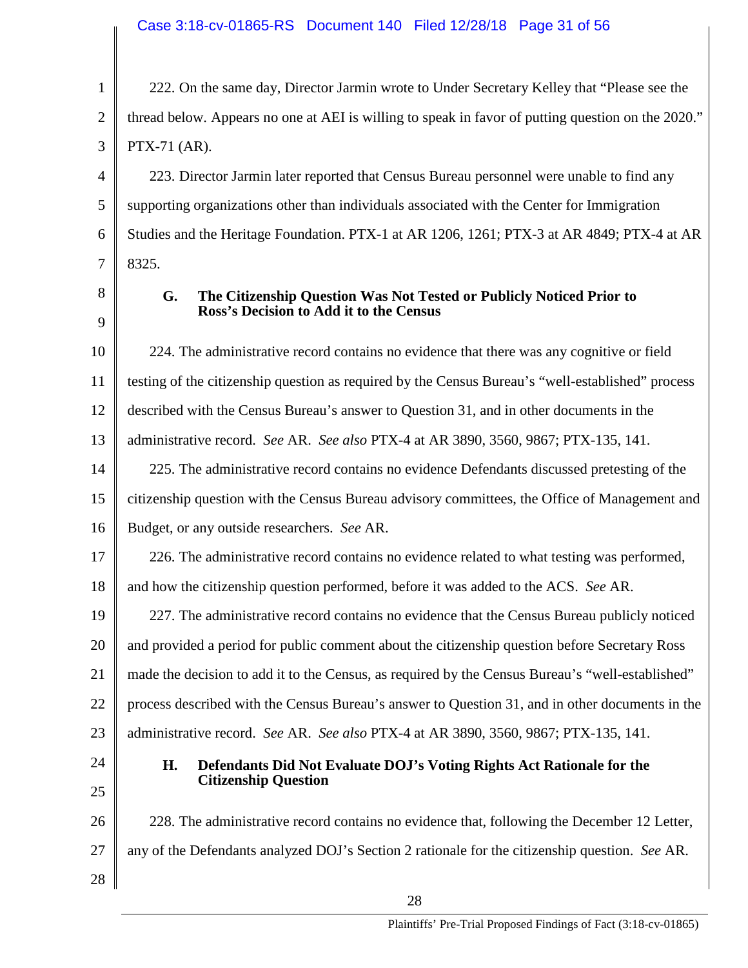1 2 3 222. On the same day, Director Jarmin wrote to Under Secretary Kelley that "Please see the thread below. Appears no one at AEI is willing to speak in favor of putting question on the 2020." PTX-71 (AR).

4 5 6 7 223. Director Jarmin later reported that Census Bureau personnel were unable to find any supporting organizations other than individuals associated with the Center for Immigration Studies and the Heritage Foundation. PTX-1 at AR 1206, 1261; PTX-3 at AR 4849; PTX-4 at AR 8325.

8

9

### **G. The Citizenship Question Was Not Tested or Publicly Noticed Prior to Ross's Decision to Add it to the Census**

10 11 12 13 224. The administrative record contains no evidence that there was any cognitive or field testing of the citizenship question as required by the Census Bureau's "well-established" process described with the Census Bureau's answer to Question 31, and in other documents in the administrative record. *See* AR. *See also* PTX-4 at AR 3890, 3560, 9867; PTX-135, 141.

14 15 16 225. The administrative record contains no evidence Defendants discussed pretesting of the citizenship question with the Census Bureau advisory committees, the Office of Management and Budget, or any outside researchers. *See* AR.

17 226. The administrative record contains no evidence related to what testing was performed,

18 and how the citizenship question performed, before it was added to the ACS. *See* AR.

19 20 21 22 23 227. The administrative record contains no evidence that the Census Bureau publicly noticed and provided a period for public comment about the citizenship question before Secretary Ross made the decision to add it to the Census, as required by the Census Bureau's "well-established" process described with the Census Bureau's answer to Question 31, and in other documents in the administrative record. *See* AR. *See also* PTX-4 at AR 3890, 3560, 9867; PTX-135, 141.

24 25

28

### **H. Defendants Did Not Evaluate DOJ's Voting Rights Act Rationale for the Citizenship Question**

26 27 228. The administrative record contains no evidence that, following the December 12 Letter, any of the Defendants analyzed DOJ's Section 2 rationale for the citizenship question. *See* AR.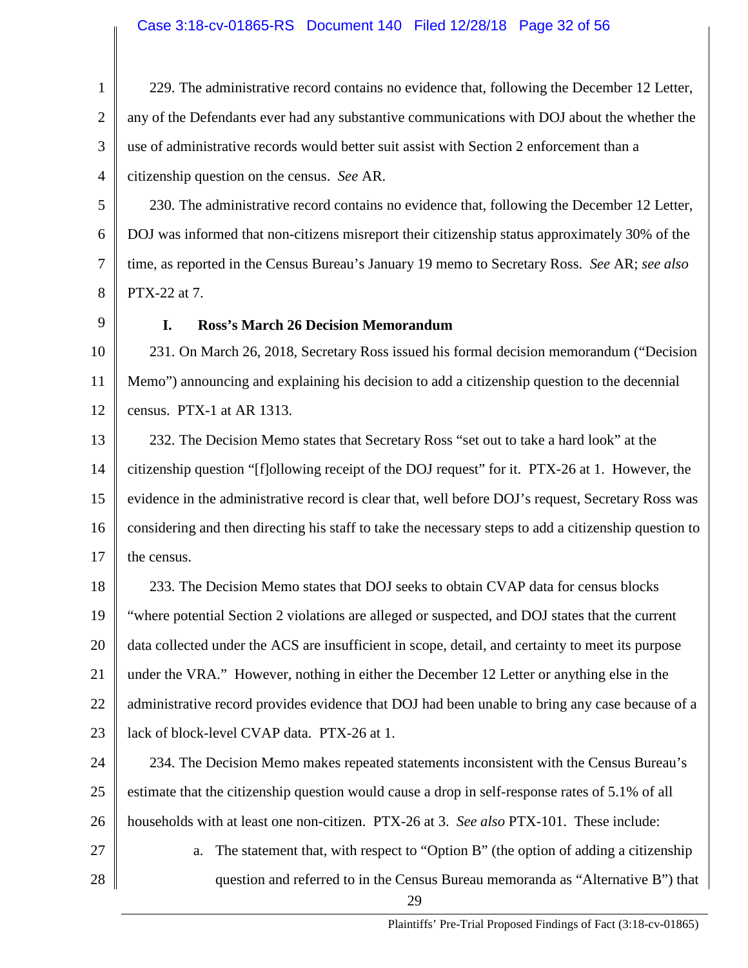1 2 3 4 229. The administrative record contains no evidence that, following the December 12 Letter, any of the Defendants ever had any substantive communications with DOJ about the whether the use of administrative records would better suit assist with Section 2 enforcement than a citizenship question on the census. *See* AR.

5 6 7 8 230. The administrative record contains no evidence that, following the December 12 Letter, DOJ was informed that non-citizens misreport their citizenship status approximately 30% of the time, as reported in the Census Bureau's January 19 memo to Secretary Ross. *See* AR; *see also*  PTX-22 at 7.

9

### **I. Ross's March 26 Decision Memorandum**

10 11 12 231. On March 26, 2018, Secretary Ross issued his formal decision memorandum ("Decision Memo") announcing and explaining his decision to add a citizenship question to the decennial census. PTX-1 at AR 1313.

13 14 15 16 17 232. The Decision Memo states that Secretary Ross "set out to take a hard look" at the citizenship question "[f]ollowing receipt of the DOJ request" for it. PTX-26 at 1. However, the evidence in the administrative record is clear that, well before DOJ's request, Secretary Ross was considering and then directing his staff to take the necessary steps to add a citizenship question to the census.

18 19 20 21 22 23 233. The Decision Memo states that DOJ seeks to obtain CVAP data for census blocks "where potential Section 2 violations are alleged or suspected, and DOJ states that the current data collected under the ACS are insufficient in scope, detail, and certainty to meet its purpose under the VRA." However, nothing in either the December 12 Letter or anything else in the administrative record provides evidence that DOJ had been unable to bring any case because of a lack of block-level CVAP data. PTX-26 at 1.

24 25 26 234. The Decision Memo makes repeated statements inconsistent with the Census Bureau's estimate that the citizenship question would cause a drop in self-response rates of 5.1% of all households with at least one non-citizen. PTX-26 at 3. *See also* PTX-101. These include:

- 27 28
- a. The statement that, with respect to "Option B" (the option of adding a citizenship question and referred to in the Census Bureau memoranda as "Alternative B") that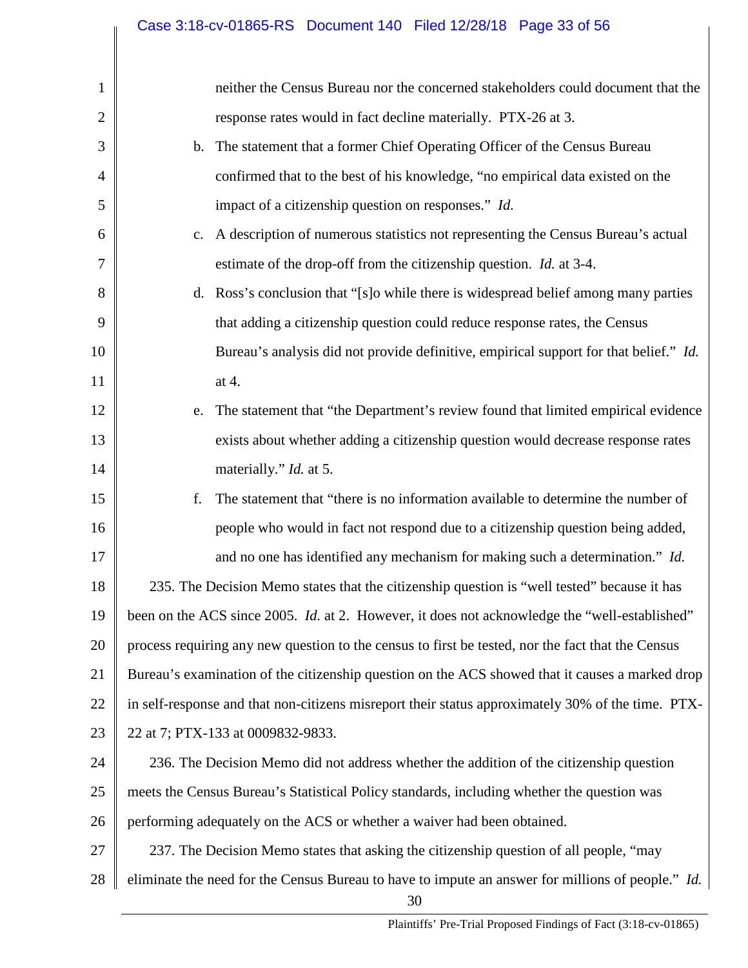| 1  | neither the Census Bureau nor the concerned stakeholders could document that the                        |
|----|---------------------------------------------------------------------------------------------------------|
| 2  | response rates would in fact decline materially. PTX-26 at 3.                                           |
| 3  | b. The statement that a former Chief Operating Officer of the Census Bureau                             |
| 4  | confirmed that to the best of his knowledge, "no empirical data existed on the                          |
| 5  | impact of a citizenship question on responses." Id.                                                     |
| 6  | A description of numerous statistics not representing the Census Bureau's actual<br>c.                  |
| 7  | estimate of the drop-off from the citizenship question. <i>Id.</i> at 3-4.                              |
| 8  | d. Ross's conclusion that "[s] o while there is widespread belief among many parties                    |
| 9  | that adding a citizenship question could reduce response rates, the Census                              |
| 10 | Bureau's analysis did not provide definitive, empirical support for that belief." Id.                   |
| 11 | at 4.                                                                                                   |
| 12 | The statement that "the Department's review found that limited empirical evidence<br>e.                 |
| 13 | exists about whether adding a citizenship question would decrease response rates                        |
| 14 | materially." <i>Id.</i> at 5.                                                                           |
| 15 | The statement that "there is no information available to determine the number of<br>f.                  |
| 16 | people who would in fact not respond due to a citizenship question being added,                         |
| 17 | and no one has identified any mechanism for making such a determination." Id.                           |
| 18 | 235. The Decision Memo states that the citizenship question is "well tested" because it has             |
| 19 | been on the ACS since 2005. Id. at 2. However, it does not acknowledge the "well-established"           |
| 20 | process requiring any new question to the census to first be tested, nor the fact that the Census       |
| 21 | Bureau's examination of the citizenship question on the ACS showed that it causes a marked drop         |
| 22 | in self-response and that non-citizens misreport their status approximately 30% of the time. PTX-       |
| 23 | 22 at 7; PTX-133 at 0009832-9833.                                                                       |
| 24 | 236. The Decision Memo did not address whether the addition of the citizenship question                 |
| 25 | meets the Census Bureau's Statistical Policy standards, including whether the question was              |
| 26 | performing adequately on the ACS or whether a waiver had been obtained.                                 |
| 27 | 237. The Decision Memo states that asking the citizenship question of all people, "may                  |
| 28 | eliminate the need for the Census Bureau to have to impute an answer for millions of people." Id.<br>30 |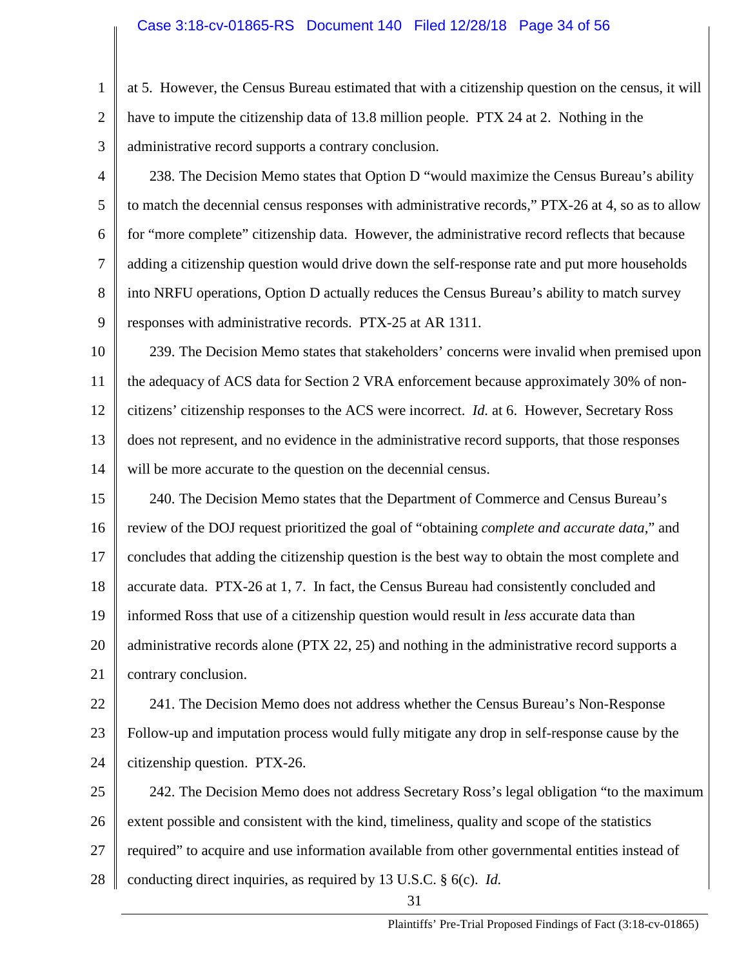- 1 2 3 at 5. However, the Census Bureau estimated that with a citizenship question on the census, it will have to impute the citizenship data of 13.8 million people. PTX 24 at 2. Nothing in the administrative record supports a contrary conclusion.
- 4 5 6 7 8 9 238. The Decision Memo states that Option D "would maximize the Census Bureau's ability to match the decennial census responses with administrative records," PTX-26 at 4, so as to allow for "more complete" citizenship data. However, the administrative record reflects that because adding a citizenship question would drive down the self-response rate and put more households into NRFU operations, Option D actually reduces the Census Bureau's ability to match survey responses with administrative records. PTX-25 at AR 1311.
- 10 11 12 13 14 239. The Decision Memo states that stakeholders' concerns were invalid when premised upon the adequacy of ACS data for Section 2 VRA enforcement because approximately 30% of noncitizens' citizenship responses to the ACS were incorrect. *Id.* at 6. However, Secretary Ross does not represent, and no evidence in the administrative record supports, that those responses will be more accurate to the question on the decennial census.
- 15 16 17 18 19 20 21 240. The Decision Memo states that the Department of Commerce and Census Bureau's review of the DOJ request prioritized the goal of "obtaining *complete and accurate data*," and concludes that adding the citizenship question is the best way to obtain the most complete and accurate data. PTX-26 at 1, 7. In fact, the Census Bureau had consistently concluded and informed Ross that use of a citizenship question would result in *less* accurate data than administrative records alone (PTX 22, 25) and nothing in the administrative record supports a contrary conclusion.
- 22 23 24 241. The Decision Memo does not address whether the Census Bureau's Non-Response Follow-up and imputation process would fully mitigate any drop in self-response cause by the citizenship question. PTX-26.
- 25 26 27 28 242. The Decision Memo does not address Secretary Ross's legal obligation "to the maximum extent possible and consistent with the kind, timeliness, quality and scope of the statistics required" to acquire and use information available from other governmental entities instead of conducting direct inquiries, as required by 13 U.S.C. § 6(c). *Id.*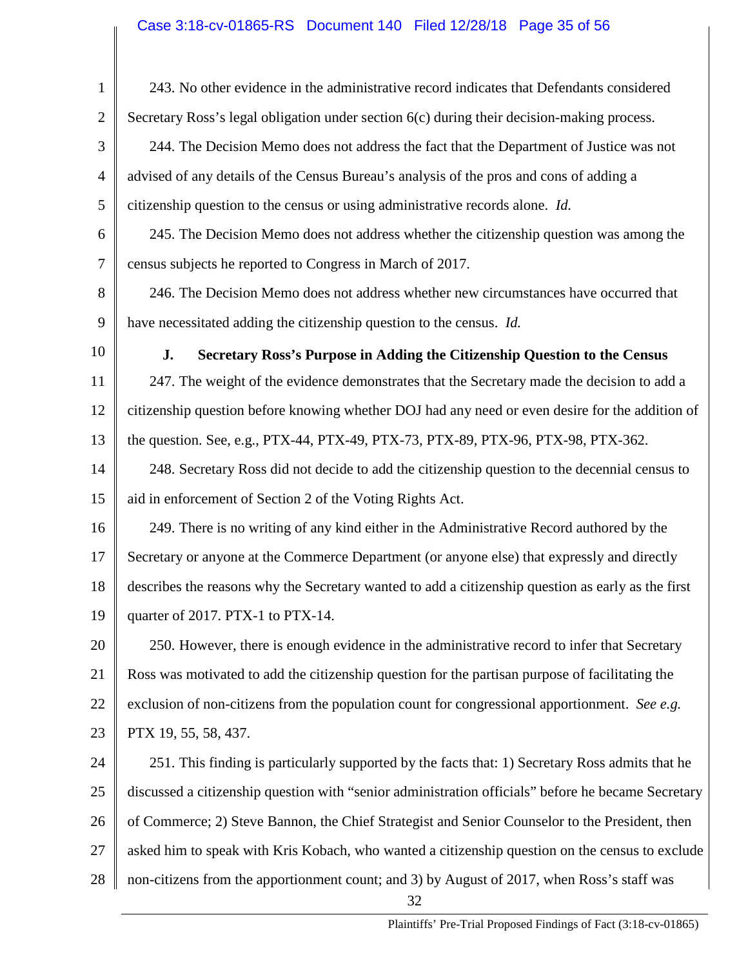| $\mathbf{1}$   | 243. No other evidence in the administrative record indicates that Defendants considered           |
|----------------|----------------------------------------------------------------------------------------------------|
| $\overline{2}$ | Secretary Ross's legal obligation under section 6(c) during their decision-making process.         |
| 3              | 244. The Decision Memo does not address the fact that the Department of Justice was not            |
| $\overline{4}$ | advised of any details of the Census Bureau's analysis of the pros and cons of adding a            |
| 5              | citizenship question to the census or using administrative records alone. Id.                      |
| 6              | 245. The Decision Memo does not address whether the citizenship question was among the             |
| $\overline{7}$ | census subjects he reported to Congress in March of 2017.                                          |
| 8              | 246. The Decision Memo does not address whether new circumstances have occurred that               |
| 9              | have necessitated adding the citizenship question to the census. Id.                               |
| 10             | Secretary Ross's Purpose in Adding the Citizenship Question to the Census<br>J.                    |
| 11             | 247. The weight of the evidence demonstrates that the Secretary made the decision to add a         |
| 12             | citizenship question before knowing whether DOJ had any need or even desire for the addition of    |
| 13             | the question. See, e.g., PTX-44, PTX-49, PTX-73, PTX-89, PTX-96, PTX-98, PTX-362.                  |
| 14             | 248. Secretary Ross did not decide to add the citizenship question to the decennial census to      |
| 15             | aid in enforcement of Section 2 of the Voting Rights Act.                                          |
| 16             | 249. There is no writing of any kind either in the Administrative Record authored by the           |
| 17             | Secretary or anyone at the Commerce Department (or anyone else) that expressly and directly        |
| 18             | describes the reasons why the Secretary wanted to add a citizenship question as early as the first |
| 19             | quarter of 2017. PTX-1 to PTX-14.                                                                  |
| 20             | 250. However, there is enough evidence in the administrative record to infer that Secretary        |
| 21             | Ross was motivated to add the citizenship question for the partisan purpose of facilitating the    |
| 22             | exclusion of non-citizens from the population count for congressional apportionment. See e.g.      |
| 23             | PTX 19, 55, 58, 437.                                                                               |
| 24             | 251. This finding is particularly supported by the facts that: 1) Secretary Ross admits that he    |
| 25             | discussed a citizenship question with "senior administration officials" before he became Secretary |
| 26             | of Commerce; 2) Steve Bannon, the Chief Strategist and Senior Counselor to the President, then     |
| 27             | asked him to speak with Kris Kobach, who wanted a citizenship question on the census to exclude    |
| 28             | non-citizens from the apportionment count; and 3) by August of 2017, when Ross's staff was<br>32   |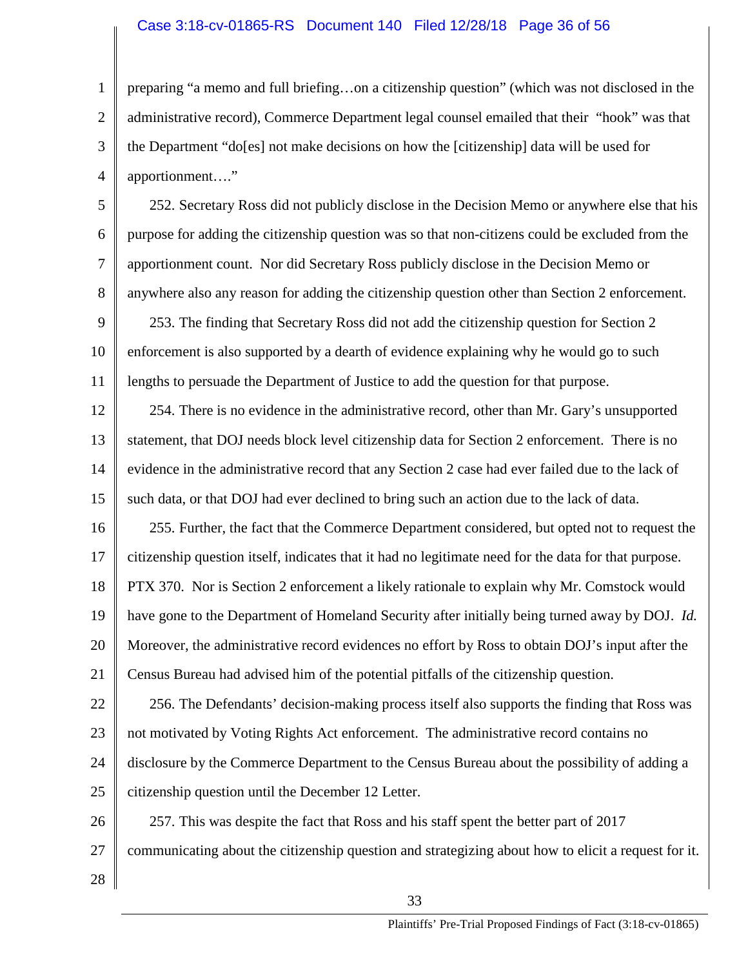### Case 3:18-cv-01865-RS Document 140 Filed 12/28/18 Page 36 of 56

1 2 3 4 preparing "a memo and full briefing…on a citizenship question" (which was not disclosed in the administrative record), Commerce Department legal counsel emailed that their "hook" was that the Department "do[es] not make decisions on how the [citizenship] data will be used for apportionment…."

6 7 8 252. Secretary Ross did not publicly disclose in the Decision Memo or anywhere else that his purpose for adding the citizenship question was so that non-citizens could be excluded from the apportionment count. Nor did Secretary Ross publicly disclose in the Decision Memo or anywhere also any reason for adding the citizenship question other than Section 2 enforcement.

9 10 11 253. The finding that Secretary Ross did not add the citizenship question for Section 2 enforcement is also supported by a dearth of evidence explaining why he would go to such lengths to persuade the Department of Justice to add the question for that purpose.

12 13 14 15 254. There is no evidence in the administrative record, other than Mr. Gary's unsupported statement, that DOJ needs block level citizenship data for Section 2 enforcement. There is no evidence in the administrative record that any Section 2 case had ever failed due to the lack of such data, or that DOJ had ever declined to bring such an action due to the lack of data.

16 17 18 19 255. Further, the fact that the Commerce Department considered, but opted not to request the citizenship question itself, indicates that it had no legitimate need for the data for that purpose. PTX 370. Nor is Section 2 enforcement a likely rationale to explain why Mr. Comstock would have gone to the Department of Homeland Security after initially being turned away by DOJ. *Id.* 

20 Moreover, the administrative record evidences no effort by Ross to obtain DOJ's input after the

21 Census Bureau had advised him of the potential pitfalls of the citizenship question.

22 23 24 25 256. The Defendants' decision-making process itself also supports the finding that Ross was not motivated by Voting Rights Act enforcement. The administrative record contains no disclosure by the Commerce Department to the Census Bureau about the possibility of adding a citizenship question until the December 12 Letter.

26 257. This was despite the fact that Ross and his staff spent the better part of 2017

- 27 communicating about the citizenship question and strategizing about how to elicit a request for it.
- 28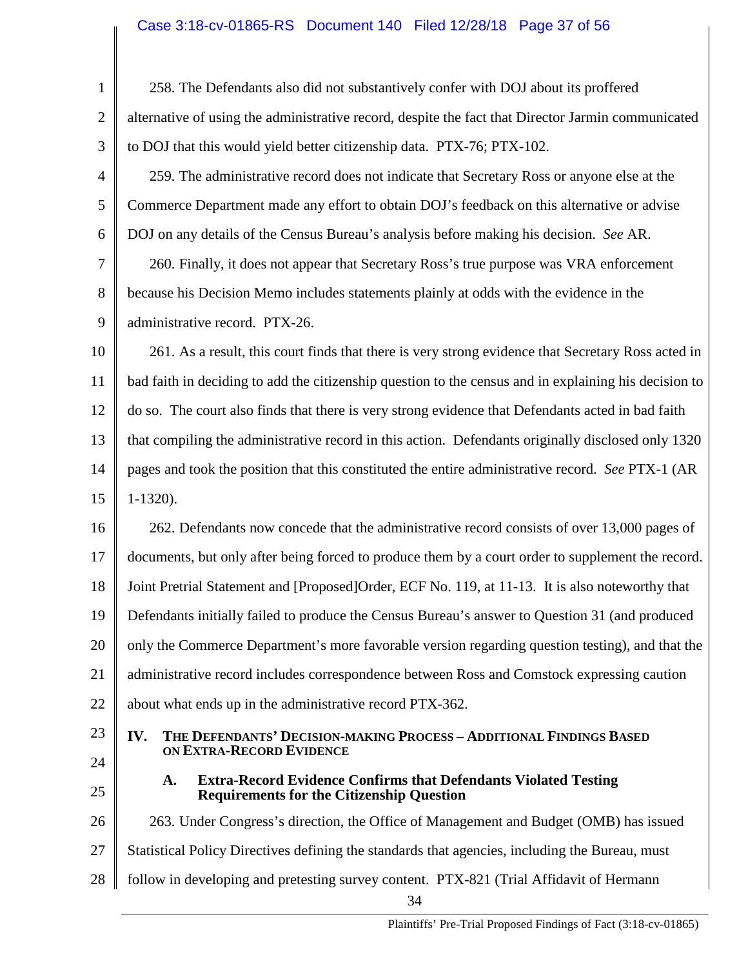# Case 3:18-cv-01865-RS Document 140 Filed 12/28/18 Page 37 of 56

| $\mathbf{1}$   | 258. The Defendants also did not substantively confer with DOJ about its proffered                                               |
|----------------|----------------------------------------------------------------------------------------------------------------------------------|
| $\overline{2}$ | alternative of using the administrative record, despite the fact that Director Jarmin communicated                               |
| 3              | to DOJ that this would yield better citizenship data. PTX-76; PTX-102.                                                           |
| 4              | 259. The administrative record does not indicate that Secretary Ross or anyone else at the                                       |
| 5              | Commerce Department made any effort to obtain DOJ's feedback on this alternative or advise                                       |
| 6              | DOJ on any details of the Census Bureau's analysis before making his decision. See AR.                                           |
| 7              | 260. Finally, it does not appear that Secretary Ross's true purpose was VRA enforcement                                          |
| 8              | because his Decision Memo includes statements plainly at odds with the evidence in the                                           |
| 9              | administrative record. PTX-26.                                                                                                   |
| 10             | 261. As a result, this court finds that there is very strong evidence that Secretary Ross acted in                               |
| 11             | bad faith in deciding to add the citizenship question to the census and in explaining his decision to                            |
| 12             | do so. The court also finds that there is very strong evidence that Defendants acted in bad faith                                |
| 13             | that compiling the administrative record in this action. Defendants originally disclosed only 1320                               |
| 14             | pages and took the position that this constituted the entire administrative record. See PTX-1 (AR                                |
| 15             | $1-1320$ ).                                                                                                                      |
| 16             | 262. Defendants now concede that the administrative record consists of over 13,000 pages of                                      |
| 17             | documents, but only after being forced to produce them by a court order to supplement the record.                                |
| 18             | Joint Pretrial Statement and [Proposed]Order, ECF No. 119, at 11-13. It is also noteworthy that                                  |
| 19             | Defendants initially failed to produce the Census Bureau's answer to Question 31 (and produced                                   |
| 20             | only the Commerce Department's more favorable version regarding question testing), and that the                                  |
| 21             | administrative record includes correspondence between Ross and Comstock expressing caution                                       |
| 22             | about what ends up in the administrative record PTX-362.                                                                         |
| 23             | THE DEFENDANTS' DECISION-MAKING PROCESS - ADDITIONAL FINDINGS BASED<br>IV.<br>ON EXTRA-RECORD EVIDENCE                           |
| 24             |                                                                                                                                  |
| 25             | <b>Extra-Record Evidence Confirms that Defendants Violated Testing</b><br>A.<br><b>Requirements for the Citizenship Question</b> |
| 26             | 263. Under Congress's direction, the Office of Management and Budget (OMB) has issued                                            |
| 27             | Statistical Policy Directives defining the standards that agencies, including the Bureau, must                                   |
| 28             | follow in developing and pretesting survey content. PTX-821 (Trial Affidavit of Hermann                                          |
|                | 34                                                                                                                               |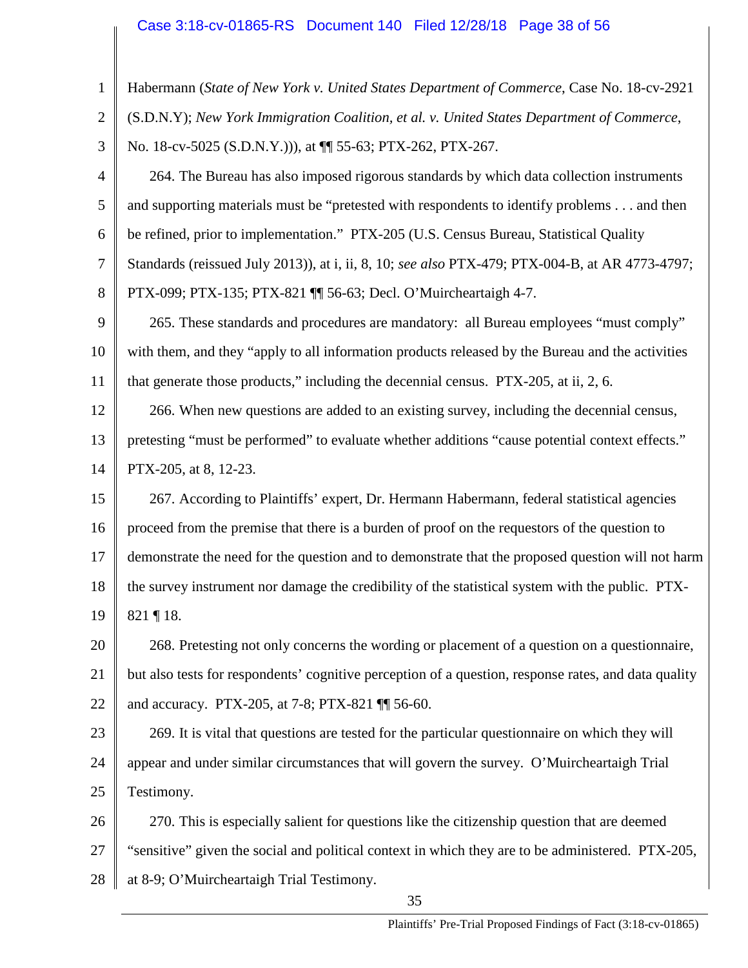# Case 3:18-cv-01865-RS Document 140 Filed 12/28/18 Page 38 of 56

| $\mathbf{1}$   | Habermann (State of New York v. United States Department of Commerce, Case No. 18-cv-2921            |
|----------------|------------------------------------------------------------------------------------------------------|
| $\overline{2}$ | (S.D.N.Y); New York Immigration Coalition, et al. v. United States Department of Commerce,           |
| 3              | No. 18-cv-5025 (S.D.N.Y.))), at $\P$ 55-63; PTX-262, PTX-267.                                        |
| $\overline{4}$ | 264. The Bureau has also imposed rigorous standards by which data collection instruments             |
| 5              | and supporting materials must be "pretested with respondents to identify problems and then           |
| 6              | be refined, prior to implementation." PTX-205 (U.S. Census Bureau, Statistical Quality               |
| $\tau$         | Standards (reissued July 2013)), at i, ii, 8, 10; see also PTX-479; PTX-004-B, at AR 4773-4797;      |
| 8              | PTX-099; PTX-135; PTX-821 [ 56-63; Decl. O'Muircheartaigh 4-7.                                       |
| 9              | 265. These standards and procedures are mandatory: all Bureau employees "must comply"                |
| 10             | with them, and they "apply to all information products released by the Bureau and the activities     |
| 11             | that generate those products," including the decennial census. PTX-205, at ii, 2, 6.                 |
| 12             | 266. When new questions are added to an existing survey, including the decennial census,             |
| 13             | pretesting "must be performed" to evaluate whether additions "cause potential context effects."      |
| 14             | PTX-205, at 8, 12-23.                                                                                |
| 15             | 267. According to Plaintiffs' expert, Dr. Hermann Habermann, federal statistical agencies            |
| 16             | proceed from the premise that there is a burden of proof on the requestors of the question to        |
| 17             | demonstrate the need for the question and to demonstrate that the proposed question will not harm    |
| 18             | the survey instrument nor damage the credibility of the statistical system with the public. PTX-     |
| 19             | 821 ¶ 18.                                                                                            |
| 20             | 268. Pretesting not only concerns the wording or placement of a question on a questionnaire,         |
| 21             | but also tests for respondents' cognitive perception of a question, response rates, and data quality |
| 22             | and accuracy. PTX-205, at 7-8; PTX-821 11 56-60.                                                     |
| 23             | 269. It is vital that questions are tested for the particular question aire on which they will       |
| 24             | appear and under similar circumstances that will govern the survey. O'Muircheartaigh Trial           |
| 25             | Testimony.                                                                                           |
| 26             | 270. This is especially salient for questions like the citizenship question that are deemed          |
| 27             | "sensitive" given the social and political context in which they are to be administered. PTX-205,    |
| 28             | at 8-9; O'Muircheartaigh Trial Testimony.                                                            |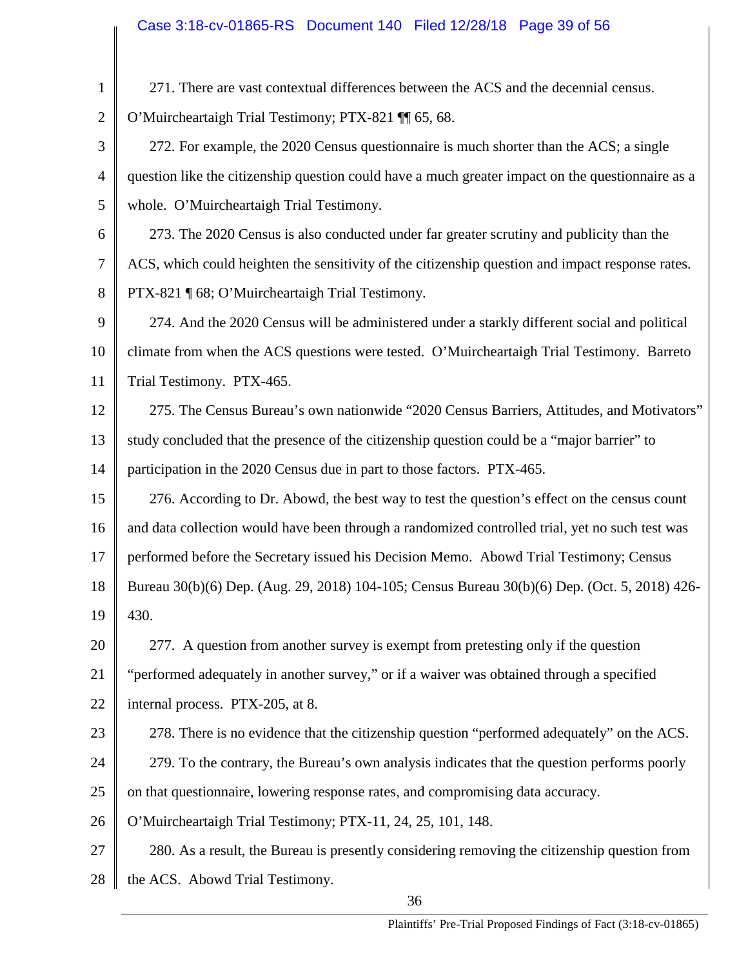| $\mathbf{1}$   | 271. There are vast contextual differences between the ACS and the decennial census.              |
|----------------|---------------------------------------------------------------------------------------------------|
| $\overline{2}$ | O'Muircheartaigh Trial Testimony; PTX-821 \[ 65, 68.                                              |
| 3              | 272. For example, the 2020 Census questionnaire is much shorter than the ACS; a single            |
| 4              | question like the citizenship question could have a much greater impact on the questionnaire as a |
| 5              | whole. O'Muircheartaigh Trial Testimony.                                                          |
| 6              | 273. The 2020 Census is also conducted under far greater scrutiny and publicity than the          |
| 7              | ACS, which could heighten the sensitivity of the citizenship question and impact response rates.  |
| 8              | PTX-821 [ 68; O'Muircheartaigh Trial Testimony.                                                   |
| 9              | 274. And the 2020 Census will be administered under a starkly different social and political      |
| 10             | climate from when the ACS questions were tested. O'Muircheartaigh Trial Testimony. Barreto        |
| 11             | Trial Testimony. PTX-465.                                                                         |
| 12             | 275. The Census Bureau's own nationwide "2020 Census Barriers, Attitudes, and Motivators"         |
| 13             | study concluded that the presence of the citizenship question could be a "major barrier" to       |
| 14             | participation in the 2020 Census due in part to those factors. PTX-465.                           |
| 15             | 276. According to Dr. Abowd, the best way to test the question's effect on the census count       |
| 16             | and data collection would have been through a randomized controlled trial, yet no such test was   |
| 17             | performed before the Secretary issued his Decision Memo. Abowd Trial Testimony; Census            |
| 18             | Bureau 30(b)(6) Dep. (Aug. 29, 2018) 104-105; Census Bureau 30(b)(6) Dep. (Oct. 5, 2018) 426-     |
| 19             | 430.                                                                                              |
| 20             | 277. A question from another survey is exempt from pretesting only if the question                |
| 21             | "performed adequately in another survey," or if a waiver was obtained through a specified         |
| 22             | internal process. PTX-205, at 8.                                                                  |
| 23             | 278. There is no evidence that the citizenship question "performed adequately" on the ACS.        |
| 24             | 279. To the contrary, the Bureau's own analysis indicates that the question performs poorly       |
| 25             | on that questionnaire, lowering response rates, and compromising data accuracy.                   |
| 26             | O'Muircheartaigh Trial Testimony; PTX-11, 24, 25, 101, 148.                                       |
| 27             | 280. As a result, the Bureau is presently considering removing the citizenship question from      |
| 28             | the ACS. Abowd Trial Testimony.                                                                   |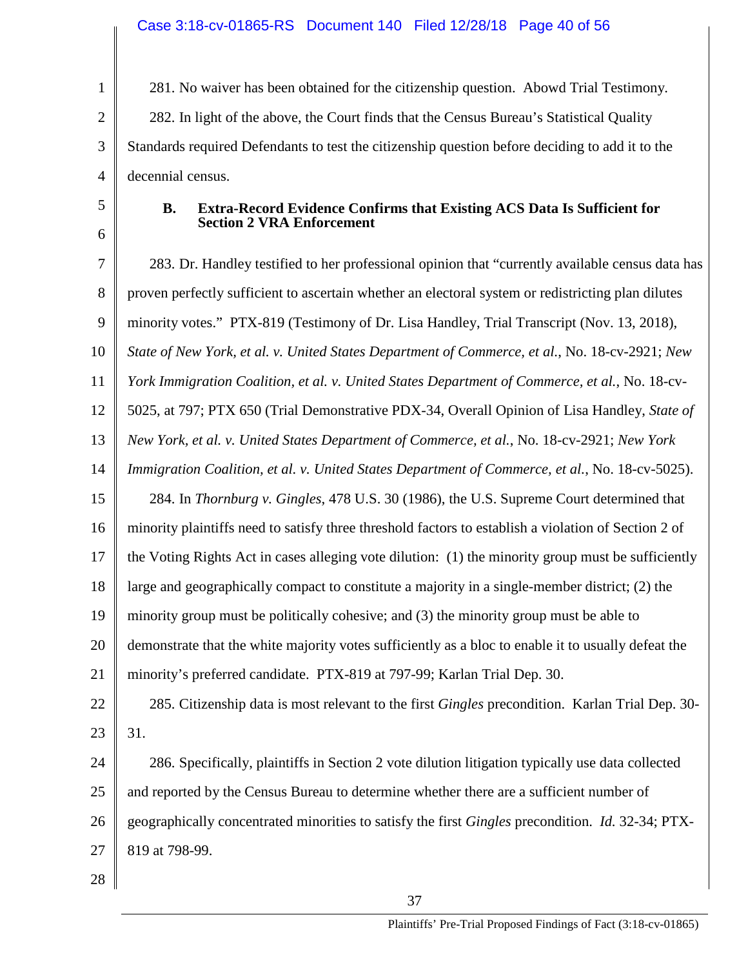1 2 3 4 281. No waiver has been obtained for the citizenship question. Abowd Trial Testimony. 282. In light of the above, the Court finds that the Census Bureau's Statistical Quality Standards required Defendants to test the citizenship question before deciding to add it to the decennial census.

5 6

#### **B. Extra-Record Evidence Confirms that Existing ACS Data Is Sufficient for Section 2 VRA Enforcement**

7 8 9 10 11 12 13 14 15 16 17 18 19 20 21 22 23 24 25 26 27 28 283. Dr. Handley testified to her professional opinion that "currently available census data has proven perfectly sufficient to ascertain whether an electoral system or redistricting plan dilutes minority votes." PTX-819 (Testimony of Dr. Lisa Handley, Trial Transcript (Nov. 13, 2018), *State of New York, et al. v. United States Department of Commerce, et al.*, No. 18-cv-2921; *New York Immigration Coalition, et al. v. United States Department of Commerce, et al.*, No. 18-cv-5025, at 797; PTX 650 (Trial Demonstrative PDX-34, Overall Opinion of Lisa Handley, *State of New York, et al. v. United States Department of Commerce, et al.*, No. 18-cv-2921; *New York Immigration Coalition, et al. v. United States Department of Commerce, et al.*, No. 18-cv-5025). 284. In *Thornburg v. Gingles*, 478 U.S. 30 (1986), the U.S. Supreme Court determined that minority plaintiffs need to satisfy three threshold factors to establish a violation of Section 2 of the Voting Rights Act in cases alleging vote dilution: (1) the minority group must be sufficiently large and geographically compact to constitute a majority in a single-member district; (2) the minority group must be politically cohesive; and (3) the minority group must be able to demonstrate that the white majority votes sufficiently as a bloc to enable it to usually defeat the minority's preferred candidate. PTX-819 at 797-99; Karlan Trial Dep. 30. 285. Citizenship data is most relevant to the first *Gingles* precondition. Karlan Trial Dep. 30- 31. 286. Specifically, plaintiffs in Section 2 vote dilution litigation typically use data collected and reported by the Census Bureau to determine whether there are a sufficient number of geographically concentrated minorities to satisfy the first *Gingles* precondition. *Id.* 32-34; PTX-819 at 798-99.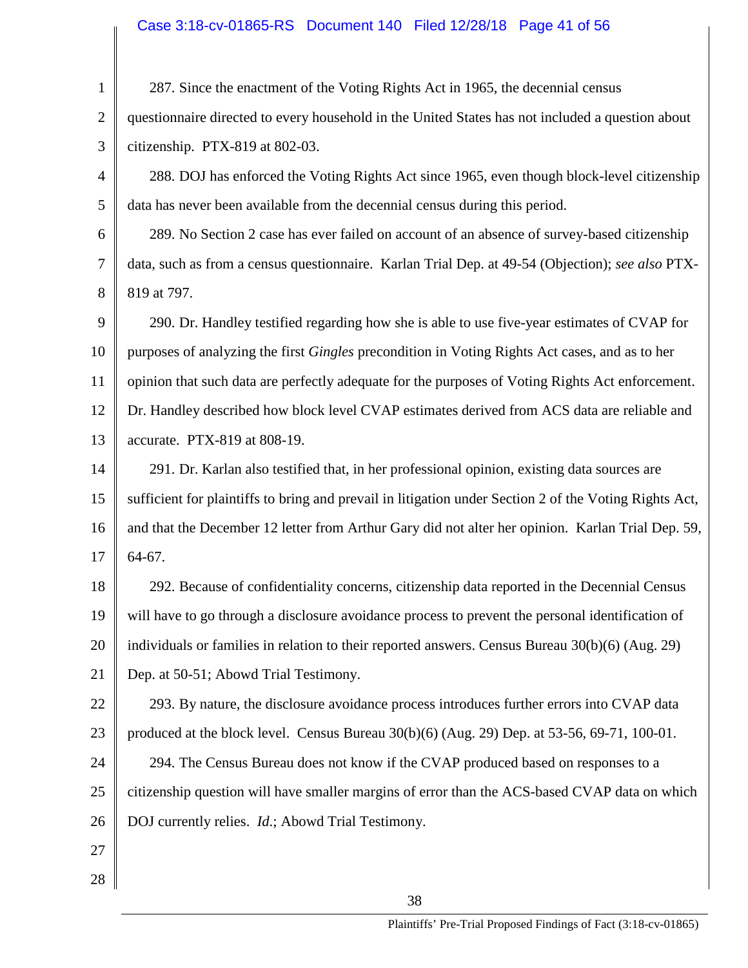# Case 3:18-cv-01865-RS Document 140 Filed 12/28/18 Page 41 of 56

| $\mathbf{1}$   | 287. Since the enactment of the Voting Rights Act in 1965, the decennial census                        |
|----------------|--------------------------------------------------------------------------------------------------------|
| $\mathbf{2}$   | questionnaire directed to every household in the United States has not included a question about       |
| 3              | citizenship. PTX-819 at 802-03.                                                                        |
| 4              | 288. DOJ has enforced the Voting Rights Act since 1965, even though block-level citizenship            |
| 5              | data has never been available from the decennial census during this period.                            |
| 6              | 289. No Section 2 case has ever failed on account of an absence of survey-based citizenship            |
| $\overline{7}$ | data, such as from a census questionnaire. Karlan Trial Dep. at 49-54 (Objection); see also PTX-       |
| 8              | 819 at 797.                                                                                            |
| 9              | 290. Dr. Handley testified regarding how she is able to use five-year estimates of CVAP for            |
| 10             | purposes of analyzing the first Gingles precondition in Voting Rights Act cases, and as to her         |
| 11             | opinion that such data are perfectly adequate for the purposes of Voting Rights Act enforcement.       |
| 12             | Dr. Handley described how block level CVAP estimates derived from ACS data are reliable and            |
| 13             | accurate. PTX-819 at 808-19.                                                                           |
| 14             | 291. Dr. Karlan also testified that, in her professional opinion, existing data sources are            |
| 15             | sufficient for plaintiffs to bring and prevail in litigation under Section 2 of the Voting Rights Act, |
| 16             | and that the December 12 letter from Arthur Gary did not alter her opinion. Karlan Trial Dep. 59,      |
| 17             | 64-67.                                                                                                 |
| 18             | 292. Because of confidentiality concerns, citizenship data reported in the Decennial Census            |
| 19             | will have to go through a disclosure avoidance process to prevent the personal identification of       |
| 20             | individuals or families in relation to their reported answers. Census Bureau $30(b)(6)$ (Aug. 29)      |
| 21             | Dep. at 50-51; Abowd Trial Testimony.                                                                  |
| 22             | 293. By nature, the disclosure avoidance process introduces further errors into CVAP data              |
| 23             | produced at the block level. Census Bureau $30(b)(6)$ (Aug. 29) Dep. at 53-56, 69-71, 100-01.          |
| 24             | 294. The Census Bureau does not know if the CVAP produced based on responses to a                      |
| 25             | citizenship question will have smaller margins of error than the ACS-based CVAP data on which          |
| 26             | DOJ currently relies. <i>Id.</i> ; Abowd Trial Testimony.                                              |
| 27             |                                                                                                        |
| 28             |                                                                                                        |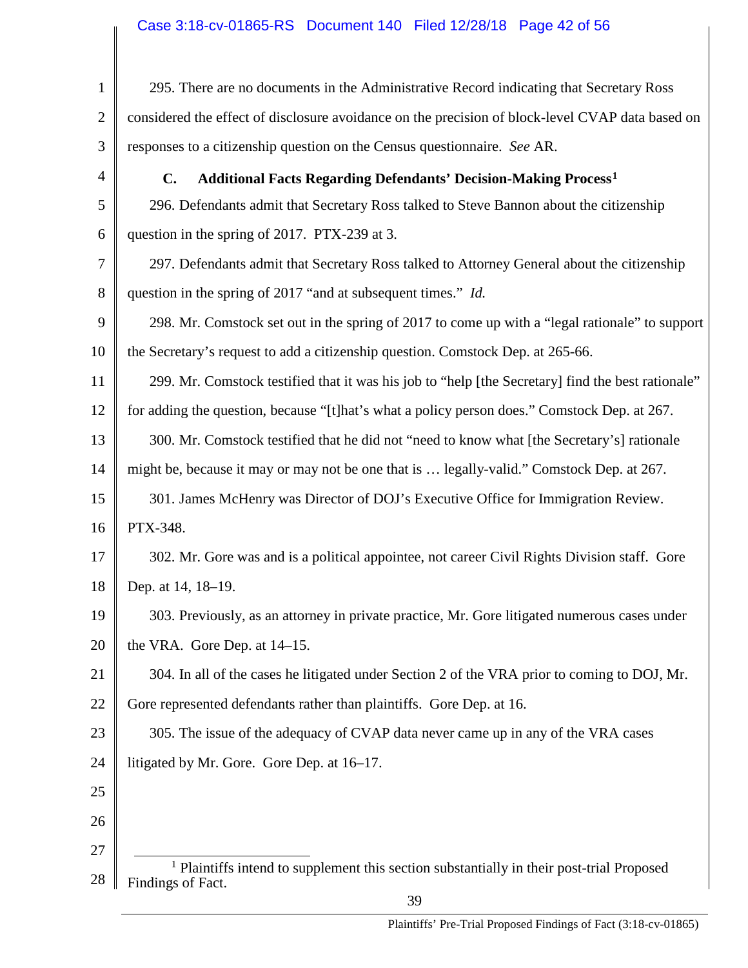# Case 3:18-cv-01865-RS Document 140 Filed 12/28/18 Page 42 of 56

<span id="page-41-0"></span>

| $\mathbf{1}$   | 295. There are no documents in the Administrative Record indicating that Secretary Ross                                   |
|----------------|---------------------------------------------------------------------------------------------------------------------------|
| $\overline{2}$ | considered the effect of disclosure avoidance on the precision of block-level CVAP data based on                          |
| 3              | responses to a citizenship question on the Census questionnaire. See AR.                                                  |
| 4              | <b>Additional Facts Regarding Defendants' Decision-Making Process<sup>1</sup></b><br>$\mathbf{C}$ .                       |
| 5              | 296. Defendants admit that Secretary Ross talked to Steve Bannon about the citizenship                                    |
| 6              | question in the spring of 2017. PTX-239 at 3.                                                                             |
| 7              | 297. Defendants admit that Secretary Ross talked to Attorney General about the citizenship                                |
| 8              | question in the spring of 2017 "and at subsequent times." Id.                                                             |
| 9              | 298. Mr. Comstock set out in the spring of 2017 to come up with a "legal rationale" to support                            |
| 10             | the Secretary's request to add a citizenship question. Comstock Dep. at 265-66.                                           |
| 11             | 299. Mr. Comstock testified that it was his job to "help [the Secretary] find the best rationale"                         |
| 12             | for adding the question, because "[t]hat's what a policy person does." Comstock Dep. at 267.                              |
| 13             | 300. Mr. Comstock testified that he did not "need to know what [the Secretary's] rationale                                |
| 14             | might be, because it may or may not be one that is  legally-valid." Comstock Dep. at 267.                                 |
| 15             | 301. James McHenry was Director of DOJ's Executive Office for Immigration Review.                                         |
| 16             | PTX-348.                                                                                                                  |
| 17             | 302. Mr. Gore was and is a political appointee, not career Civil Rights Division staff. Gore                              |
| 18             | Dep. at 14, 18-19.                                                                                                        |
| 19             | 303. Previously, as an attorney in private practice, Mr. Gore litigated numerous cases under                              |
| 20             | the VRA. Gore Dep. at 14–15.                                                                                              |
| 21             | 304. In all of the cases he litigated under Section 2 of the VRA prior to coming to DOJ, Mr.                              |
| 22             | Gore represented defendants rather than plaintiffs. Gore Dep. at 16.                                                      |
| 23             | 305. The issue of the adequacy of CVAP data never came up in any of the VRA cases                                         |
| 24             | litigated by Mr. Gore. Gore Dep. at 16-17.                                                                                |
| 25             |                                                                                                                           |
| 26             |                                                                                                                           |
| 27             |                                                                                                                           |
| 28             | <sup>1</sup> Plaintiffs intend to supplement this section substantially in their post-trial Proposed<br>Findings of Fact. |
|                | 39                                                                                                                        |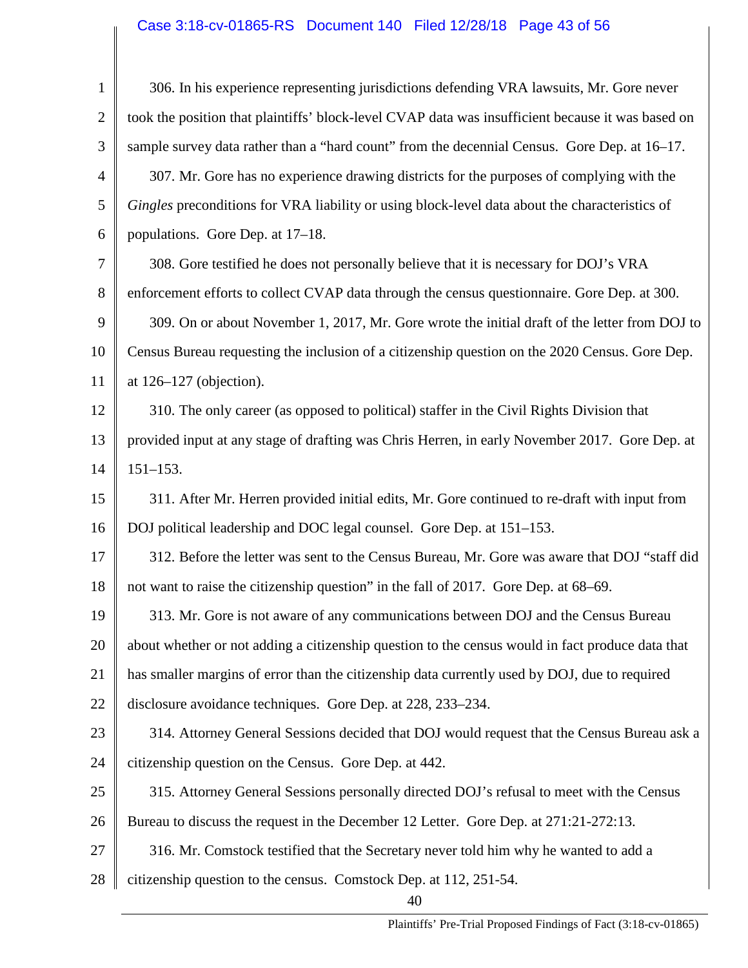# Case 3:18-cv-01865-RS Document 140 Filed 12/28/18 Page 43 of 56

| $\mathbf{1}$   | 306. In his experience representing jurisdictions defending VRA lawsuits, Mr. Gore never          |
|----------------|---------------------------------------------------------------------------------------------------|
| $\overline{2}$ | took the position that plaintiffs' block-level CVAP data was insufficient because it was based on |
| 3              | sample survey data rather than a "hard count" from the decennial Census. Gore Dep. at 16–17.      |
| 4              | 307. Mr. Gore has no experience drawing districts for the purposes of complying with the          |
| 5              | Gingles preconditions for VRA liability or using block-level data about the characteristics of    |
| 6              | populations. Gore Dep. at 17–18.                                                                  |
| 7              | 308. Gore testified he does not personally believe that it is necessary for DOJ's VRA             |
| 8              | enforcement efforts to collect CVAP data through the census questionnaire. Gore Dep. at 300.      |
| 9              | 309. On or about November 1, 2017, Mr. Gore wrote the initial draft of the letter from DOJ to     |
| 10             | Census Bureau requesting the inclusion of a citizenship question on the 2020 Census. Gore Dep.    |
| 11             | at $126-127$ (objection).                                                                         |
| 12             | 310. The only career (as opposed to political) staffer in the Civil Rights Division that          |
| 13             | provided input at any stage of drafting was Chris Herren, in early November 2017. Gore Dep. at    |
| 14             | $151 - 153.$                                                                                      |
| 15             | 311. After Mr. Herren provided initial edits, Mr. Gore continued to re-draft with input from      |
| 16             | DOJ political leadership and DOC legal counsel. Gore Dep. at 151–153.                             |
| 17             | 312. Before the letter was sent to the Census Bureau, Mr. Gore was aware that DOJ "staff did      |
| 18             | not want to raise the citizenship question" in the fall of 2017. Gore Dep. at 68–69.              |
| 19             | 313. Mr. Gore is not aware of any communications between DOJ and the Census Bureau                |
| 20             | about whether or not adding a citizenship question to the census would in fact produce data that  |
| 21             | has smaller margins of error than the citizenship data currently used by DOJ, due to required     |
| 22             | disclosure avoidance techniques. Gore Dep. at 228, 233–234.                                       |
| 23             | 314. Attorney General Sessions decided that DOJ would request that the Census Bureau ask a        |
| 24             | citizenship question on the Census. Gore Dep. at 442.                                             |
| 25             | 315. Attorney General Sessions personally directed DOJ's refusal to meet with the Census          |
| 26             | Bureau to discuss the request in the December 12 Letter. Gore Dep. at 271:21-272:13.              |
| 27             | 316. Mr. Comstock testified that the Secretary never told him why he wanted to add a              |
| 28             | citizenship question to the census. Comstock Dep. at 112, 251-54.                                 |
|                |                                                                                                   |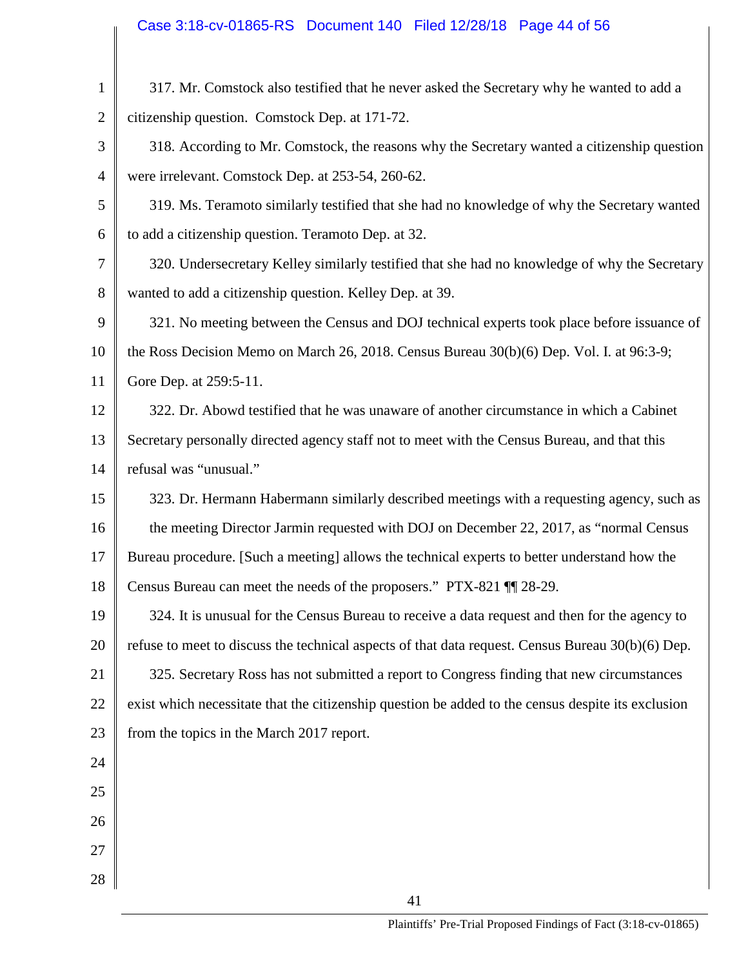# Case 3:18-cv-01865-RS Document 140 Filed 12/28/18 Page 44 of 56

| $\mathbf{1}$   | 317. Mr. Comstock also testified that he never asked the Secretary why he wanted to add a           |
|----------------|-----------------------------------------------------------------------------------------------------|
| $\overline{2}$ | citizenship question. Comstock Dep. at 171-72.                                                      |
| 3              | 318. According to Mr. Comstock, the reasons why the Secretary wanted a citizenship question         |
| $\overline{4}$ | were irrelevant. Comstock Dep. at 253-54, 260-62.                                                   |
| 5              | 319. Ms. Teramoto similarly testified that she had no knowledge of why the Secretary wanted         |
| 6              | to add a citizenship question. Teramoto Dep. at 32.                                                 |
| 7              | 320. Undersecretary Kelley similarly testified that she had no knowledge of why the Secretary       |
| 8              | wanted to add a citizenship question. Kelley Dep. at 39.                                            |
| 9              | 321. No meeting between the Census and DOJ technical experts took place before issuance of          |
| 10             | the Ross Decision Memo on March 26, 2018. Census Bureau 30(b)(6) Dep. Vol. I. at 96:3-9;            |
| 11             | Gore Dep. at 259:5-11.                                                                              |
| 12             | 322. Dr. Abowd testified that he was unaware of another circumstance in which a Cabinet             |
| 13             | Secretary personally directed agency staff not to meet with the Census Bureau, and that this        |
| 14             | refusal was "unusual."                                                                              |
| 15             | 323. Dr. Hermann Habermann similarly described meetings with a requesting agency, such as           |
| 16             | the meeting Director Jarmin requested with DOJ on December 22, 2017, as "normal Census              |
| 17             | Bureau procedure. [Such a meeting] allows the technical experts to better understand how the        |
| 18             | Census Bureau can meet the needs of the proposers." PTX-821 \[\] 28-29.                             |
| 19             | 324. It is unusual for the Census Bureau to receive a data request and then for the agency to       |
| 20             | refuse to meet to discuss the technical aspects of that data request. Census Bureau $30(b)(6)$ Dep. |
| 21             | 325. Secretary Ross has not submitted a report to Congress finding that new circumstances           |
| 22             | exist which necessitate that the citizenship question be added to the census despite its exclusion  |
| 23             | from the topics in the March 2017 report.                                                           |
| 24             |                                                                                                     |
| 25             |                                                                                                     |
| 26             |                                                                                                     |
| 27             |                                                                                                     |
| 28             |                                                                                                     |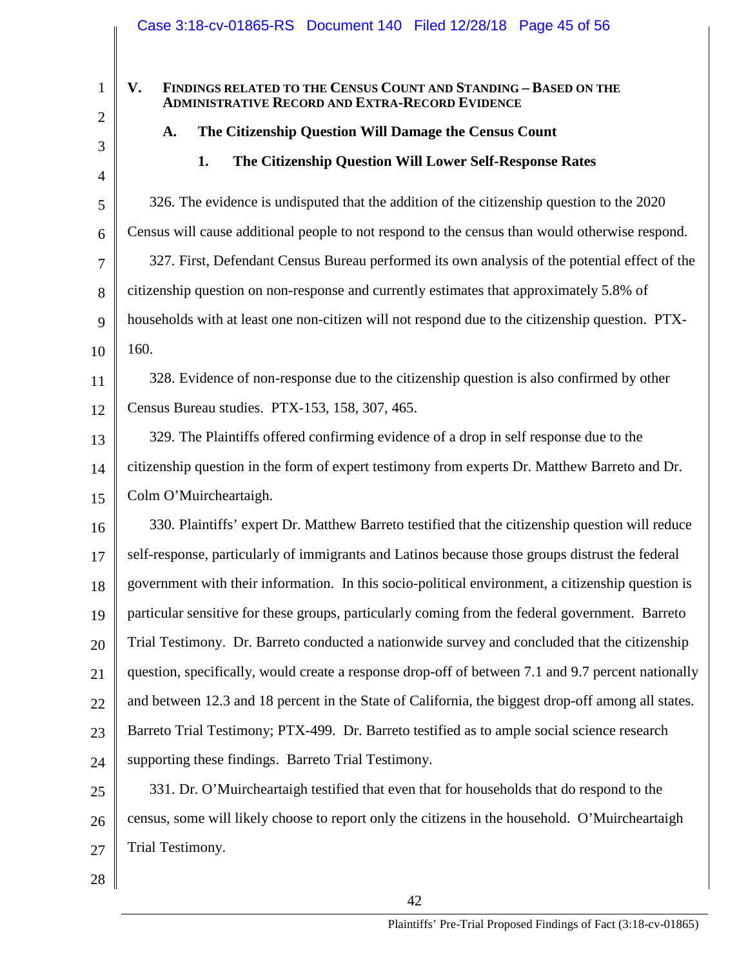### **V. FINDINGS RELATED TO THE CENSUS COUNT AND STANDING – BASED ON THE ADMINISTRATIVE RECORD AND EXTRA-RECORD EVIDENCE**

### **A. The Citizenship Question Will Damage the Census Count**

### **1. The Citizenship Question Will Lower Self-Response Rates**

5 6 7 8 9 10 326. The evidence is undisputed that the addition of the citizenship question to the 2020 Census will cause additional people to not respond to the census than would otherwise respond. 327. First, Defendant Census Bureau performed its own analysis of the potential effect of the citizenship question on non-response and currently estimates that approximately 5.8% of households with at least one non-citizen will not respond due to the citizenship question. PTX-160.

11 12 328. Evidence of non-response due to the citizenship question is also confirmed by other Census Bureau studies. PTX-153, 158, 307, 465.

13 14 15 329. The Plaintiffs offered confirming evidence of a drop in self response due to the citizenship question in the form of expert testimony from experts Dr. Matthew Barreto and Dr. Colm O'Muircheartaigh.

16 17 18 19 20 21 22 23 24 330. Plaintiffs' expert Dr. Matthew Barreto testified that the citizenship question will reduce self-response, particularly of immigrants and Latinos because those groups distrust the federal government with their information. In this socio-political environment, a citizenship question is particular sensitive for these groups, particularly coming from the federal government. Barreto Trial Testimony. Dr. Barreto conducted a nationwide survey and concluded that the citizenship question, specifically, would create a response drop-off of between 7.1 and 9.7 percent nationally and between 12.3 and 18 percent in the State of California, the biggest drop-off among all states. Barreto Trial Testimony; PTX-499. Dr. Barreto testified as to ample social science research supporting these findings. Barreto Trial Testimony.

25 26 27 331. Dr. O'Muircheartaigh testified that even that for households that do respond to the census, some will likely choose to report only the citizens in the household. O'Muircheartaigh Trial Testimony.

28

1

2

3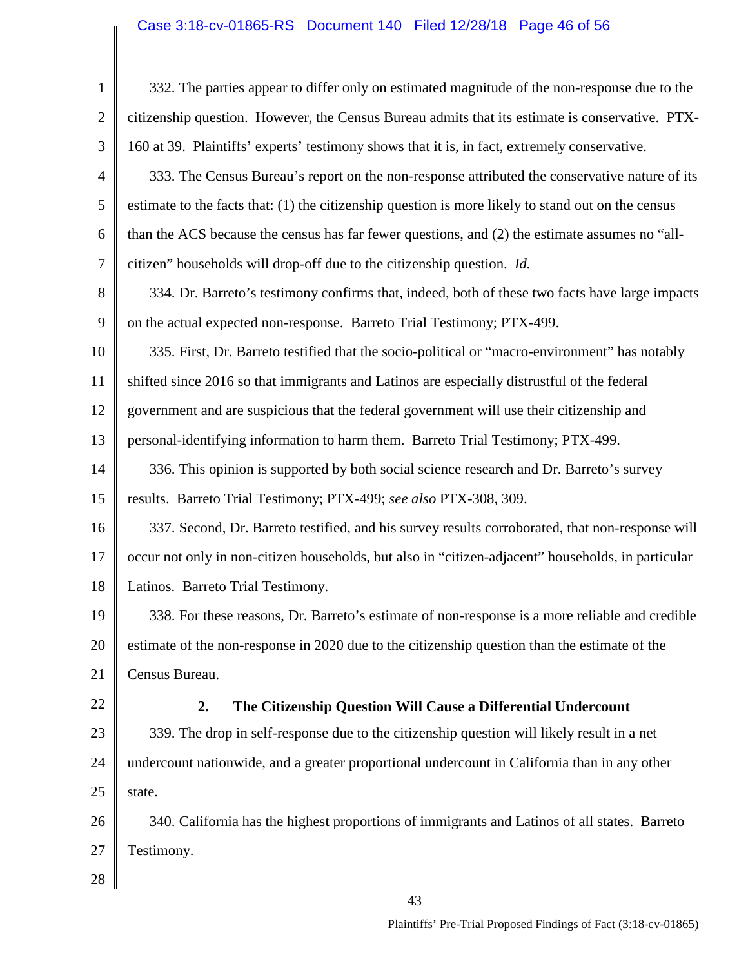# Case 3:18-cv-01865-RS Document 140 Filed 12/28/18 Page 46 of 56

| $\mathbf{1}$   | 332. The parties appear to differ only on estimated magnitude of the non-response due to the       |
|----------------|----------------------------------------------------------------------------------------------------|
| $\overline{2}$ | citizenship question. However, the Census Bureau admits that its estimate is conservative. PTX-    |
| 3              | 160 at 39. Plaintiffs' experts' testimony shows that it is, in fact, extremely conservative.       |
| $\overline{4}$ | 333. The Census Bureau's report on the non-response attributed the conservative nature of its      |
| 5              | estimate to the facts that: (1) the citizenship question is more likely to stand out on the census |
| 6              | than the ACS because the census has far fewer questions, and (2) the estimate assumes no "all-     |
| 7              | citizen" households will drop-off due to the citizenship question. Id.                             |
| 8              | 334. Dr. Barreto's testimony confirms that, indeed, both of these two facts have large impacts     |
| 9              | on the actual expected non-response. Barreto Trial Testimony; PTX-499.                             |
| 10             | 335. First, Dr. Barreto testified that the socio-political or "macro-environment" has notably      |
| 11             | shifted since 2016 so that immigrants and Latinos are especially distrustful of the federal        |
| 12             | government and are suspicious that the federal government will use their citizenship and           |
| 13             | personal-identifying information to harm them. Barreto Trial Testimony; PTX-499.                   |
| 14             | 336. This opinion is supported by both social science research and Dr. Barreto's survey            |
| 15             | results. Barreto Trial Testimony; PTX-499; see also PTX-308, 309.                                  |
| 16             | 337. Second, Dr. Barreto testified, and his survey results corroborated, that non-response will    |
| 17             | occur not only in non-citizen households, but also in "citizen-adjacent" households, in particular |
| 18             | Latinos. Barreto Trial Testimony.                                                                  |
| 19             | 338. For these reasons, Dr. Barreto's estimate of non-response is a more reliable and credible     |
| 20             | estimate of the non-response in 2020 due to the citizenship question than the estimate of the      |
| 21             | Census Bureau.                                                                                     |
| 22             | 2.<br>The Citizenship Question Will Cause a Differential Undercount                                |
| 23             | 339. The drop in self-response due to the citizenship question will likely result in a net         |
| 24             | undercount nationwide, and a greater proportional undercount in California than in any other       |
| 25             | state.                                                                                             |
| 26             | 340. California has the highest proportions of immigrants and Latinos of all states. Barreto       |
| 27             | Testimony.                                                                                         |
| 28             |                                                                                                    |
|                | $\overline{12}$                                                                                    |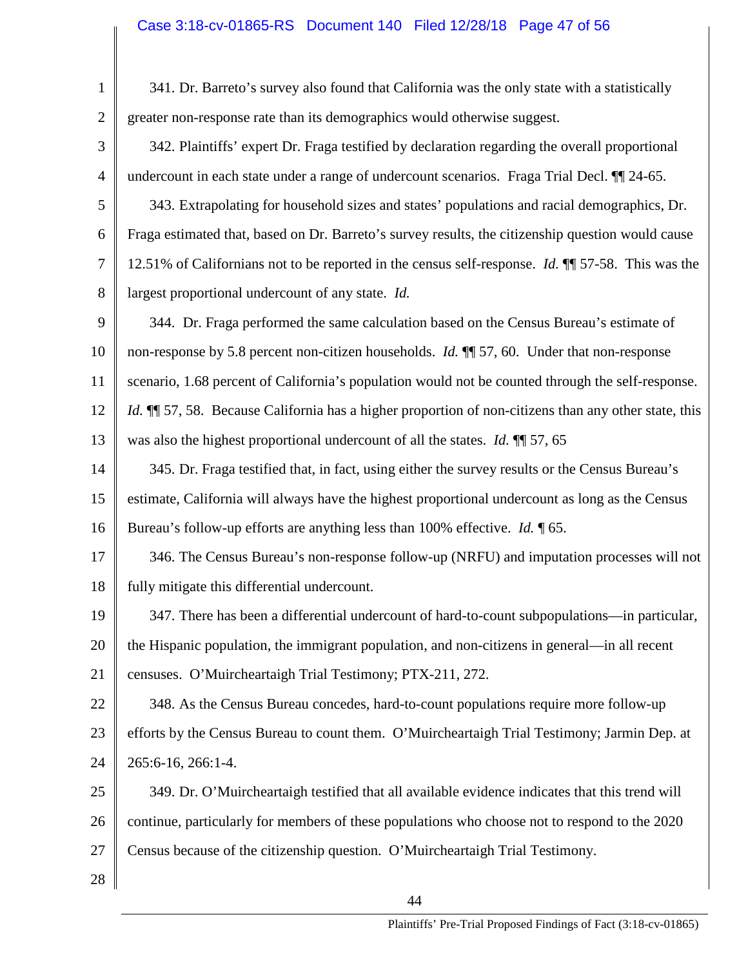| $\mathbf{1}$   | 341. Dr. Barreto's survey also found that California was the only state with a statistically                |
|----------------|-------------------------------------------------------------------------------------------------------------|
| $\overline{2}$ | greater non-response rate than its demographics would otherwise suggest.                                    |
| 3              | 342. Plaintiffs' expert Dr. Fraga testified by declaration regarding the overall proportional               |
| $\overline{4}$ | undercount in each state under a range of undercount scenarios. Fraga Trial Decl. II 24-65.                 |
| 5              | 343. Extrapolating for household sizes and states' populations and racial demographics, Dr.                 |
| 6              | Fraga estimated that, based on Dr. Barreto's survey results, the citizenship question would cause           |
| $\overline{7}$ | 12.51% of Californians not to be reported in the census self-response. <i>Id.</i> $\P$ 57-58. This was the  |
| 8              | largest proportional undercount of any state. Id.                                                           |
| 9              | 344. Dr. Fraga performed the same calculation based on the Census Bureau's estimate of                      |
| 10             | non-response by 5.8 percent non-citizen households. <i>Id.</i> ¶ 57, 60. Under that non-response            |
| 11             | scenario, 1.68 percent of California's population would not be counted through the self-response.           |
| 12             | <i>Id.</i> II 57, 58. Because California has a higher proportion of non-citizens than any other state, this |
| 13             | was also the highest proportional undercount of all the states. <i>Id.</i> $\P$ 57, 65                      |
| 14             | 345. Dr. Fraga testified that, in fact, using either the survey results or the Census Bureau's              |
| 15             | estimate, California will always have the highest proportional undercount as long as the Census             |
| 16             | Bureau's follow-up efforts are anything less than 100% effective. <i>Id.</i> $\llbracket 65$ .              |
| 17             | 346. The Census Bureau's non-response follow-up (NRFU) and imputation processes will not                    |
| 18             | fully mitigate this differential undercount.                                                                |
| 19             | 347. There has been a differential undercount of hard-to-count subpopulations—in particular,                |
| 20             | the Hispanic population, the immigrant population, and non-citizens in general—in all recent                |
| 21             | censuses. O'Muircheartaigh Trial Testimony; PTX-211, 272.                                                   |
| 22             | 348. As the Census Bureau concedes, hard-to-count populations require more follow-up                        |
| 23             | efforts by the Census Bureau to count them. O'Muircheartaigh Trial Testimony; Jarmin Dep. at                |
| 24             | 265:6-16, 266:1-4.                                                                                          |
| 25             | 349. Dr. O'Muircheartaigh testified that all available evidence indicates that this trend will              |
| 26             | continue, particularly for members of these populations who choose not to respond to the 2020               |
| 27             | Census because of the citizenship question. O'Muircheartaigh Trial Testimony.                               |
| 28             |                                                                                                             |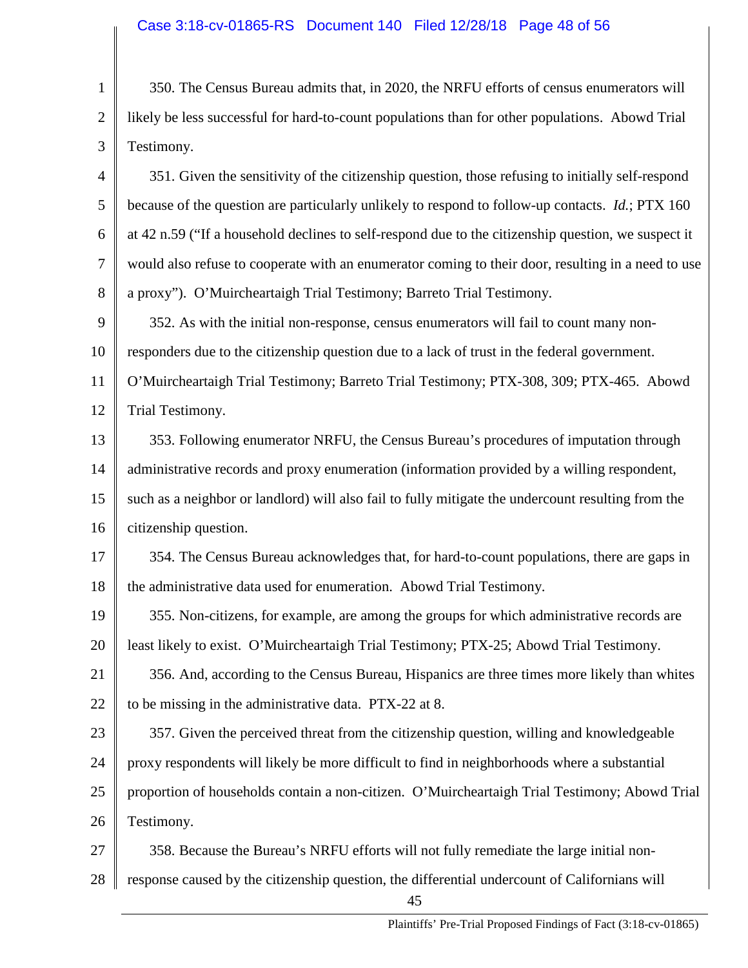1 2 3 350. The Census Bureau admits that, in 2020, the NRFU efforts of census enumerators will likely be less successful for hard-to-count populations than for other populations. Abowd Trial Testimony.

4 5 6 7 8 351. Given the sensitivity of the citizenship question, those refusing to initially self-respond because of the question are particularly unlikely to respond to follow-up contacts. *Id.*; PTX 160 at 42 n.59 ("If a household declines to self-respond due to the citizenship question, we suspect it would also refuse to cooperate with an enumerator coming to their door, resulting in a need to use a proxy"). O'Muircheartaigh Trial Testimony; Barreto Trial Testimony.

9 10 11 12 352. As with the initial non-response, census enumerators will fail to count many nonresponders due to the citizenship question due to a lack of trust in the federal government. O'Muircheartaigh Trial Testimony; Barreto Trial Testimony; PTX-308, 309; PTX-465. Abowd Trial Testimony.

13 14 15 16 353. Following enumerator NRFU, the Census Bureau's procedures of imputation through administrative records and proxy enumeration (information provided by a willing respondent, such as a neighbor or landlord) will also fail to fully mitigate the undercount resulting from the citizenship question.

17 18 354. The Census Bureau acknowledges that, for hard-to-count populations, there are gaps in the administrative data used for enumeration. Abowd Trial Testimony.

19 20 355. Non-citizens, for example, are among the groups for which administrative records are least likely to exist. O'Muircheartaigh Trial Testimony; PTX-25; Abowd Trial Testimony.

21 22 356. And, according to the Census Bureau, Hispanics are three times more likely than whites to be missing in the administrative data. PTX-22 at 8.

23 24 25 26 357. Given the perceived threat from the citizenship question, willing and knowledgeable proxy respondents will likely be more difficult to find in neighborhoods where a substantial proportion of households contain a non-citizen. O'Muircheartaigh Trial Testimony; Abowd Trial Testimony.

27 28 358. Because the Bureau's NRFU efforts will not fully remediate the large initial nonresponse caused by the citizenship question, the differential undercount of Californians will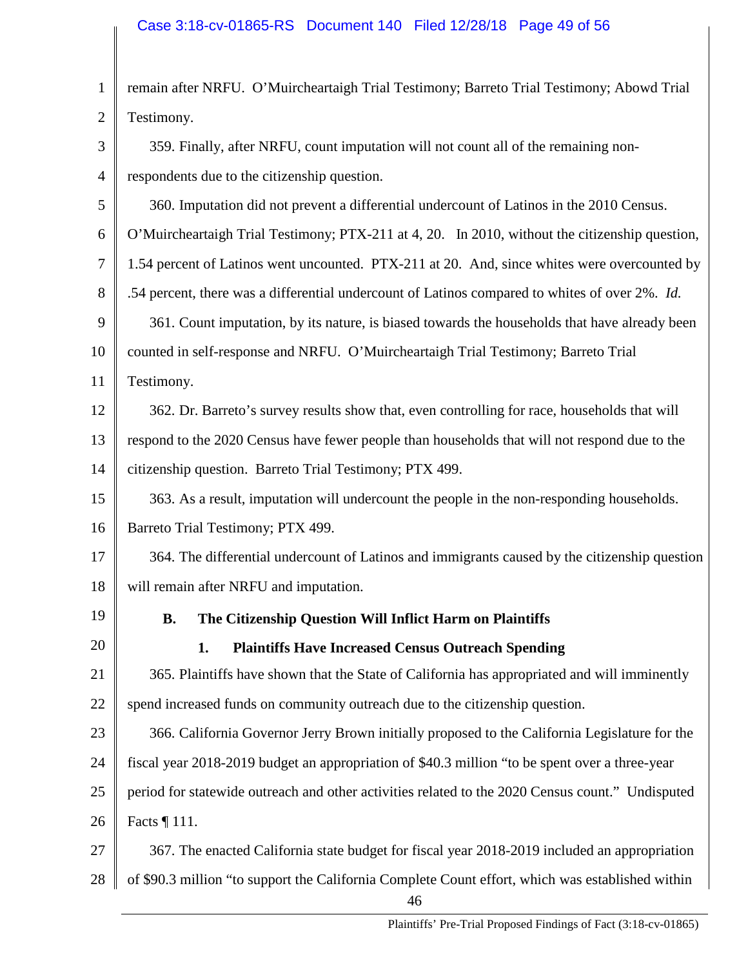| $\mathbf{1}$   | remain after NRFU. O'Muircheartaigh Trial Testimony; Barreto Trial Testimony; Abowd Trial              |
|----------------|--------------------------------------------------------------------------------------------------------|
| $\overline{2}$ | Testimony.                                                                                             |
| 3              | 359. Finally, after NRFU, count imputation will not count all of the remaining non-                    |
| $\overline{4}$ | respondents due to the citizenship question.                                                           |
| 5              | 360. Imputation did not prevent a differential undercount of Latinos in the 2010 Census.               |
| 6              | O'Muircheartaigh Trial Testimony; PTX-211 at 4, 20. In 2010, without the citizenship question,         |
| $\tau$         | 1.54 percent of Latinos went uncounted. PTX-211 at 20. And, since whites were overcounted by           |
| 8              | .54 percent, there was a differential undercount of Latinos compared to whites of over 2%. Id.         |
| 9              | 361. Count imputation, by its nature, is biased towards the households that have already been          |
| 10             | counted in self-response and NRFU. O'Muircheartaigh Trial Testimony; Barreto Trial                     |
| 11             | Testimony.                                                                                             |
| 12             | 362. Dr. Barreto's survey results show that, even controlling for race, households that will           |
| 13             | respond to the 2020 Census have fewer people than households that will not respond due to the          |
| 14             | citizenship question. Barreto Trial Testimony; PTX 499.                                                |
| 15             | 363. As a result, imputation will undercount the people in the non-responding households.              |
| 16             | Barreto Trial Testimony; PTX 499.                                                                      |
| 17             | 364. The differential undercount of Latinos and immigrants caused by the citizenship question          |
| 18             | will remain after NRFU and imputation.                                                                 |
| 19             | The Citizenship Question Will Inflict Harm on Plaintiffs<br>В.                                         |
| 20             | 1.<br><b>Plaintiffs Have Increased Census Outreach Spending</b>                                        |
| 21             | 365. Plaintiffs have shown that the State of California has appropriated and will imminently           |
| 22             | spend increased funds on community outreach due to the citizenship question.                           |
| 23             | 366. California Governor Jerry Brown initially proposed to the California Legislature for the          |
| 24             | fiscal year 2018-2019 budget an appropriation of \$40.3 million "to be spent over a three-year         |
| 25             | period for statewide outreach and other activities related to the 2020 Census count." Undisputed       |
| 26             | Facts $\P$ 111.                                                                                        |
| 27             | 367. The enacted California state budget for fiscal year 2018-2019 included an appropriation           |
| 28             | of \$90.3 million "to support the California Complete Count effort, which was established within<br>46 |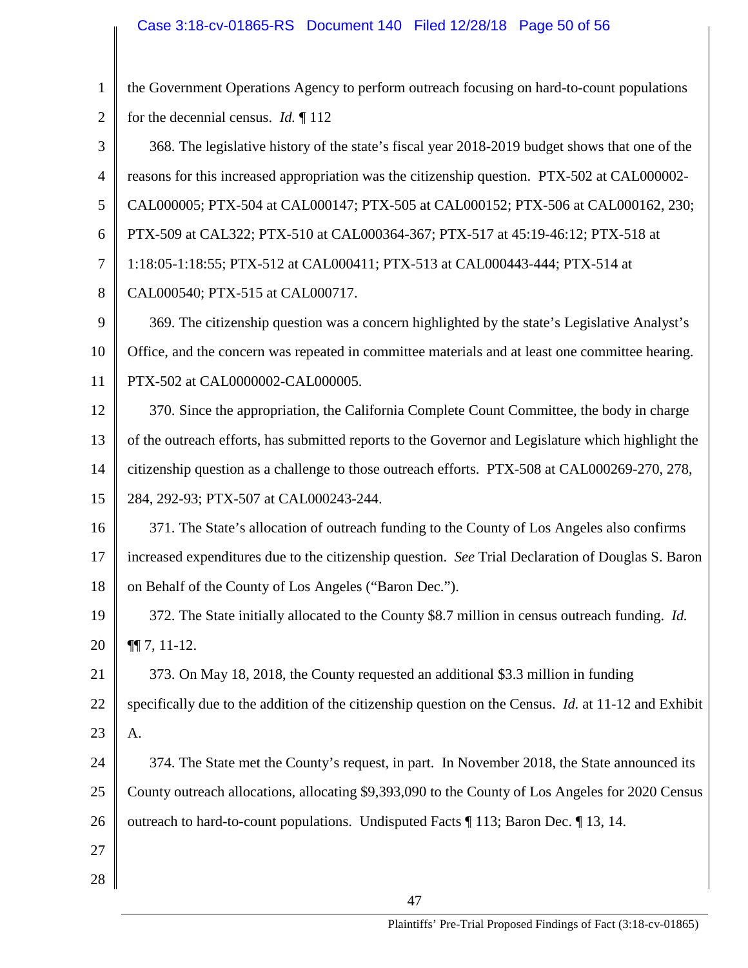| $\mathbf{1}$   | the Government Operations Agency to perform outreach focusing on hard-to-count populations                  |
|----------------|-------------------------------------------------------------------------------------------------------------|
| $\overline{2}$ | for the decennial census. <i>Id.</i> $\P$ 112                                                               |
| 3              | 368. The legislative history of the state's fiscal year 2018-2019 budget shows that one of the              |
| $\overline{4}$ | reasons for this increased appropriation was the citizenship question. PTX-502 at CAL000002-                |
| 5              | CAL000005; PTX-504 at CAL000147; PTX-505 at CAL000152; PTX-506 at CAL000162, 230;                           |
| 6              | PTX-509 at CAL322; PTX-510 at CAL000364-367; PTX-517 at 45:19-46:12; PTX-518 at                             |
| $\overline{7}$ | 1:18:05-1:18:55; PTX-512 at CAL000411; PTX-513 at CAL000443-444; PTX-514 at                                 |
| 8              | CAL000540; PTX-515 at CAL000717.                                                                            |
| 9              | 369. The citizenship question was a concern highlighted by the state's Legislative Analyst's                |
| 10             | Office, and the concern was repeated in committee materials and at least one committee hearing.             |
| 11             | PTX-502 at CAL0000002-CAL000005.                                                                            |
| 12             | 370. Since the appropriation, the California Complete Count Committee, the body in charge                   |
| 13             | of the outreach efforts, has submitted reports to the Governor and Legislature which highlight the          |
| 14             | citizenship question as a challenge to those outreach efforts. PTX-508 at CAL000269-270, 278,               |
| 15             | 284, 292-93; PTX-507 at CAL000243-244.                                                                      |
| 16             | 371. The State's allocation of outreach funding to the County of Los Angeles also confirms                  |
| 17             | increased expenditures due to the citizenship question. See Trial Declaration of Douglas S. Baron           |
| 18             | on Behalf of the County of Los Angeles ("Baron Dec.").                                                      |
| 19             | 372. The State initially allocated to the County \$8.7 million in census outreach funding. <i>Id.</i>       |
| 20             | $\P\P$ 7, 11-12.                                                                                            |
| 21             | 373. On May 18, 2018, the County requested an additional \$3.3 million in funding                           |
| 22             | specifically due to the addition of the citizenship question on the Census. <i>Id.</i> at 11-12 and Exhibit |
| 23             | A.                                                                                                          |
| 24             | 374. The State met the County's request, in part. In November 2018, the State announced its                 |
| 25             | County outreach allocations, allocating \$9,393,090 to the County of Los Angeles for 2020 Census            |
| 26             | outreach to hard-to-count populations. Undisputed Facts ¶ 113; Baron Dec. ¶ 13, 14.                         |
| 27             |                                                                                                             |
| 28             |                                                                                                             |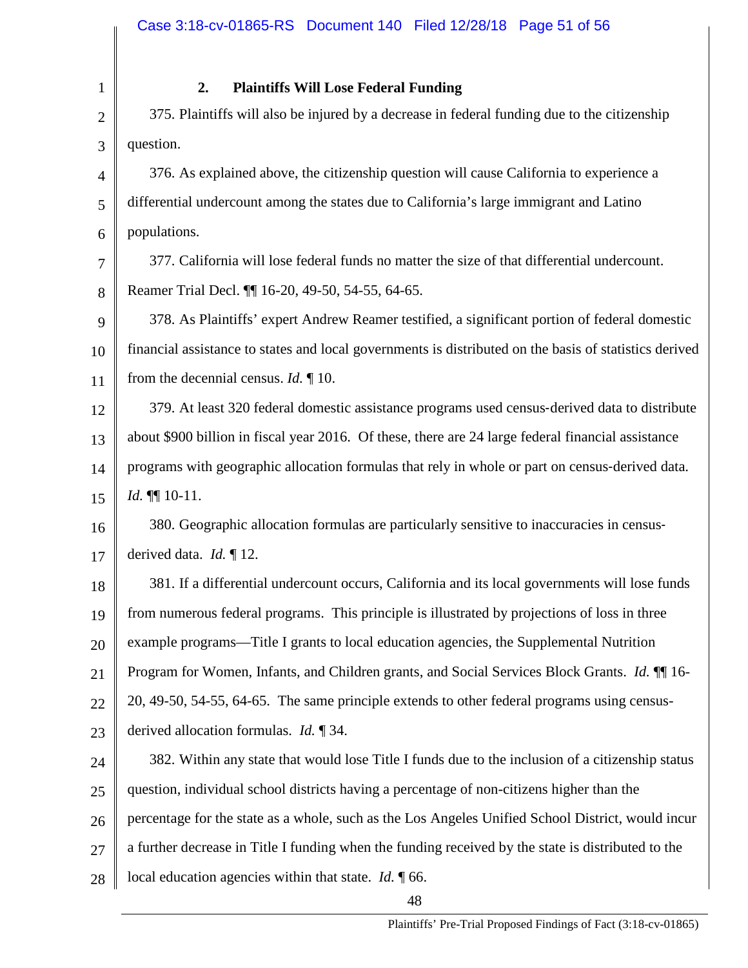### **2. Plaintiffs Will Lose Federal Funding**

1 2 3 4 5 6 7 8 9 10 11 12 13 14 15 16 17 18 19 20 21 22 23 24 375. Plaintiffs will also be injured by a decrease in federal funding due to the citizenship question. 376. As explained above, the citizenship question will cause California to experience a differential undercount among the states due to California's large immigrant and Latino populations. 377. California will lose federal funds no matter the size of that differential undercount. Reamer Trial Decl. ¶¶ 16-20, 49-50, 54-55, 64-65. 378. As Plaintiffs' expert Andrew Reamer testified, a significant portion of federal domestic financial assistance to states and local governments is distributed on the basis of statistics derived from the decennial census. *Id.* ¶ 10. 379. At least 320 federal domestic assistance programs used census‐derived data to distribute about \$900 billion in fiscal year 2016. Of these, there are 24 large federal financial assistance programs with geographic allocation formulas that rely in whole or part on census‐derived data. *Id.* ¶¶ 10-11. 380. Geographic allocation formulas are particularly sensitive to inaccuracies in census‐ derived data. *Id.* ¶ 12. 381. If a differential undercount occurs, California and its local governments will lose funds from numerous federal programs. This principle is illustrated by projections of loss in three example programs—Title I grants to local education agencies, the Supplemental Nutrition Program for Women, Infants, and Children grants, and Social Services Block Grants. *Id.* ¶¶ 16- 20, 49-50, 54-55, 64-65. The same principle extends to other federal programs using censusderived allocation formulas. *Id.* ¶ 34. 382. Within any state that would lose Title I funds due to the inclusion of a citizenship status

25 question, individual school districts having a percentage of non-citizens higher than the

26 percentage for the state as a whole, such as the Los Angeles Unified School District, would incur

27 a further decrease in Title I funding when the funding received by the state is distributed to the

28 local education agencies within that state. *Id.* ¶ 66.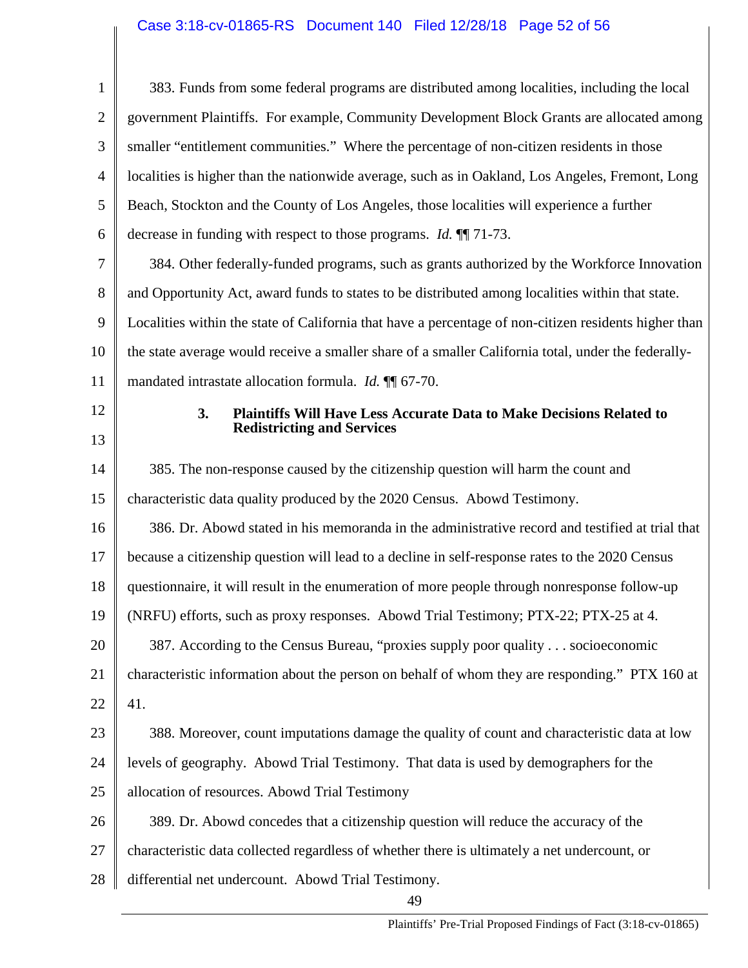| $\mathbf{1}$   | 383. Funds from some federal programs are distributed among localities, including the local           |
|----------------|-------------------------------------------------------------------------------------------------------|
| $\overline{2}$ | government Plaintiffs. For example, Community Development Block Grants are allocated among            |
| 3              | smaller "entitlement communities." Where the percentage of non-citizen residents in those             |
| $\overline{4}$ | localities is higher than the nationwide average, such as in Oakland, Los Angeles, Fremont, Long      |
| 5              | Beach, Stockton and the County of Los Angeles, those localities will experience a further             |
| 6              | decrease in funding with respect to those programs. <i>Id.</i> [[17] 73.                              |
| 7              | 384. Other federally-funded programs, such as grants authorized by the Workforce Innovation           |
| 8              | and Opportunity Act, award funds to states to be distributed among localities within that state.      |
| 9              | Localities within the state of California that have a percentage of non-citizen residents higher than |
| 10             | the state average would receive a smaller share of a smaller California total, under the federally-   |
| 11             | mandated intrastate allocation formula. <i>Id.</i> 11 67-70.                                          |
| 12             | 3.<br><b>Plaintiffs Will Have Less Accurate Data to Make Decisions Related to</b>                     |
| 13             | <b>Redistricting and Services</b>                                                                     |
| 14             | 385. The non-response caused by the citizenship question will harm the count and                      |
| 15             | characteristic data quality produced by the 2020 Census. Abowd Testimony.                             |
| 16             | 386. Dr. Abowd stated in his memoranda in the administrative record and testified at trial that       |
| 17             | because a citizenship question will lead to a decline in self-response rates to the 2020 Census       |
| 18             | questionnaire, it will result in the enumeration of more people through nonresponse follow-up         |
| 19             | (NRFU) efforts, such as proxy responses. Abowd Trial Testimony; PTX-22; PTX-25 at 4.                  |
| 20             | 387. According to the Census Bureau, "proxies supply poor quality socioeconomic                       |
| 21             | characteristic information about the person on behalf of whom they are responding." PTX 160 at        |
| 22             | 41.                                                                                                   |
| 23             | 388. Moreover, count imputations damage the quality of count and characteristic data at low           |
| 24             | levels of geography. Abowd Trial Testimony. That data is used by demographers for the                 |
| 25             | allocation of resources. Abowd Trial Testimony                                                        |
| 26             | 389. Dr. Abowd concedes that a citizenship question will reduce the accuracy of the                   |
| 27             | characteristic data collected regardless of whether there is ultimately a net undercount, or          |
| 28             | differential net undercount. Abowd Trial Testimony.                                                   |
|                | 49                                                                                                    |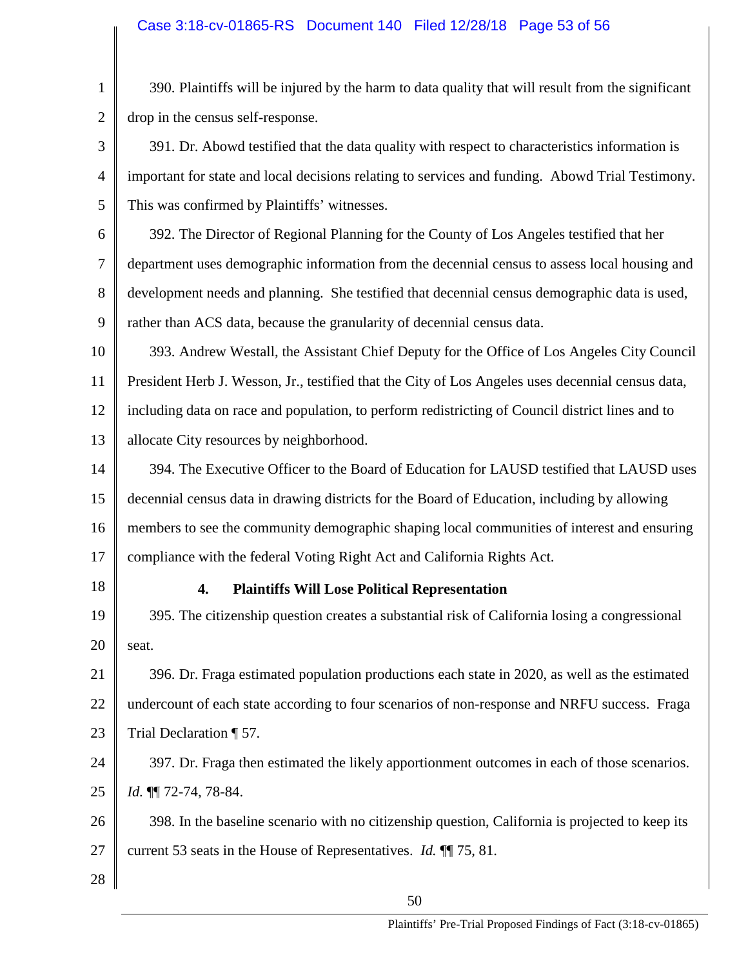1 2 390. Plaintiffs will be injured by the harm to data quality that will result from the significant drop in the census self-response.

3 4 5 391. Dr. Abowd testified that the data quality with respect to characteristics information is important for state and local decisions relating to services and funding. Abowd Trial Testimony. This was confirmed by Plaintiffs' witnesses.

6 7 8 9 392. The Director of Regional Planning for the County of Los Angeles testified that her department uses demographic information from the decennial census to assess local housing and development needs and planning. She testified that decennial census demographic data is used, rather than ACS data, because the granularity of decennial census data.

10 11 12 13 393. Andrew Westall, the Assistant Chief Deputy for the Office of Los Angeles City Council President Herb J. Wesson, Jr., testified that the City of Los Angeles uses decennial census data, including data on race and population, to perform redistricting of Council district lines and to allocate City resources by neighborhood.

14 15 16 17 394. The Executive Officer to the Board of Education for LAUSD testified that LAUSD uses decennial census data in drawing districts for the Board of Education, including by allowing members to see the community demographic shaping local communities of interest and ensuring compliance with the federal Voting Right Act and California Rights Act.

18

### **4. Plaintiffs Will Lose Political Representation**

19 20 395. The citizenship question creates a substantial risk of California losing a congressional seat.

21 22 23 396. Dr. Fraga estimated population productions each state in 2020, as well as the estimated undercount of each state according to four scenarios of non-response and NRFU success. Fraga Trial Declaration ¶ 57.

24 25 397. Dr. Fraga then estimated the likely apportionment outcomes in each of those scenarios. *Id.* ¶¶ 72-74, 78-84.

26 27 398. In the baseline scenario with no citizenship question, California is projected to keep its current 53 seats in the House of Representatives. *Id.* ¶¶ 75, 81.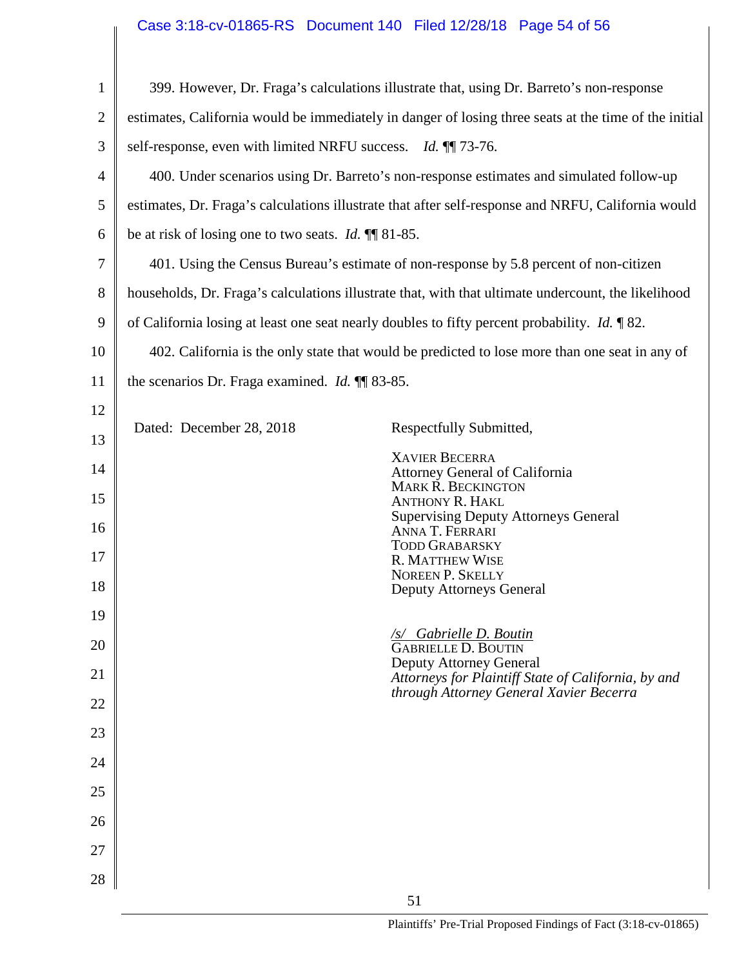# Case 3:18-cv-01865-RS Document 140 Filed 12/28/18 Page 54 of 56

| $\mathbf{1}$   | 399. However, Dr. Fraga's calculations illustrate that, using Dr. Barreto's non-response              |                                                                                                |  |  |
|----------------|-------------------------------------------------------------------------------------------------------|------------------------------------------------------------------------------------------------|--|--|
| $\overline{2}$ | estimates, California would be immediately in danger of losing three seats at the time of the initial |                                                                                                |  |  |
| 3              | self-response, even with limited NRFU success. Id. 11 73-76.                                          |                                                                                                |  |  |
| 4              |                                                                                                       | 400. Under scenarios using Dr. Barreto's non-response estimates and simulated follow-up        |  |  |
| 5              | estimates, Dr. Fraga's calculations illustrate that after self-response and NRFU, California would    |                                                                                                |  |  |
| 6              | be at risk of losing one to two seats. <i>Id.</i> $\P$ 81-85.                                         |                                                                                                |  |  |
| 7              | 401. Using the Census Bureau's estimate of non-response by 5.8 percent of non-citizen                 |                                                                                                |  |  |
| 8              | households, Dr. Fraga's calculations illustrate that, with that ultimate undercount, the likelihood   |                                                                                                |  |  |
| 9              | of California losing at least one seat nearly doubles to fifty percent probability. <i>Id.</i> 182.   |                                                                                                |  |  |
| 10             | 402. California is the only state that would be predicted to lose more than one seat in any of        |                                                                                                |  |  |
| 11             | the scenarios Dr. Fraga examined. <i>Id.</i> ¶ 83-85.                                                 |                                                                                                |  |  |
| 12             |                                                                                                       |                                                                                                |  |  |
| 13             | Dated: December 28, 2018                                                                              | Respectfully Submitted,                                                                        |  |  |
| 14             |                                                                                                       | <b>XAVIER BECERRA</b><br><b>Attorney General of California</b><br>MARK R. BECKINGTON           |  |  |
| 15             |                                                                                                       | <b>ANTHONY R. HAKL</b>                                                                         |  |  |
| 16             |                                                                                                       | <b>Supervising Deputy Attorneys General</b><br>ANNA T. FERRARI<br><b>TODD GRABARSKY</b>        |  |  |
| 17             |                                                                                                       | <b>R. MATTHEW WISE</b><br><b>NOREEN P. SKELLY</b>                                              |  |  |
| 18             |                                                                                                       | <b>Deputy Attorneys General</b>                                                                |  |  |
| 19             |                                                                                                       | <b>/s/ Gabrielle D. Boutin</b>                                                                 |  |  |
| 20             |                                                                                                       | <b>GABRIELLE D. BOUTIN</b><br>Deputy Attorney General                                          |  |  |
| 21             |                                                                                                       | Attorneys for Plaintiff State of California, by and<br>through Attorney General Xavier Becerra |  |  |
| 22             |                                                                                                       |                                                                                                |  |  |
| 23             |                                                                                                       |                                                                                                |  |  |
| 24             |                                                                                                       |                                                                                                |  |  |
| 25             |                                                                                                       |                                                                                                |  |  |
| 26             |                                                                                                       |                                                                                                |  |  |
| 27             |                                                                                                       |                                                                                                |  |  |
| 28             |                                                                                                       |                                                                                                |  |  |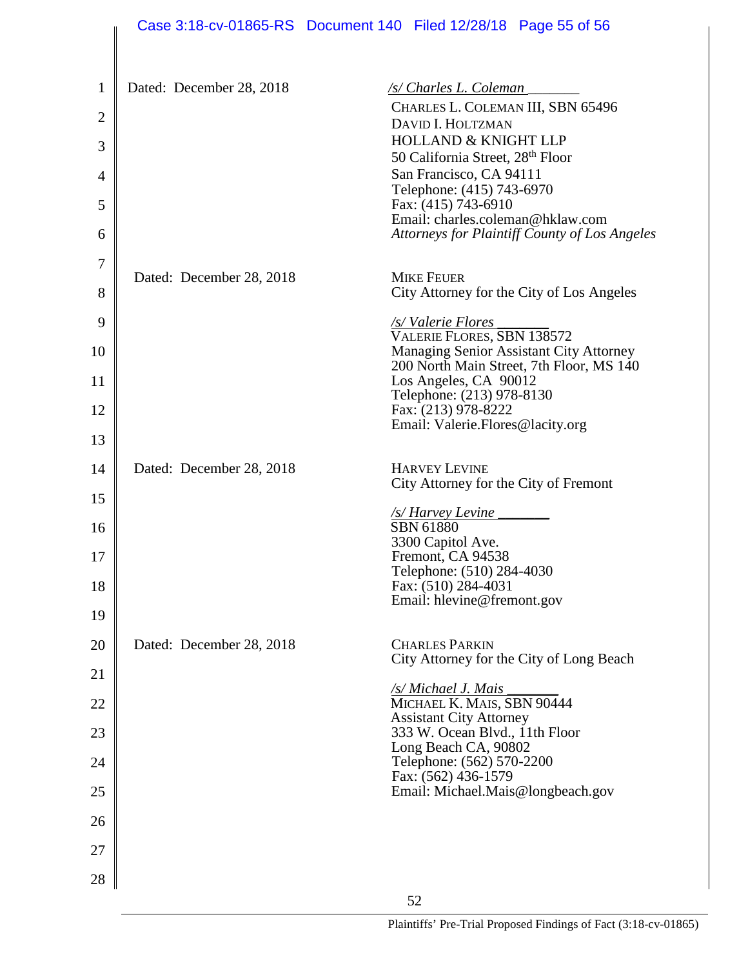|                | Case 3:18-cv-01865-RS Document 140 Filed 12/28/18 Page 55 of 56 |                                                                   |                                                                                                   |                                                                                     |
|----------------|-----------------------------------------------------------------|-------------------------------------------------------------------|---------------------------------------------------------------------------------------------------|-------------------------------------------------------------------------------------|
|                |                                                                 |                                                                   |                                                                                                   |                                                                                     |
| $\mathbf{1}$   | Dated: December 28, 2018                                        |                                                                   | /s/ Charles L. Coleman                                                                            |                                                                                     |
| $\overline{2}$ |                                                                 |                                                                   | CHARLES L. COLEMAN III, SBN 65496<br>DAVID I. HOLTZMAN                                            |                                                                                     |
| 3              |                                                                 |                                                                   | <b>HOLLAND &amp; KNIGHT LLP</b><br>50 California Street, 28 <sup>th</sup> Floor                   |                                                                                     |
| 4              |                                                                 |                                                                   | San Francisco, CA 94111                                                                           |                                                                                     |
| 5              |                                                                 |                                                                   | Telephone: (415) 743-6970<br>Fax: (415) 743-6910                                                  |                                                                                     |
| 6              |                                                                 |                                                                   | Email: charles.coleman@hklaw.com                                                                  | Attorneys for Plaintiff County of Los Angeles                                       |
| 7              |                                                                 |                                                                   |                                                                                                   |                                                                                     |
| 8              | Dated: December 28, 2018                                        |                                                                   | <b>MIKE FEUER</b>                                                                                 | City Attorney for the City of Los Angeles                                           |
| 9              |                                                                 |                                                                   | <u>/s/Valerie Flores</u><br>VALERIE FLORES, SBN 138572                                            |                                                                                     |
| 10             |                                                                 |                                                                   |                                                                                                   | Managing Senior Assistant City Attorney<br>200 North Main Street, 7th Floor, MS 140 |
| 11             |                                                                 |                                                                   | Los Angeles, CA 90012<br>Telephone: (213) 978-8130                                                |                                                                                     |
| 12             |                                                                 |                                                                   | Fax: (213) 978-8222<br>Email: Valerie.Flores@lacity.org                                           |                                                                                     |
| 13             |                                                                 |                                                                   |                                                                                                   |                                                                                     |
| 14             | Dated: December 28, 2018                                        |                                                                   | <b>HARVEY LEVINE</b><br>City Attorney for the City of Fremont                                     |                                                                                     |
| 15             |                                                                 |                                                                   | /s/ Harvey Levine                                                                                 |                                                                                     |
| 16             |                                                                 |                                                                   | SBN 61880<br>3300 Capitol Ave.                                                                    |                                                                                     |
| 17             |                                                                 |                                                                   | Fremont, CA 94538<br>Telephone: (510) 284-4030                                                    |                                                                                     |
| 18             |                                                                 |                                                                   | Fax: (510) 284-4031<br>Email: hlevine@fremont.gov                                                 |                                                                                     |
| 19             |                                                                 |                                                                   |                                                                                                   |                                                                                     |
| 20             | Dated: December 28, 2018                                        | <b>CHARLES PARKIN</b><br>City Attorney for the City of Long Beach |                                                                                                   |                                                                                     |
| 21             |                                                                 |                                                                   |                                                                                                   |                                                                                     |
| 22             |                                                                 |                                                                   | <b><u>/s/ Michael J. Mais</u></b><br>MICHAEL K. MAIS, SBN 90444<br><b>Assistant City Attorney</b> |                                                                                     |
| 23             |                                                                 |                                                                   | 333 W. Ocean Blvd., 11th Floor                                                                    |                                                                                     |
| 24             |                                                                 |                                                                   | Long Beach CA, 90802<br>Telephone: (562) 570-2200                                                 |                                                                                     |
| 25             |                                                                 |                                                                   | Fax: (562) 436-1579<br>Email: Michael.Mais@longbeach.gov                                          |                                                                                     |
| 26             |                                                                 |                                                                   |                                                                                                   |                                                                                     |
| 27             |                                                                 |                                                                   |                                                                                                   |                                                                                     |
| 28             |                                                                 |                                                                   |                                                                                                   |                                                                                     |